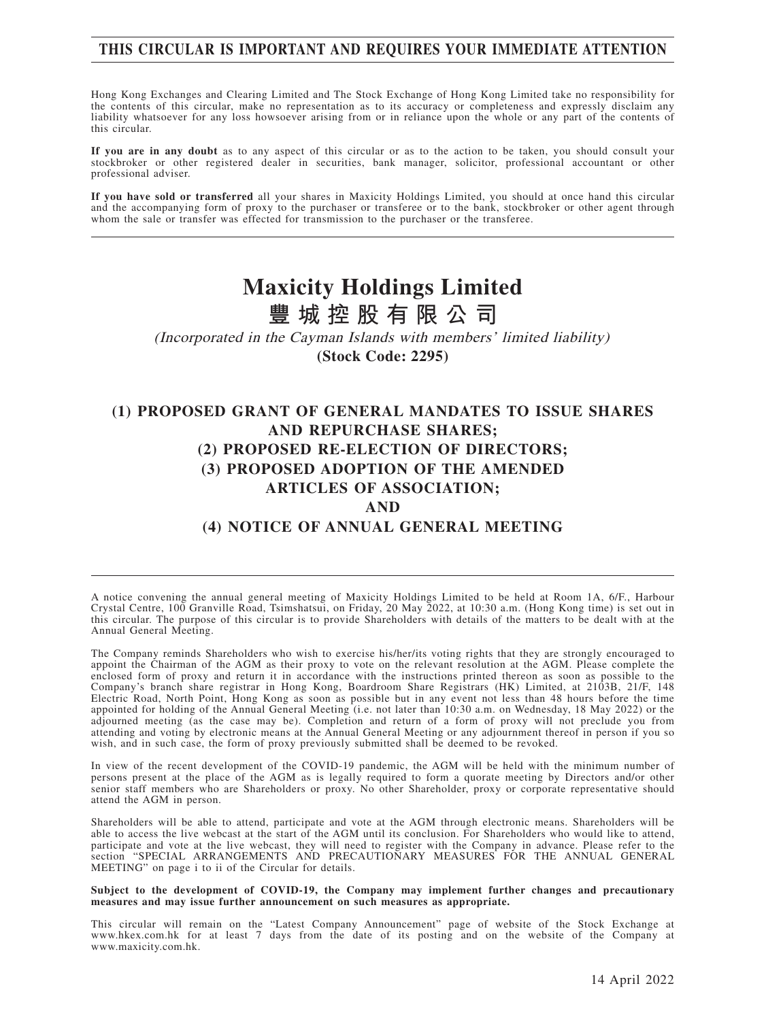# **THIS CIRCULAR IS IMPORTANT AND REQUIRES YOUR IMMEDIATE ATTENTION**

Hong Kong Exchanges and Clearing Limited and The Stock Exchange of Hong Kong Limited take no responsibility for the contents of this circular, make no representation as to its accuracy or completeness and expressly disclaim any liability whatsoever for any loss howsoever arising from or in reliance upon the whole or any part of the contents of this circular.

**If you are in any doubt** as to any aspect of this circular or as to the action to be taken, you should consult your stockbroker or other registered dealer in securities, bank manager, solicitor, professional accountant or other professional adviser.

**If you have sold or transferred** all your shares in Maxicity Holdings Limited, you should at once hand this circular and the accompanying form of proxy to the purchaser or transferee or to the bank, stockbroker or other agent through whom the sale or transfer was effected for transmission to the purchaser or the transferee.

# **Maxicity Holdings Limited 豐城控股有限公司**

(Incorporated in the Cayman Islands with members' limited liability) **(Stock Code: 2295)**

# **(1) PROPOSED GRANT OF GENERAL MANDATES TO ISSUE SHARES AND REPURCHASE SHARES; (2) PROPOSED RE-ELECTION OF DIRECTORS; (3) PROPOSED ADOPTION OF THE AMENDED ARTICLES OF ASSOCIATION; AND (4) NOTICE OF ANNUAL GENERAL MEETING**

A notice convening the annual general meeting of Maxicity Holdings Limited to be held at Room 1A, 6/F., Harbour Crystal Centre, 100 Granville Road, Tsimshatsui, on Friday, 20 May 2022, at 10:30 a.m. (Hong Kong time) is set out in this circular. The purpose of this circular is to provide Shareholders with details of the matters to be dealt with at the Annual General Meeting.

The Company reminds Shareholders who wish to exercise his/her/its voting rights that they are strongly encouraged to appoint the Chairman of the AGM as their proxy to vote on the relevant resolution at the AGM. Please complete the enclosed form of proxy and return it in accordance with the instructions printed thereon as soon as possible to the Company's branch share registrar in Hong Kong, Boardroom Share Registrars (HK) Limited, at 2103B, 21/F, 148 Electric Road, North Point, Hong Kong as soon as possible but in any event not less than 48 hours before the time appointed for holding of the Annual General Meeting (i.e. not later than 10:30 a.m. on Wednesday, 18 May 2022) or the adjourned meeting (as the case may be). Completion and return of a form of proxy will not preclude you from attending and voting by electronic means at the Annual General Meeting or any adjournment thereof in person if you so wish, and in such case, the form of proxy previously submitted shall be deemed to be revoked.

In view of the recent development of the COVID-19 pandemic, the AGM will be held with the minimum number of persons present at the place of the AGM as is legally required to form a quorate meeting by Directors and/or other senior staff members who are Shareholders or proxy. No other Shareholder, proxy or corporate representative should attend the AGM in person.

Shareholders will be able to attend, participate and vote at the AGM through electronic means. Shareholders will be able to access the live webcast at the start of the AGM until its conclusion. For Shareholders who would like to attend, participate and vote at the live webcast, they will need to register with the Company in advance. Please refer to the section "SPECIAL ARRANGEMENTS AND PRECAUTIONARY MEASURES FOR THE ANNUAL GENERAL MEETING" on page i to ii of the Circular for details.

#### **Subject to the development of COVID-19, the Company may implement further changes and precautionary measures and may issue further announcement on such measures as appropriate.**

This circular will remain on the "Latest Company Announcement" page of website of the Stock Exchange at www.hkex.com.hk for at least 7 days from the date of its posting and on the website of the Company at www.maxicity.com.hk.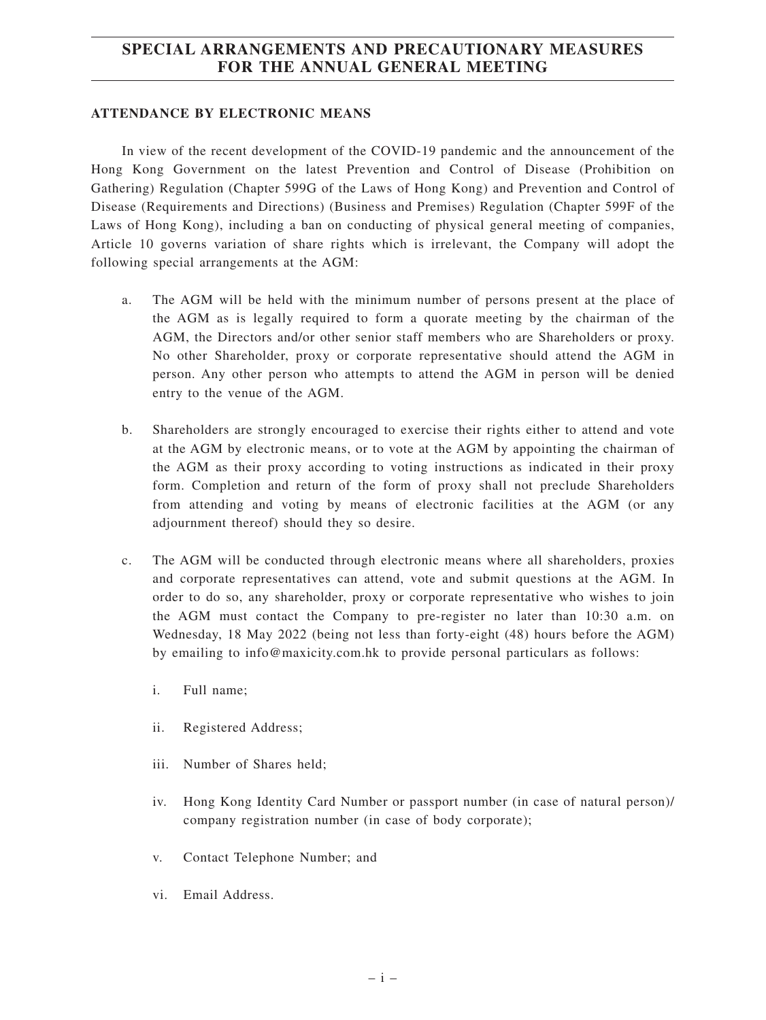# **SPECIAL ARRANGEMENTS AND PRECAUTIONARY MEASURES FOR THE ANNUAL GENERAL MEETING**

#### **ATTENDANCE BY ELECTRONIC MEANS**

In view of the recent development of the COVID-19 pandemic and the announcement of the Hong Kong Government on the latest Prevention and Control of Disease (Prohibition on Gathering) Regulation (Chapter 599G of the Laws of Hong Kong) and Prevention and Control of Disease (Requirements and Directions) (Business and Premises) Regulation (Chapter 599F of the Laws of Hong Kong), including a ban on conducting of physical general meeting of companies, Article 10 governs variation of share rights which is irrelevant, the Company will adopt the following special arrangements at the AGM:

- a. The AGM will be held with the minimum number of persons present at the place of the AGM as is legally required to form a quorate meeting by the chairman of the AGM, the Directors and/or other senior staff members who are Shareholders or proxy. No other Shareholder, proxy or corporate representative should attend the AGM in person. Any other person who attempts to attend the AGM in person will be denied entry to the venue of the AGM.
- b. Shareholders are strongly encouraged to exercise their rights either to attend and vote at the AGM by electronic means, or to vote at the AGM by appointing the chairman of the AGM as their proxy according to voting instructions as indicated in their proxy form. Completion and return of the form of proxy shall not preclude Shareholders from attending and voting by means of electronic facilities at the AGM (or any adjournment thereof) should they so desire.
- c. The AGM will be conducted through electronic means where all shareholders, proxies and corporate representatives can attend, vote and submit questions at the AGM. In order to do so, any shareholder, proxy or corporate representative who wishes to join the AGM must contact the Company to pre-register no later than 10:30 a.m. on Wednesday, 18 May 2022 (being not less than forty-eight (48) hours before the AGM) by emailing to info@maxicity.com.hk to provide personal particulars as follows:
	- i. Full name;
	- ii. Registered Address;
	- iii. Number of Shares held;
	- iv. Hong Kong Identity Card Number or passport number (in case of natural person)/ company registration number (in case of body corporate);
	- v. Contact Telephone Number; and
	- vi. Email Address.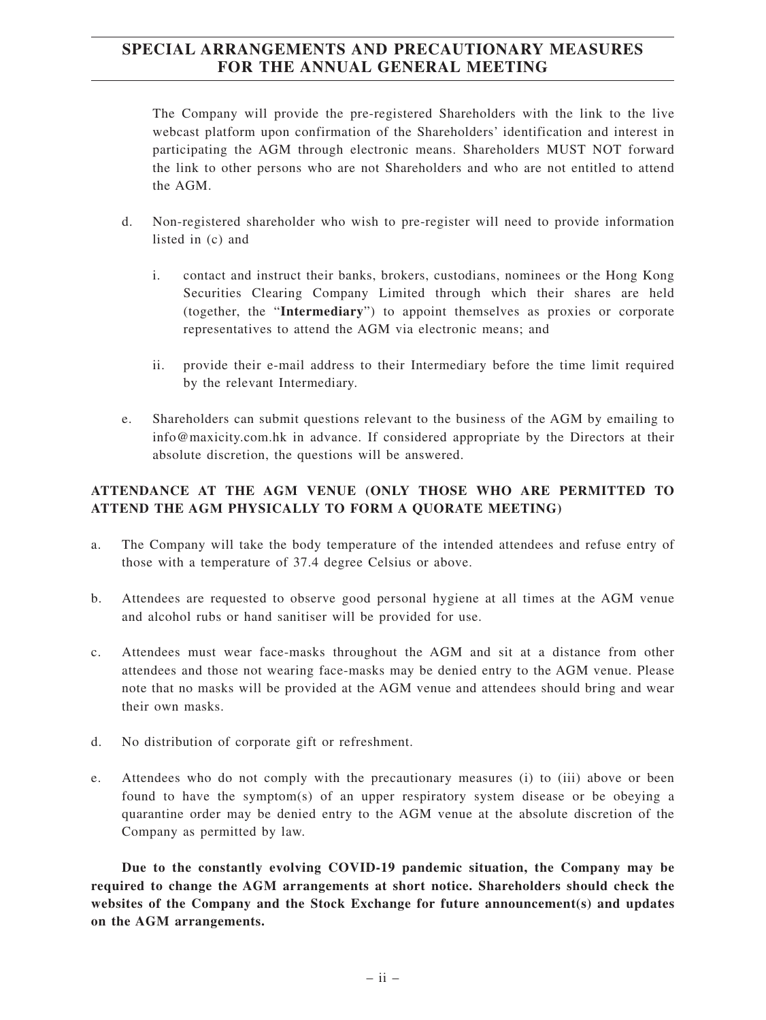# **SPECIAL ARRANGEMENTS AND PRECAUTIONARY MEASURES FOR THE ANNUAL GENERAL MEETING**

The Company will provide the pre-registered Shareholders with the link to the live webcast platform upon confirmation of the Shareholders' identification and interest in participating the AGM through electronic means. Shareholders MUST NOT forward the link to other persons who are not Shareholders and who are not entitled to attend the AGM.

- d. Non-registered shareholder who wish to pre-register will need to provide information listed in (c) and
	- i. contact and instruct their banks, brokers, custodians, nominees or the Hong Kong Securities Clearing Company Limited through which their shares are held (together, the "**Intermediary**") to appoint themselves as proxies or corporate representatives to attend the AGM via electronic means; and
	- ii. provide their e-mail address to their Intermediary before the time limit required by the relevant Intermediary.
- e. Shareholders can submit questions relevant to the business of the AGM by emailing to info@maxicity.com.hk in advance. If considered appropriate by the Directors at their absolute discretion, the questions will be answered.

# **ATTENDANCE AT THE AGM VENUE (ONLY THOSE WHO ARE PERMITTED TO ATTEND THE AGM PHYSICALLY TO FORM A QUORATE MEETING)**

- a. The Company will take the body temperature of the intended attendees and refuse entry of those with a temperature of 37.4 degree Celsius or above.
- b. Attendees are requested to observe good personal hygiene at all times at the AGM venue and alcohol rubs or hand sanitiser will be provided for use.
- c. Attendees must wear face-masks throughout the AGM and sit at a distance from other attendees and those not wearing face-masks may be denied entry to the AGM venue. Please note that no masks will be provided at the AGM venue and attendees should bring and wear their own masks.
- d. No distribution of corporate gift or refreshment.
- e. Attendees who do not comply with the precautionary measures (i) to (iii) above or been found to have the symptom(s) of an upper respiratory system disease or be obeying a quarantine order may be denied entry to the AGM venue at the absolute discretion of the Company as permitted by law.

**Due to the constantly evolving COVID-19 pandemic situation, the Company may be required to change the AGM arrangements at short notice. Shareholders should check the websites of the Company and the Stock Exchange for future announcement(s) and updates on the AGM arrangements.**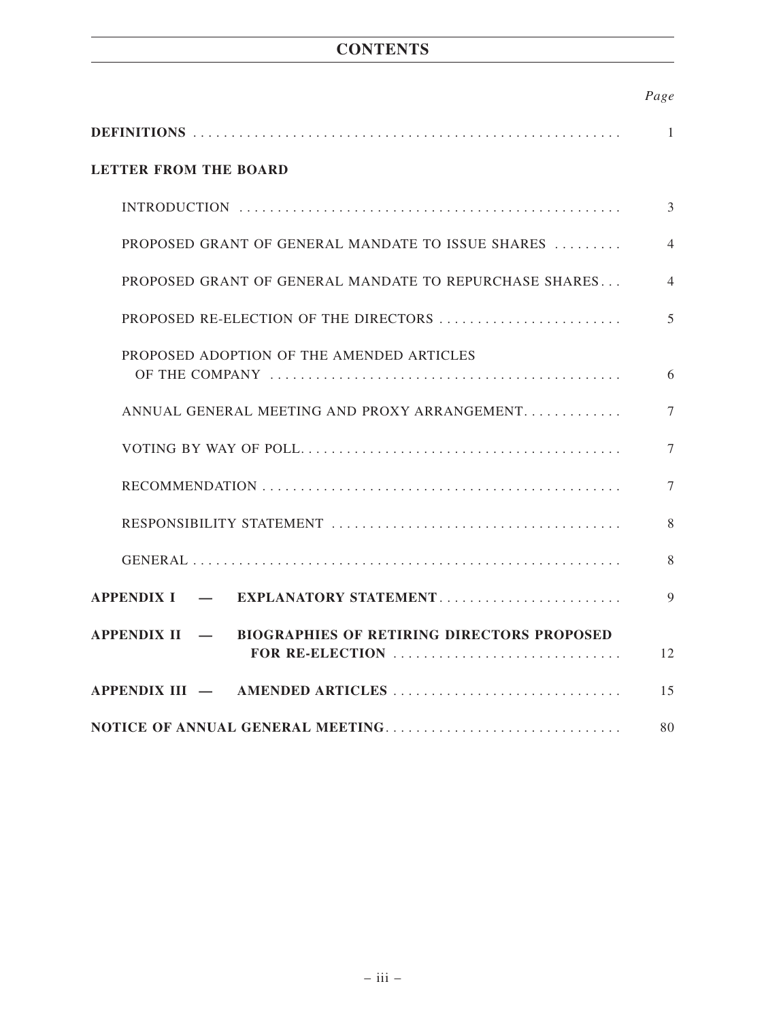# **CONTENTS**

|--|

|                                                                                                                                       | $\mathbf{1}$   |
|---------------------------------------------------------------------------------------------------------------------------------------|----------------|
| <b>LETTER FROM THE BOARD</b>                                                                                                          |                |
|                                                                                                                                       | 3              |
| PROPOSED GRANT OF GENERAL MANDATE TO ISSUE SHARES                                                                                     | $\overline{4}$ |
| PROPOSED GRANT OF GENERAL MANDATE TO REPURCHASE SHARES                                                                                | $\overline{4}$ |
| PROPOSED RE-ELECTION OF THE DIRECTORS                                                                                                 | 5              |
| PROPOSED ADOPTION OF THE AMENDED ARTICLES                                                                                             | 6              |
| ANNUAL GENERAL MEETING AND PROXY ARRANGEMENT                                                                                          | $\tau$         |
|                                                                                                                                       | $\overline{7}$ |
|                                                                                                                                       | 7              |
|                                                                                                                                       | 8              |
|                                                                                                                                       | 8              |
| APPENDIX I — EXPLANATORY STATEMENT                                                                                                    | 9              |
| APPENDIX II - BIOGRAPHIES OF RETIRING DIRECTORS PROPOSED<br>FOR RE-ELECTION $\ldots \ldots \ldots \ldots \ldots \ldots \ldots \ldots$ | 12             |
|                                                                                                                                       | 15             |
| NOTICE OF ANNUAL GENERAL MEETING                                                                                                      | 80             |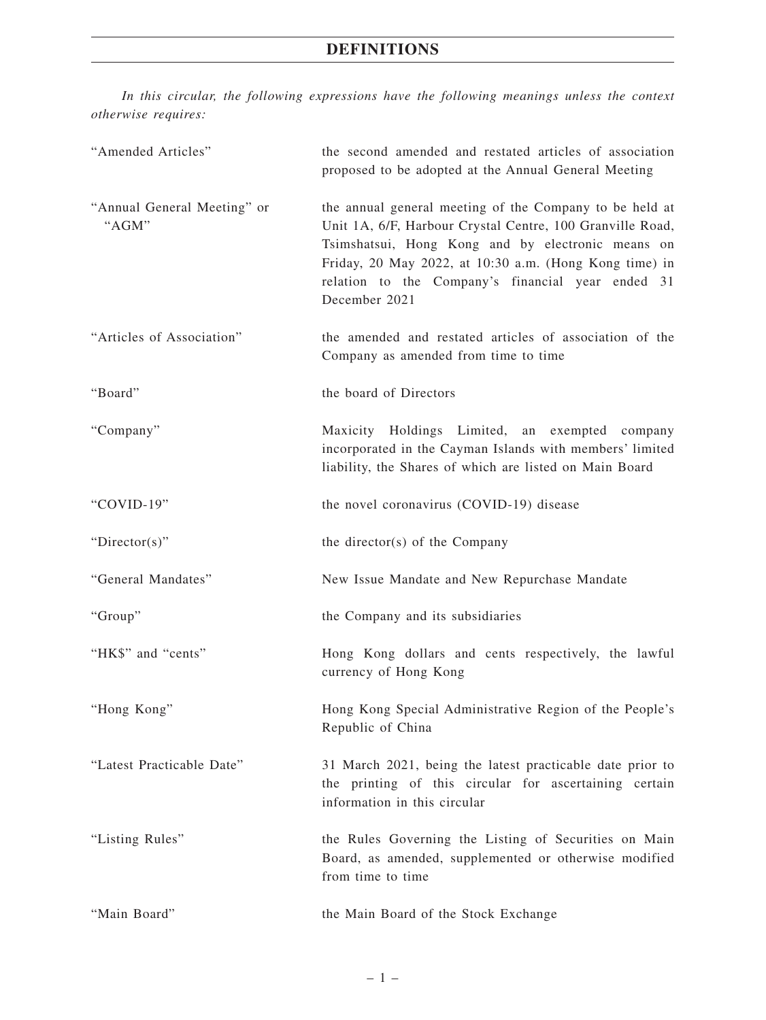# **DEFINITIONS**

*In this circular, the following expressions have the following meanings unless the context otherwise requires:*

| "Amended Articles"                   | the second amended and restated articles of association<br>proposed to be adopted at the Annual General Meeting                                                                                                                                                                                           |
|--------------------------------------|-----------------------------------------------------------------------------------------------------------------------------------------------------------------------------------------------------------------------------------------------------------------------------------------------------------|
| "Annual General Meeting" or<br>"AGM" | the annual general meeting of the Company to be held at<br>Unit 1A, 6/F, Harbour Crystal Centre, 100 Granville Road,<br>Tsimshatsui, Hong Kong and by electronic means on<br>Friday, 20 May 2022, at 10:30 a.m. (Hong Kong time) in<br>relation to the Company's financial year ended 31<br>December 2021 |
| "Articles of Association"            | the amended and restated articles of association of the<br>Company as amended from time to time                                                                                                                                                                                                           |
| "Board"                              | the board of Directors                                                                                                                                                                                                                                                                                    |
| "Company"                            | Maxicity Holdings Limited, an exempted company<br>incorporated in the Cayman Islands with members' limited<br>liability, the Shares of which are listed on Main Board                                                                                                                                     |
| "COVID-19"                           | the novel coronavirus (COVID-19) disease                                                                                                                                                                                                                                                                  |
| " $Directory$ "                      | the director(s) of the Company                                                                                                                                                                                                                                                                            |
| "General Mandates"                   | New Issue Mandate and New Repurchase Mandate                                                                                                                                                                                                                                                              |
| "Group"                              | the Company and its subsidiaries                                                                                                                                                                                                                                                                          |
| "HK\$" and "cents"                   | Hong Kong dollars and cents respectively, the lawful<br>currency of Hong Kong                                                                                                                                                                                                                             |
| "Hong Kong"                          | Hong Kong Special Administrative Region of the People's<br>Republic of China                                                                                                                                                                                                                              |
| "Latest Practicable Date"            | 31 March 2021, being the latest practicable date prior to<br>the printing of this circular for ascertaining certain<br>information in this circular                                                                                                                                                       |
| "Listing Rules"                      | the Rules Governing the Listing of Securities on Main<br>Board, as amended, supplemented or otherwise modified<br>from time to time                                                                                                                                                                       |
| "Main Board"                         | the Main Board of the Stock Exchange                                                                                                                                                                                                                                                                      |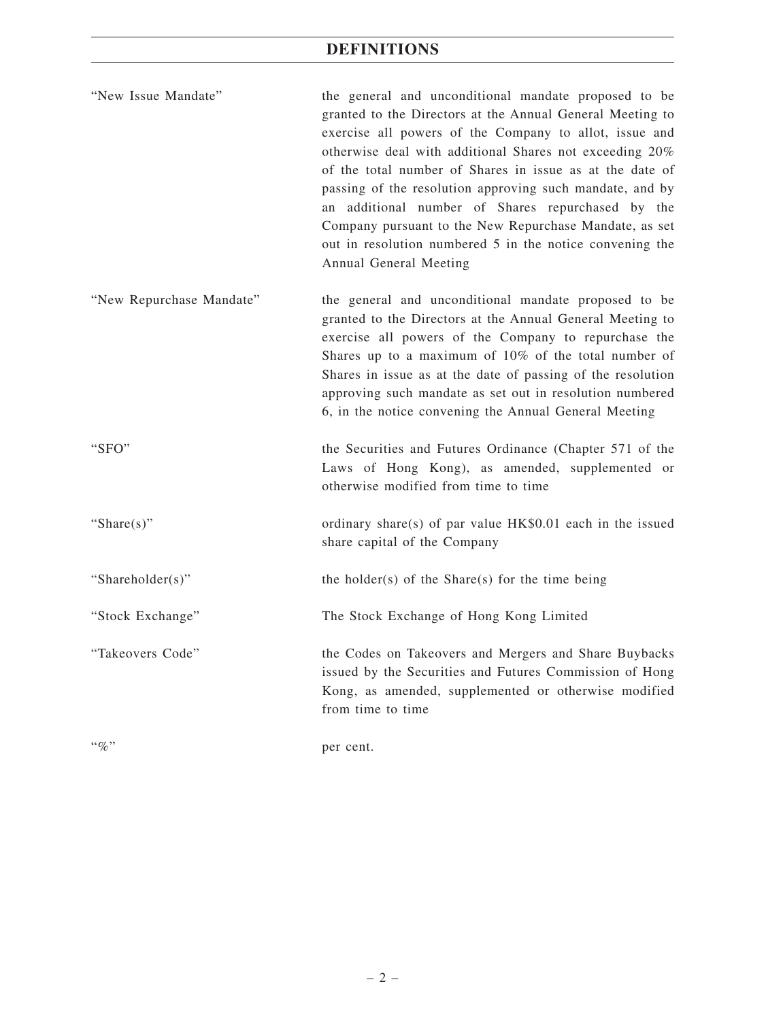# **DEFINITIONS**

| "New Issue Mandate" | the general and unconditional mandate proposed to be      |
|---------------------|-----------------------------------------------------------|
|                     | granted to the Directors at the Annual General Meeting to |
|                     | exercise all powers of the Company to allot, issue and    |
|                     | otherwise deal with additional Shares not exceeding 20%   |
|                     | of the total number of Shares in issue as at the date of  |
|                     | passing of the resolution approving such mandate, and by  |
|                     | an additional number of Shares repurchased by the         |
|                     | Company pursuant to the New Repurchase Mandate, as set    |
|                     | out in resolution numbered 5 in the notice convening the  |
|                     | Annual General Meeting                                    |

- "New Repurchase Mandate" the general and unconditional mandate proposed to be granted to the Directors at the Annual General Meeting to exercise all powers of the Company to repurchase the Shares up to a maximum of 10% of the total number of Shares in issue as at the date of passing of the resolution approving such mandate as set out in resolution numbered 6, in the notice convening the Annual General Meeting
- "SFO" the Securities and Futures Ordinance (Chapter 571 of the Laws of Hong Kong), as amended, supplemented or otherwise modified from time to time "Share(s)" ordinary share(s) of par value HK\$0.01 each in the issued share capital of the Company

"Shareholder(s)" the holder(s) of the Share(s) for the time being

"Stock Exchange" The Stock Exchange of Hong Kong Limited

"Takeovers Code" the Codes on Takeovers and Mergers and Share Buybacks issued by the Securities and Futures Commission of Hong Kong, as amended, supplemented or otherwise modified from time to time

"%" per cent.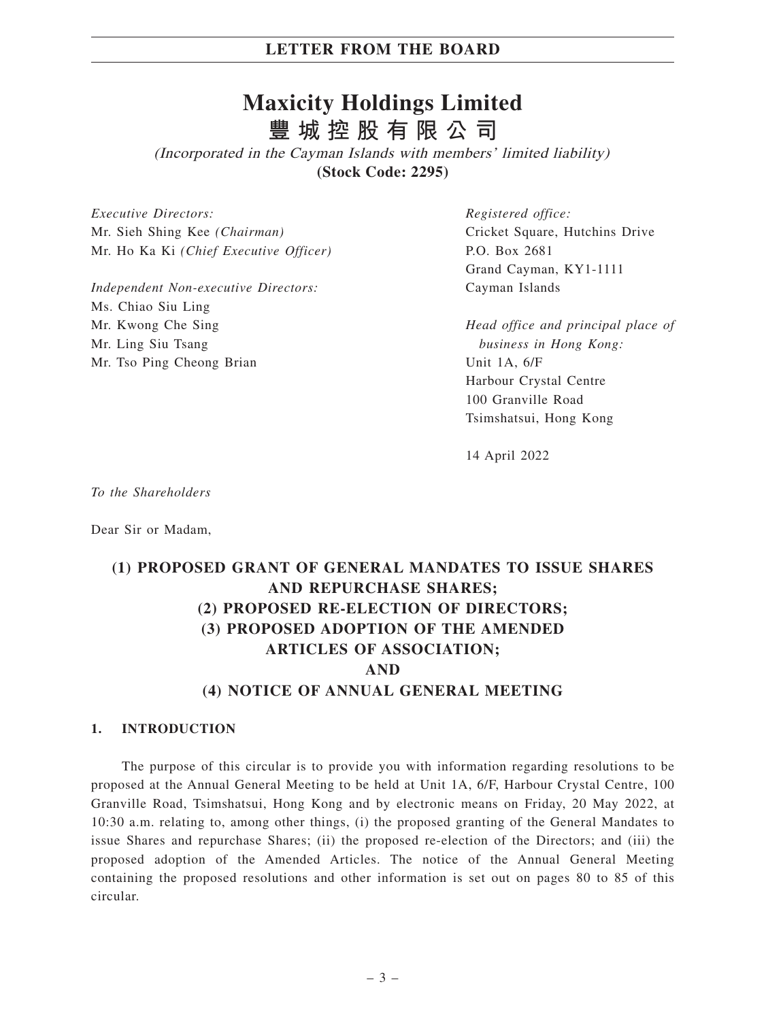# **Maxicity Holdings Limited 豐城控股有限公司**

(Incorporated in the Cayman Islands with members' limited liability) **(Stock Code: 2295)**

*Executive Directors:* Mr. Sieh Shing Kee *(Chairman)* Mr. Ho Ka Ki *(Chief Executive Officer)*

*Independent Non-executive Directors:* Ms. Chiao Siu Ling Mr. Kwong Che Sing Mr. Ling Siu Tsang Mr. Tso Ping Cheong Brian

*Registered office:* Cricket Square, Hutchins Drive P.O. Box 2681 Grand Cayman, KY1-1111 Cayman Islands

*Head office and principal place of business in Hong Kong:* Unit 1A, 6/F Harbour Crystal Centre 100 Granville Road Tsimshatsui, Hong Kong

14 April 2022

*To the Shareholders*

Dear Sir or Madam,

# **(1) PROPOSED GRANT OF GENERAL MANDATES TO ISSUE SHARES AND REPURCHASE SHARES; (2) PROPOSED RE-ELECTION OF DIRECTORS; (3) PROPOSED ADOPTION OF THE AMENDED ARTICLES OF ASSOCIATION; AND (4) NOTICE OF ANNUAL GENERAL MEETING**

#### **1. INTRODUCTION**

The purpose of this circular is to provide you with information regarding resolutions to be proposed at the Annual General Meeting to be held at Unit 1A, 6/F, Harbour Crystal Centre, 100 Granville Road, Tsimshatsui, Hong Kong and by electronic means on Friday, 20 May 2022, at 10:30 a.m. relating to, among other things, (i) the proposed granting of the General Mandates to issue Shares and repurchase Shares; (ii) the proposed re-election of the Directors; and (iii) the proposed adoption of the Amended Articles. The notice of the Annual General Meeting containing the proposed resolutions and other information is set out on pages 80 to 85 of this circular.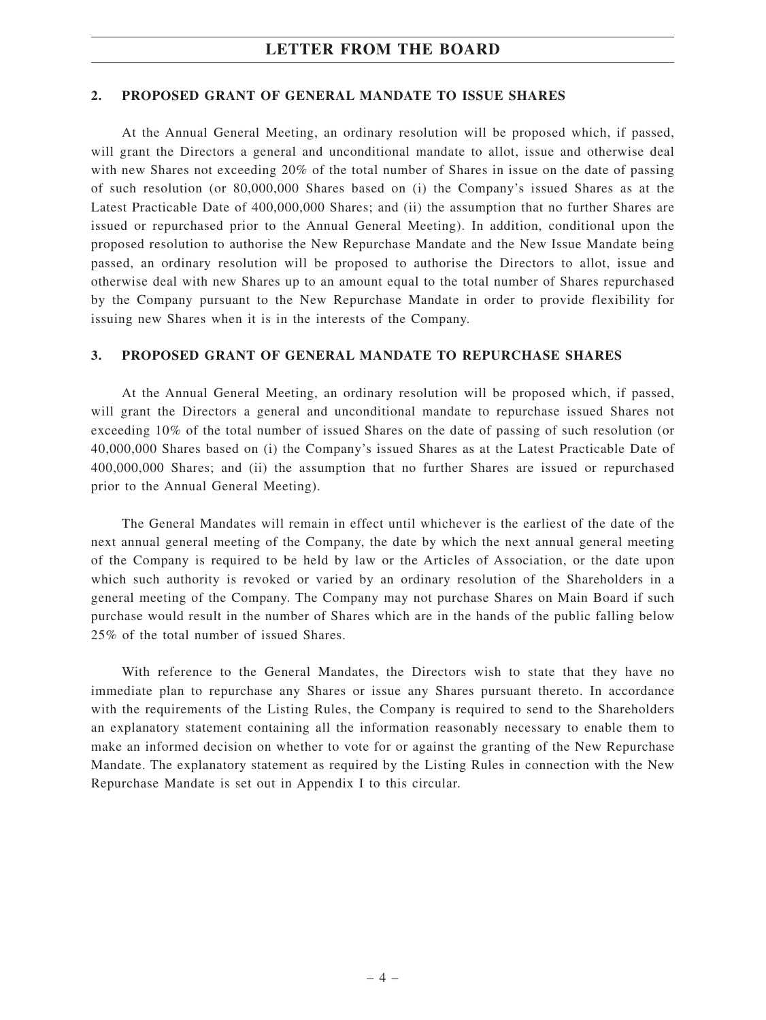#### **2. PROPOSED GRANT OF GENERAL MANDATE TO ISSUE SHARES**

At the Annual General Meeting, an ordinary resolution will be proposed which, if passed, will grant the Directors a general and unconditional mandate to allot, issue and otherwise deal with new Shares not exceeding 20% of the total number of Shares in issue on the date of passing of such resolution (or 80,000,000 Shares based on (i) the Company's issued Shares as at the Latest Practicable Date of 400,000,000 Shares; and (ii) the assumption that no further Shares are issued or repurchased prior to the Annual General Meeting). In addition, conditional upon the proposed resolution to authorise the New Repurchase Mandate and the New Issue Mandate being passed, an ordinary resolution will be proposed to authorise the Directors to allot, issue and otherwise deal with new Shares up to an amount equal to the total number of Shares repurchased by the Company pursuant to the New Repurchase Mandate in order to provide flexibility for issuing new Shares when it is in the interests of the Company.

### **3. PROPOSED GRANT OF GENERAL MANDATE TO REPURCHASE SHARES**

At the Annual General Meeting, an ordinary resolution will be proposed which, if passed, will grant the Directors a general and unconditional mandate to repurchase issued Shares not exceeding 10% of the total number of issued Shares on the date of passing of such resolution (or 40,000,000 Shares based on (i) the Company's issued Shares as at the Latest Practicable Date of 400,000,000 Shares; and (ii) the assumption that no further Shares are issued or repurchased prior to the Annual General Meeting).

The General Mandates will remain in effect until whichever is the earliest of the date of the next annual general meeting of the Company, the date by which the next annual general meeting of the Company is required to be held by law or the Articles of Association, or the date upon which such authority is revoked or varied by an ordinary resolution of the Shareholders in a general meeting of the Company. The Company may not purchase Shares on Main Board if such purchase would result in the number of Shares which are in the hands of the public falling below 25% of the total number of issued Shares.

With reference to the General Mandates, the Directors wish to state that they have no immediate plan to repurchase any Shares or issue any Shares pursuant thereto. In accordance with the requirements of the Listing Rules, the Company is required to send to the Shareholders an explanatory statement containing all the information reasonably necessary to enable them to make an informed decision on whether to vote for or against the granting of the New Repurchase Mandate. The explanatory statement as required by the Listing Rules in connection with the New Repurchase Mandate is set out in Appendix I to this circular.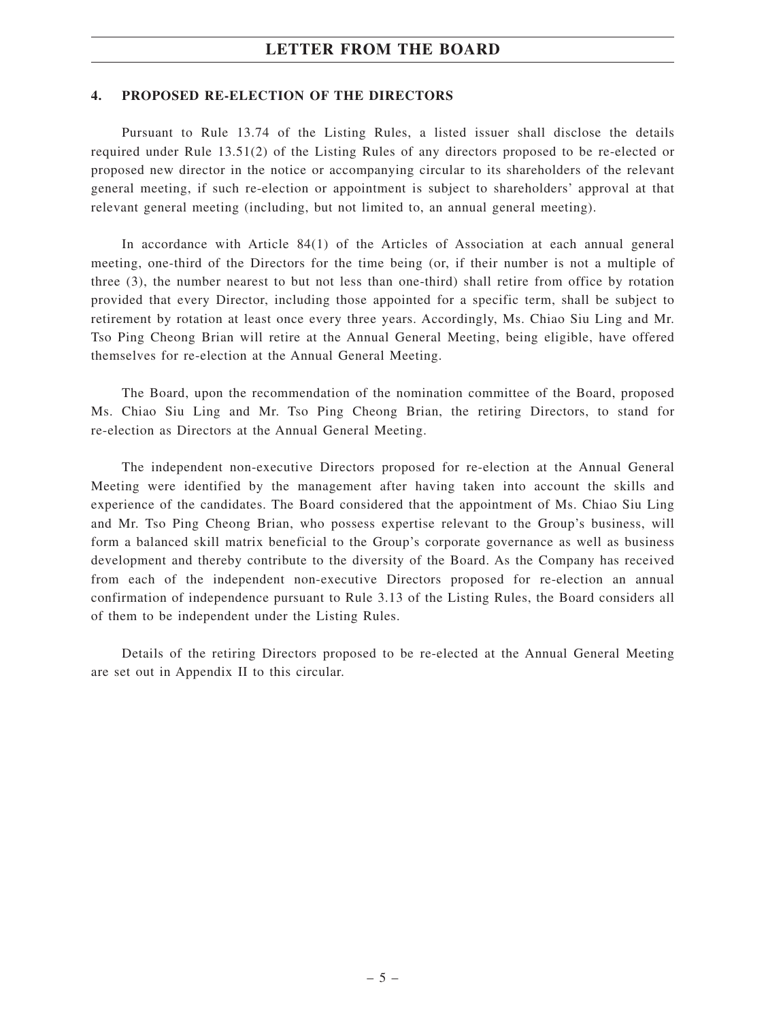#### **4. PROPOSED RE-ELECTION OF THE DIRECTORS**

Pursuant to Rule 13.74 of the Listing Rules, a listed issuer shall disclose the details required under Rule 13.51(2) of the Listing Rules of any directors proposed to be re-elected or proposed new director in the notice or accompanying circular to its shareholders of the relevant general meeting, if such re-election or appointment is subject to shareholders' approval at that relevant general meeting (including, but not limited to, an annual general meeting).

In accordance with Article 84(1) of the Articles of Association at each annual general meeting, one-third of the Directors for the time being (or, if their number is not a multiple of three (3), the number nearest to but not less than one-third) shall retire from office by rotation provided that every Director, including those appointed for a specific term, shall be subject to retirement by rotation at least once every three years. Accordingly, Ms. Chiao Siu Ling and Mr. Tso Ping Cheong Brian will retire at the Annual General Meeting, being eligible, have offered themselves for re-election at the Annual General Meeting.

The Board, upon the recommendation of the nomination committee of the Board, proposed Ms. Chiao Siu Ling and Mr. Tso Ping Cheong Brian, the retiring Directors, to stand for re-election as Directors at the Annual General Meeting.

The independent non-executive Directors proposed for re-election at the Annual General Meeting were identified by the management after having taken into account the skills and experience of the candidates. The Board considered that the appointment of Ms. Chiao Siu Ling and Mr. Tso Ping Cheong Brian, who possess expertise relevant to the Group's business, will form a balanced skill matrix beneficial to the Group's corporate governance as well as business development and thereby contribute to the diversity of the Board. As the Company has received from each of the independent non-executive Directors proposed for re-election an annual confirmation of independence pursuant to Rule 3.13 of the Listing Rules, the Board considers all of them to be independent under the Listing Rules.

Details of the retiring Directors proposed to be re-elected at the Annual General Meeting are set out in Appendix II to this circular.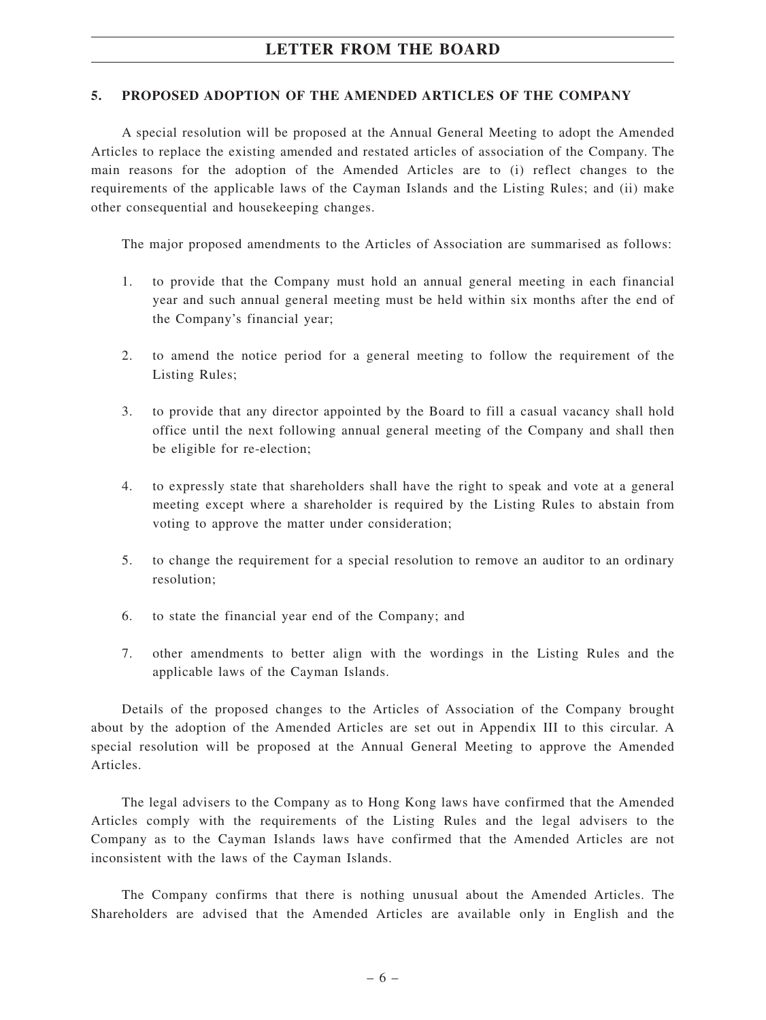#### **5. PROPOSED ADOPTION OF THE AMENDED ARTICLES OF THE COMPANY**

A special resolution will be proposed at the Annual General Meeting to adopt the Amended Articles to replace the existing amended and restated articles of association of the Company. The main reasons for the adoption of the Amended Articles are to (i) reflect changes to the requirements of the applicable laws of the Cayman Islands and the Listing Rules; and (ii) make other consequential and housekeeping changes.

The major proposed amendments to the Articles of Association are summarised as follows:

- 1. to provide that the Company must hold an annual general meeting in each financial year and such annual general meeting must be held within six months after the end of the Company's financial year;
- 2. to amend the notice period for a general meeting to follow the requirement of the Listing Rules;
- 3. to provide that any director appointed by the Board to fill a casual vacancy shall hold office until the next following annual general meeting of the Company and shall then be eligible for re-election;
- 4. to expressly state that shareholders shall have the right to speak and vote at a general meeting except where a shareholder is required by the Listing Rules to abstain from voting to approve the matter under consideration;
- 5. to change the requirement for a special resolution to remove an auditor to an ordinary resolution;
- 6. to state the financial year end of the Company; and
- 7. other amendments to better align with the wordings in the Listing Rules and the applicable laws of the Cayman Islands.

Details of the proposed changes to the Articles of Association of the Company brought about by the adoption of the Amended Articles are set out in Appendix III to this circular. A special resolution will be proposed at the Annual General Meeting to approve the Amended Articles.

The legal advisers to the Company as to Hong Kong laws have confirmed that the Amended Articles comply with the requirements of the Listing Rules and the legal advisers to the Company as to the Cayman Islands laws have confirmed that the Amended Articles are not inconsistent with the laws of the Cayman Islands.

The Company confirms that there is nothing unusual about the Amended Articles. The Shareholders are advised that the Amended Articles are available only in English and the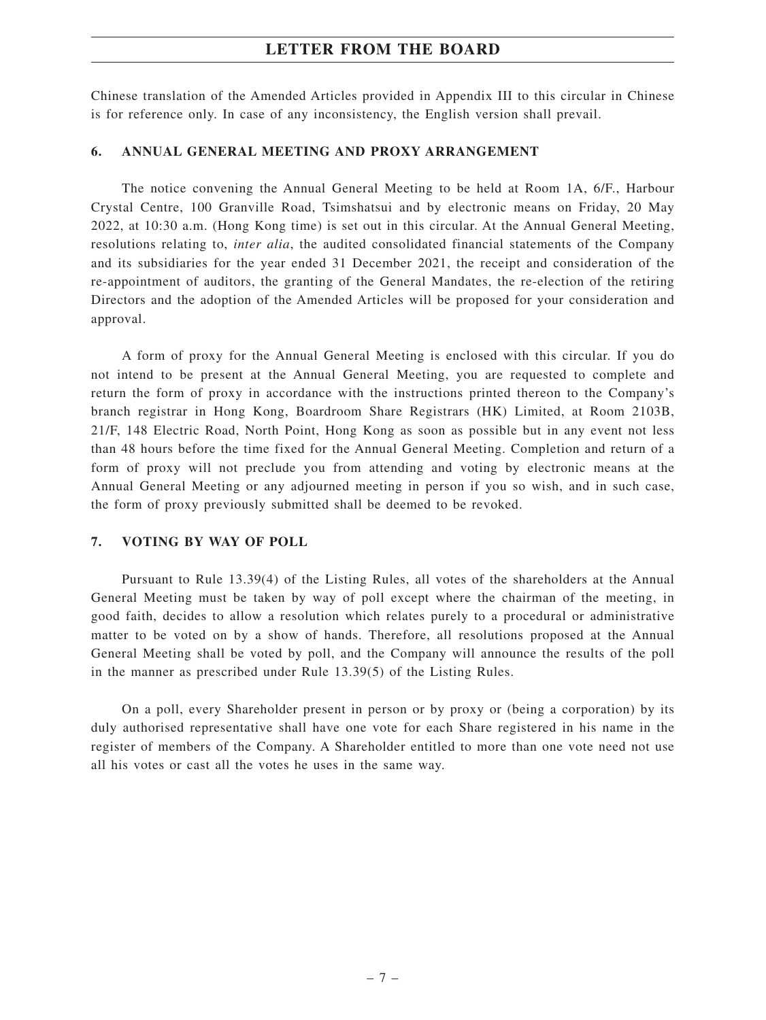Chinese translation of the Amended Articles provided in Appendix III to this circular in Chinese is for reference only. In case of any inconsistency, the English version shall prevail.

### **6. ANNUAL GENERAL MEETING AND PROXY ARRANGEMENT**

The notice convening the Annual General Meeting to be held at Room 1A, 6/F., Harbour Crystal Centre, 100 Granville Road, Tsimshatsui and by electronic means on Friday, 20 May 2022, at 10:30 a.m. (Hong Kong time) is set out in this circular. At the Annual General Meeting, resolutions relating to, *inter alia*, the audited consolidated financial statements of the Company and its subsidiaries for the year ended 31 December 2021, the receipt and consideration of the re-appointment of auditors, the granting of the General Mandates, the re-election of the retiring Directors and the adoption of the Amended Articles will be proposed for your consideration and approval.

A form of proxy for the Annual General Meeting is enclosed with this circular. If you do not intend to be present at the Annual General Meeting, you are requested to complete and return the form of proxy in accordance with the instructions printed thereon to the Company's branch registrar in Hong Kong, Boardroom Share Registrars (HK) Limited, at Room 2103B, 21/F, 148 Electric Road, North Point, Hong Kong as soon as possible but in any event not less than 48 hours before the time fixed for the Annual General Meeting. Completion and return of a form of proxy will not preclude you from attending and voting by electronic means at the Annual General Meeting or any adjourned meeting in person if you so wish, and in such case, the form of proxy previously submitted shall be deemed to be revoked.

#### **7. VOTING BY WAY OF POLL**

Pursuant to Rule 13.39(4) of the Listing Rules, all votes of the shareholders at the Annual General Meeting must be taken by way of poll except where the chairman of the meeting, in good faith, decides to allow a resolution which relates purely to a procedural or administrative matter to be voted on by a show of hands. Therefore, all resolutions proposed at the Annual General Meeting shall be voted by poll, and the Company will announce the results of the poll in the manner as prescribed under Rule 13.39(5) of the Listing Rules.

On a poll, every Shareholder present in person or by proxy or (being a corporation) by its duly authorised representative shall have one vote for each Share registered in his name in the register of members of the Company. A Shareholder entitled to more than one vote need not use all his votes or cast all the votes he uses in the same way.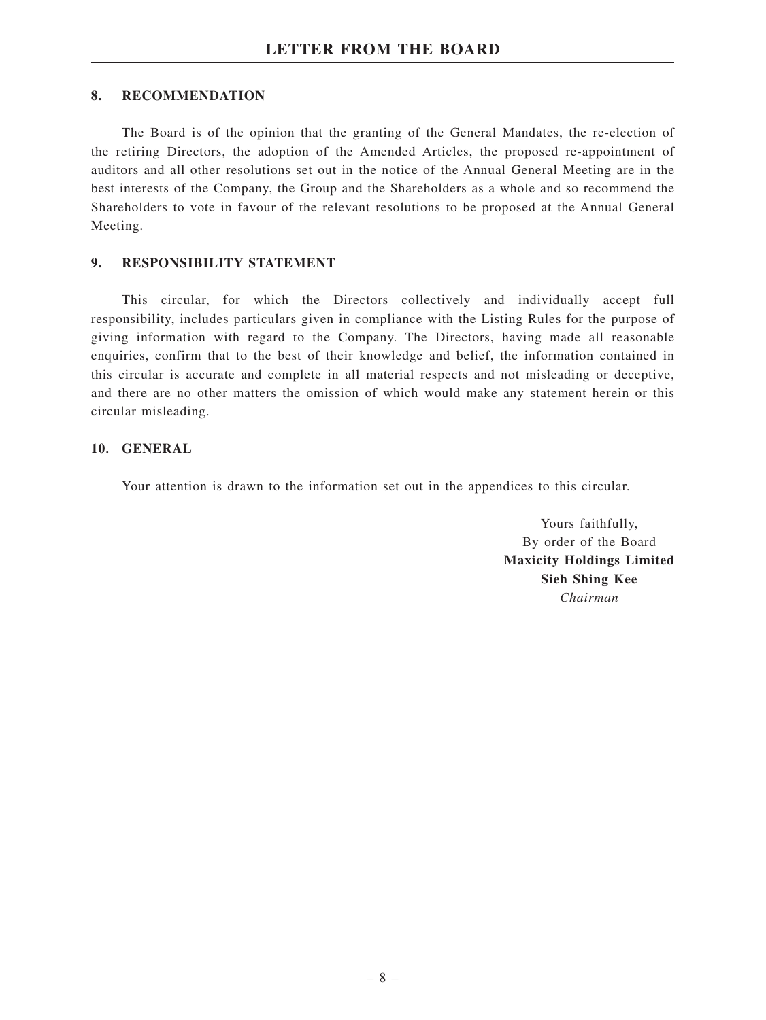#### **8. RECOMMENDATION**

The Board is of the opinion that the granting of the General Mandates, the re-election of the retiring Directors, the adoption of the Amended Articles, the proposed re-appointment of auditors and all other resolutions set out in the notice of the Annual General Meeting are in the best interests of the Company, the Group and the Shareholders as a whole and so recommend the Shareholders to vote in favour of the relevant resolutions to be proposed at the Annual General Meeting.

### **9. RESPONSIBILITY STATEMENT**

This circular, for which the Directors collectively and individually accept full responsibility, includes particulars given in compliance with the Listing Rules for the purpose of giving information with regard to the Company. The Directors, having made all reasonable enquiries, confirm that to the best of their knowledge and belief, the information contained in this circular is accurate and complete in all material respects and not misleading or deceptive, and there are no other matters the omission of which would make any statement herein or this circular misleading.

### **10. GENERAL**

Your attention is drawn to the information set out in the appendices to this circular.

Yours faithfully, By order of the Board **Maxicity Holdings Limited Sieh Shing Kee** *Chairman*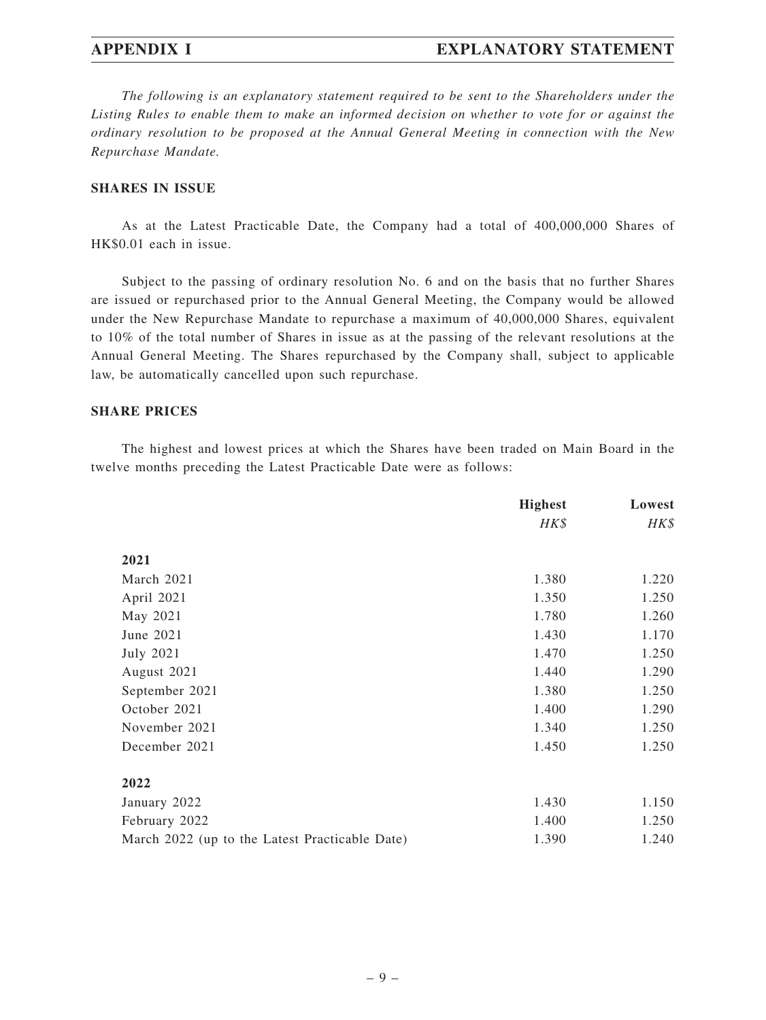## **APPENDIX I EXPLANATORY STATEMENT**

*The following is an explanatory statement required to be sent to the Shareholders under the Listing Rules to enable them to make an informed decision on whether to vote for or against the ordinary resolution to be proposed at the Annual General Meeting in connection with the New Repurchase Mandate.*

### **SHARES IN ISSUE**

As at the Latest Practicable Date, the Company had a total of 400,000,000 Shares of HK\$0.01 each in issue.

Subject to the passing of ordinary resolution No. 6 and on the basis that no further Shares are issued or repurchased prior to the Annual General Meeting, the Company would be allowed under the New Repurchase Mandate to repurchase a maximum of 40,000,000 Shares, equivalent to 10% of the total number of Shares in issue as at the passing of the relevant resolutions at the Annual General Meeting. The Shares repurchased by the Company shall, subject to applicable law, be automatically cancelled upon such repurchase.

#### **SHARE PRICES**

The highest and lowest prices at which the Shares have been traded on Main Board in the twelve months preceding the Latest Practicable Date were as follows:

|                                                | <b>Highest</b> | Lowest |
|------------------------------------------------|----------------|--------|
|                                                | HK\$           | HK\$   |
| 2021                                           |                |        |
| March 2021                                     | 1.380          | 1.220  |
| April 2021                                     | 1.350          | 1.250  |
| May 2021                                       | 1.780          | 1.260  |
| June 2021                                      | 1.430          | 1.170  |
| <b>July 2021</b>                               | 1.470          | 1.250  |
| August 2021                                    | 1.440          | 1.290  |
| September 2021                                 | 1.380          | 1.250  |
| October 2021                                   | 1.400          | 1.290  |
| November 2021                                  | 1.340          | 1.250  |
| December 2021                                  | 1.450          | 1.250  |
| 2022                                           |                |        |
| January 2022                                   | 1.430          | 1.150  |
| February 2022                                  | 1.400          | 1.250  |
| March 2022 (up to the Latest Practicable Date) | 1.390          | 1.240  |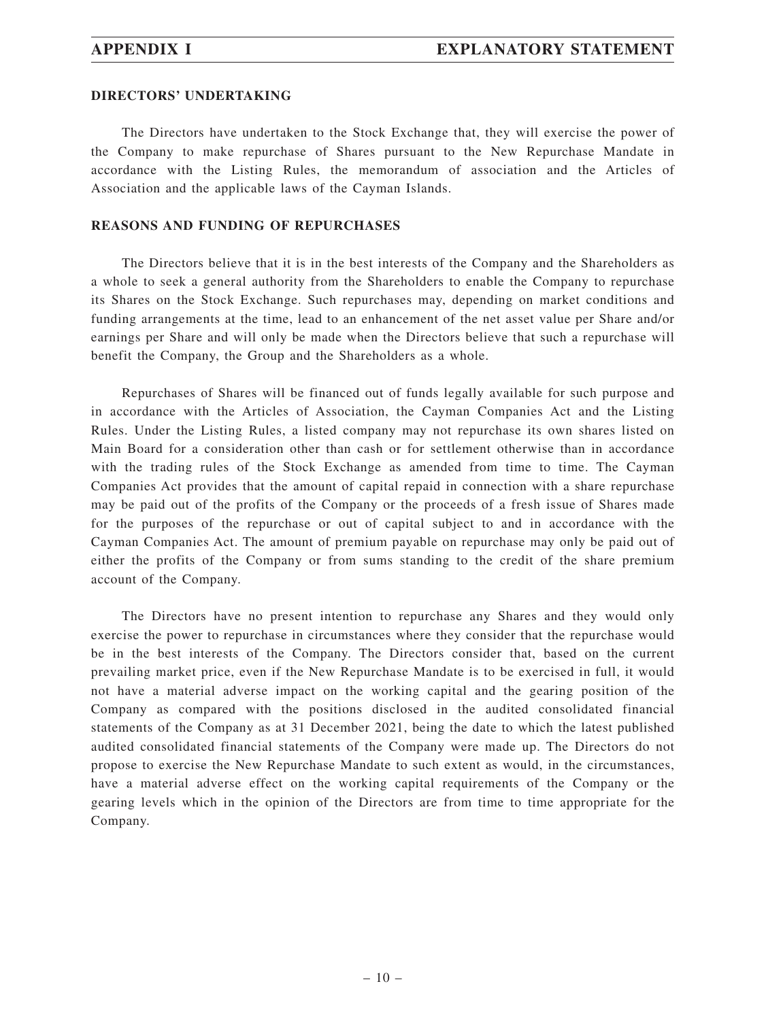#### **DIRECTORS' UNDERTAKING**

The Directors have undertaken to the Stock Exchange that, they will exercise the power of the Company to make repurchase of Shares pursuant to the New Repurchase Mandate in accordance with the Listing Rules, the memorandum of association and the Articles of Association and the applicable laws of the Cayman Islands.

#### **REASONS AND FUNDING OF REPURCHASES**

The Directors believe that it is in the best interests of the Company and the Shareholders as a whole to seek a general authority from the Shareholders to enable the Company to repurchase its Shares on the Stock Exchange. Such repurchases may, depending on market conditions and funding arrangements at the time, lead to an enhancement of the net asset value per Share and/or earnings per Share and will only be made when the Directors believe that such a repurchase will benefit the Company, the Group and the Shareholders as a whole.

Repurchases of Shares will be financed out of funds legally available for such purpose and in accordance with the Articles of Association, the Cayman Companies Act and the Listing Rules. Under the Listing Rules, a listed company may not repurchase its own shares listed on Main Board for a consideration other than cash or for settlement otherwise than in accordance with the trading rules of the Stock Exchange as amended from time to time. The Cayman Companies Act provides that the amount of capital repaid in connection with a share repurchase may be paid out of the profits of the Company or the proceeds of a fresh issue of Shares made for the purposes of the repurchase or out of capital subject to and in accordance with the Cayman Companies Act. The amount of premium payable on repurchase may only be paid out of either the profits of the Company or from sums standing to the credit of the share premium account of the Company.

The Directors have no present intention to repurchase any Shares and they would only exercise the power to repurchase in circumstances where they consider that the repurchase would be in the best interests of the Company. The Directors consider that, based on the current prevailing market price, even if the New Repurchase Mandate is to be exercised in full, it would not have a material adverse impact on the working capital and the gearing position of the Company as compared with the positions disclosed in the audited consolidated financial statements of the Company as at 31 December 2021, being the date to which the latest published audited consolidated financial statements of the Company were made up. The Directors do not propose to exercise the New Repurchase Mandate to such extent as would, in the circumstances, have a material adverse effect on the working capital requirements of the Company or the gearing levels which in the opinion of the Directors are from time to time appropriate for the Company.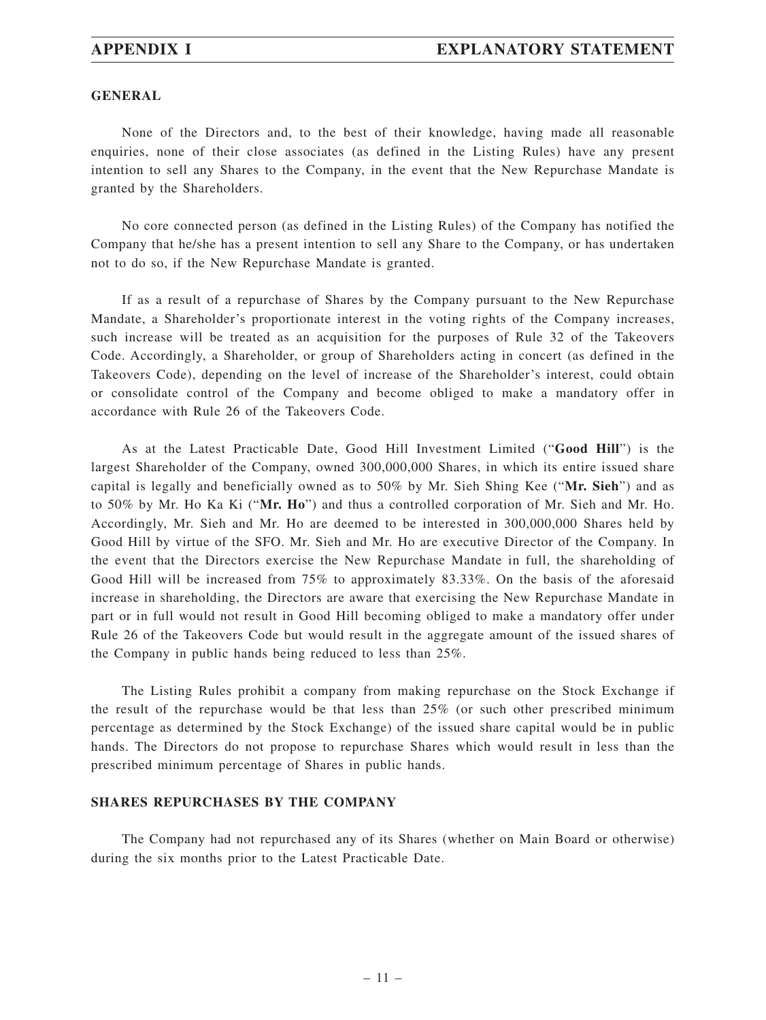#### **GENERAL**

None of the Directors and, to the best of their knowledge, having made all reasonable enquiries, none of their close associates (as defined in the Listing Rules) have any present intention to sell any Shares to the Company, in the event that the New Repurchase Mandate is granted by the Shareholders.

No core connected person (as defined in the Listing Rules) of the Company has notified the Company that he/she has a present intention to sell any Share to the Company, or has undertaken not to do so, if the New Repurchase Mandate is granted.

If as a result of a repurchase of Shares by the Company pursuant to the New Repurchase Mandate, a Shareholder's proportionate interest in the voting rights of the Company increases, such increase will be treated as an acquisition for the purposes of Rule 32 of the Takeovers Code. Accordingly, a Shareholder, or group of Shareholders acting in concert (as defined in the Takeovers Code), depending on the level of increase of the Shareholder's interest, could obtain or consolidate control of the Company and become obliged to make a mandatory offer in accordance with Rule 26 of the Takeovers Code.

As at the Latest Practicable Date, Good Hill Investment Limited ("**Good Hill**") is the largest Shareholder of the Company, owned 300,000,000 Shares, in which its entire issued share capital is legally and beneficially owned as to 50% by Mr. Sieh Shing Kee ("**Mr. Sieh**") and as to 50% by Mr. Ho Ka Ki ("**Mr. Ho**") and thus a controlled corporation of Mr. Sieh and Mr. Ho. Accordingly, Mr. Sieh and Mr. Ho are deemed to be interested in 300,000,000 Shares held by Good Hill by virtue of the SFO. Mr. Sieh and Mr. Ho are executive Director of the Company. In the event that the Directors exercise the New Repurchase Mandate in full, the shareholding of Good Hill will be increased from 75% to approximately 83.33%. On the basis of the aforesaid increase in shareholding, the Directors are aware that exercising the New Repurchase Mandate in part or in full would not result in Good Hill becoming obliged to make a mandatory offer under Rule 26 of the Takeovers Code but would result in the aggregate amount of the issued shares of the Company in public hands being reduced to less than 25%.

The Listing Rules prohibit a company from making repurchase on the Stock Exchange if the result of the repurchase would be that less than 25% (or such other prescribed minimum percentage as determined by the Stock Exchange) of the issued share capital would be in public hands. The Directors do not propose to repurchase Shares which would result in less than the prescribed minimum percentage of Shares in public hands.

#### **SHARES REPURCHASES BY THE COMPANY**

The Company had not repurchased any of its Shares (whether on Main Board or otherwise) during the six months prior to the Latest Practicable Date.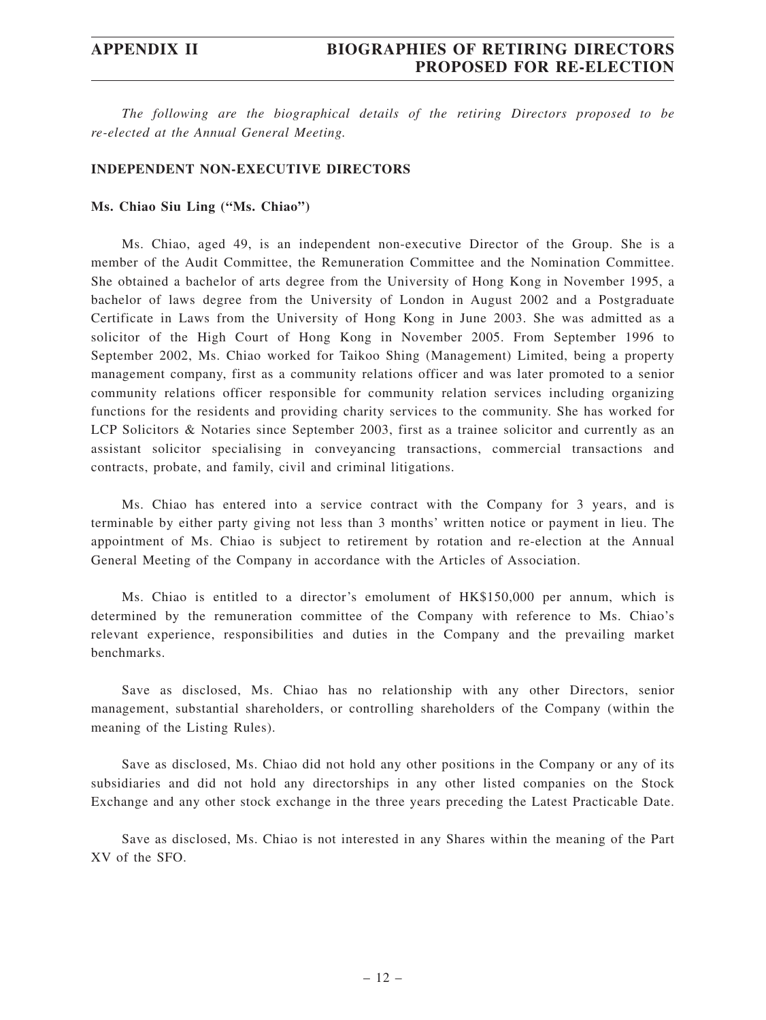*The following are the biographical details of the retiring Directors proposed to be re-elected at the Annual General Meeting.*

#### **INDEPENDENT NON-EXECUTIVE DIRECTORS**

#### **Ms. Chiao Siu Ling ("Ms. Chiao")**

Ms. Chiao, aged 49, is an independent non-executive Director of the Group. She is a member of the Audit Committee, the Remuneration Committee and the Nomination Committee. She obtained a bachelor of arts degree from the University of Hong Kong in November 1995, a bachelor of laws degree from the University of London in August 2002 and a Postgraduate Certificate in Laws from the University of Hong Kong in June 2003. She was admitted as a solicitor of the High Court of Hong Kong in November 2005. From September 1996 to September 2002, Ms. Chiao worked for Taikoo Shing (Management) Limited, being a property management company, first as a community relations officer and was later promoted to a senior community relations officer responsible for community relation services including organizing functions for the residents and providing charity services to the community. She has worked for LCP Solicitors & Notaries since September 2003, first as a trainee solicitor and currently as an assistant solicitor specialising in conveyancing transactions, commercial transactions and contracts, probate, and family, civil and criminal litigations.

Ms. Chiao has entered into a service contract with the Company for 3 years, and is terminable by either party giving not less than 3 months' written notice or payment in lieu. The appointment of Ms. Chiao is subject to retirement by rotation and re-election at the Annual General Meeting of the Company in accordance with the Articles of Association.

Ms. Chiao is entitled to a director's emolument of HK\$150,000 per annum, which is determined by the remuneration committee of the Company with reference to Ms. Chiao's relevant experience, responsibilities and duties in the Company and the prevailing market benchmarks.

Save as disclosed, Ms. Chiao has no relationship with any other Directors, senior management, substantial shareholders, or controlling shareholders of the Company (within the meaning of the Listing Rules).

Save as disclosed, Ms. Chiao did not hold any other positions in the Company or any of its subsidiaries and did not hold any directorships in any other listed companies on the Stock Exchange and any other stock exchange in the three years preceding the Latest Practicable Date.

Save as disclosed, Ms. Chiao is not interested in any Shares within the meaning of the Part XV of the SFO.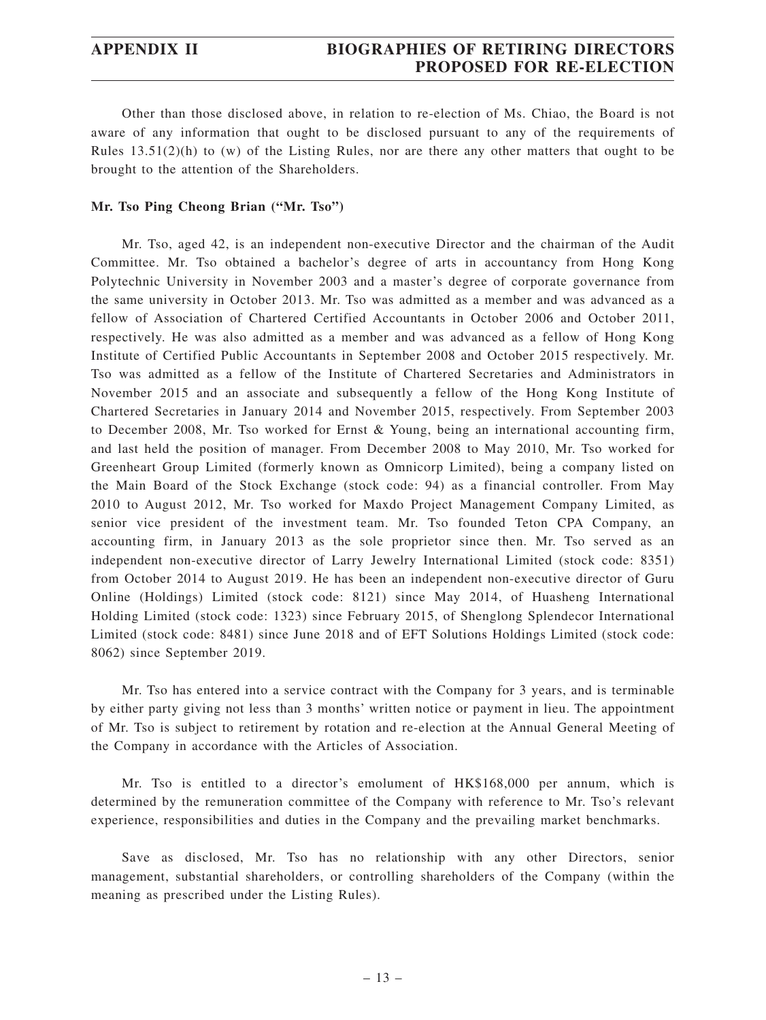Other than those disclosed above, in relation to re-election of Ms. Chiao, the Board is not aware of any information that ought to be disclosed pursuant to any of the requirements of Rules  $13.51(2)(h)$  to (w) of the Listing Rules, nor are there any other matters that ought to be brought to the attention of the Shareholders.

### **Mr. Tso Ping Cheong Brian ("Mr. Tso")**

Mr. Tso, aged 42, is an independent non-executive Director and the chairman of the Audit Committee. Mr. Tso obtained a bachelor's degree of arts in accountancy from Hong Kong Polytechnic University in November 2003 and a master's degree of corporate governance from the same university in October 2013. Mr. Tso was admitted as a member and was advanced as a fellow of Association of Chartered Certified Accountants in October 2006 and October 2011, respectively. He was also admitted as a member and was advanced as a fellow of Hong Kong Institute of Certified Public Accountants in September 2008 and October 2015 respectively. Mr. Tso was admitted as a fellow of the Institute of Chartered Secretaries and Administrators in November 2015 and an associate and subsequently a fellow of the Hong Kong Institute of Chartered Secretaries in January 2014 and November 2015, respectively. From September 2003 to December 2008, Mr. Tso worked for Ernst & Young, being an international accounting firm, and last held the position of manager. From December 2008 to May 2010, Mr. Tso worked for Greenheart Group Limited (formerly known as Omnicorp Limited), being a company listed on the Main Board of the Stock Exchange (stock code: 94) as a financial controller. From May 2010 to August 2012, Mr. Tso worked for Maxdo Project Management Company Limited, as senior vice president of the investment team. Mr. Tso founded Teton CPA Company, an accounting firm, in January 2013 as the sole proprietor since then. Mr. Tso served as an independent non-executive director of Larry Jewelry International Limited (stock code: 8351) from October 2014 to August 2019. He has been an independent non-executive director of Guru Online (Holdings) Limited (stock code: 8121) since May 2014, of Huasheng International Holding Limited (stock code: 1323) since February 2015, of Shenglong Splendecor International Limited (stock code: 8481) since June 2018 and of EFT Solutions Holdings Limited (stock code: 8062) since September 2019.

Mr. Tso has entered into a service contract with the Company for 3 years, and is terminable by either party giving not less than 3 months' written notice or payment in lieu. The appointment of Mr. Tso is subject to retirement by rotation and re-election at the Annual General Meeting of the Company in accordance with the Articles of Association.

Mr. Tso is entitled to a director's emolument of HK\$168,000 per annum, which is determined by the remuneration committee of the Company with reference to Mr. Tso's relevant experience, responsibilities and duties in the Company and the prevailing market benchmarks.

Save as disclosed, Mr. Tso has no relationship with any other Directors, senior management, substantial shareholders, or controlling shareholders of the Company (within the meaning as prescribed under the Listing Rules).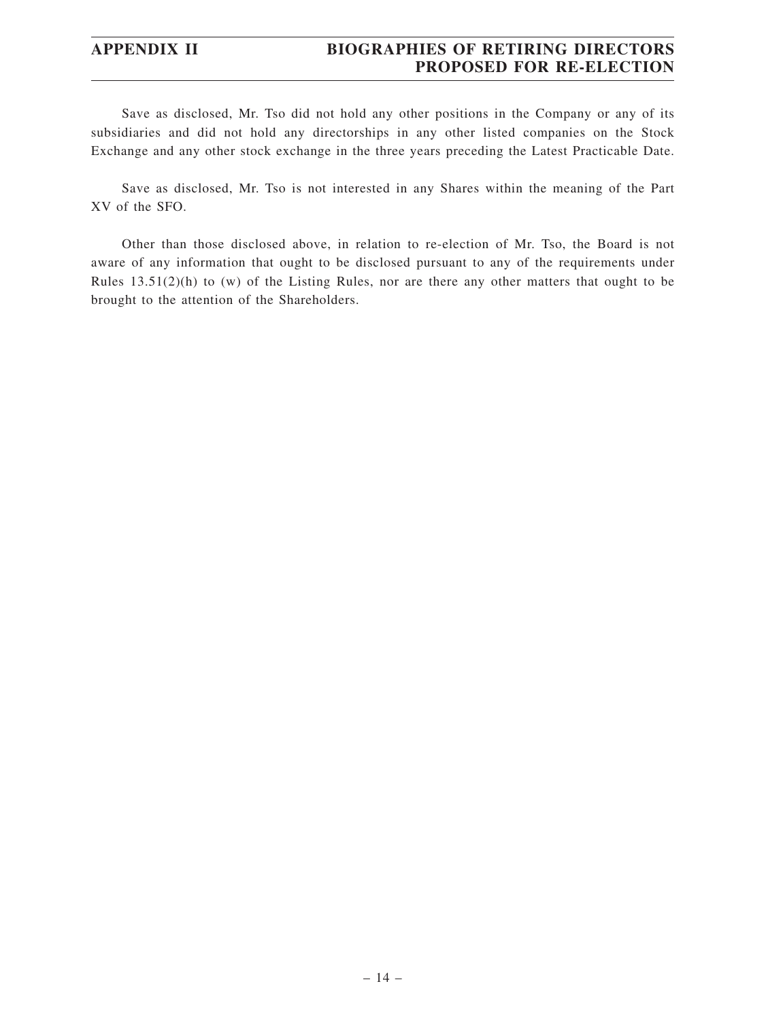# **APPENDIX II BIOGRAPHIES OF RETIRING DIRECTORS PROPOSED FOR RE-ELECTION**

Save as disclosed, Mr. Tso did not hold any other positions in the Company or any of its subsidiaries and did not hold any directorships in any other listed companies on the Stock Exchange and any other stock exchange in the three years preceding the Latest Practicable Date.

Save as disclosed, Mr. Tso is not interested in any Shares within the meaning of the Part XV of the SFO.

Other than those disclosed above, in relation to re-election of Mr. Tso, the Board is not aware of any information that ought to be disclosed pursuant to any of the requirements under Rules 13.51(2)(h) to (w) of the Listing Rules, nor are there any other matters that ought to be brought to the attention of the Shareholders.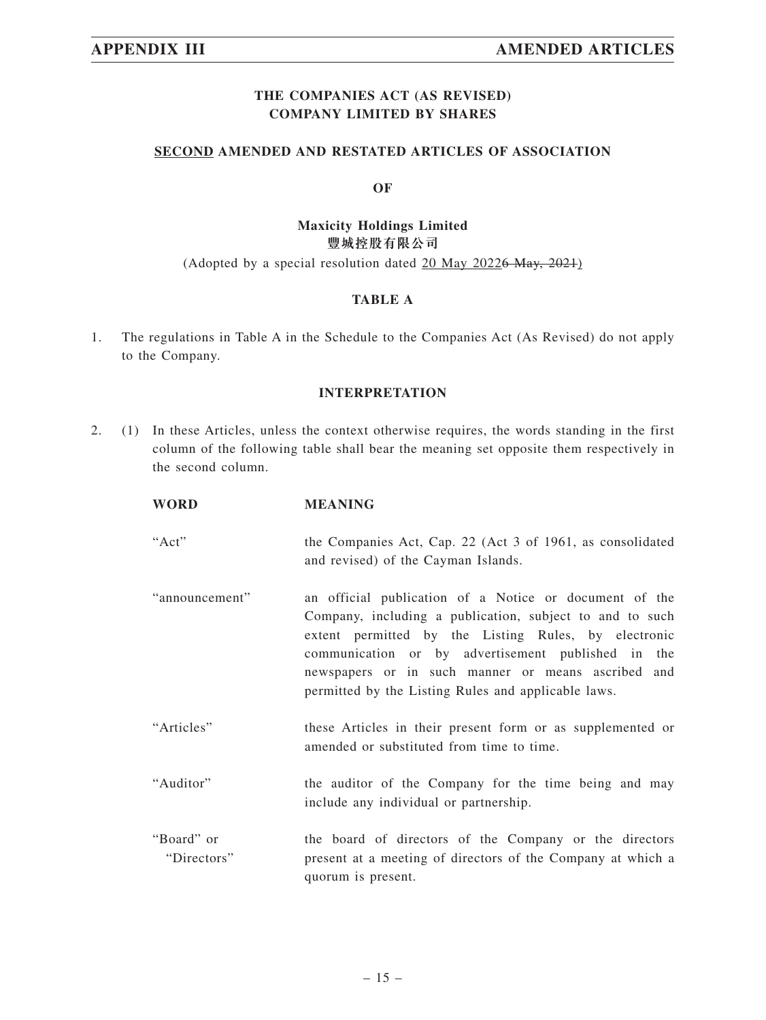# **THE COMPANIES ACT (AS REVISED) COMPANY LIMITED BY SHARES**

### **SECOND AMENDED AND RESTATED ARTICLES OF ASSOCIATION**

#### **OF**

# **Maxicity Holdings Limited 豐城控股有限公司**

### (Adopted by a special resolution dated 20 May 20226 May, 2021)

### **TABLE A**

1. The regulations in Table A in the Schedule to the Companies Act (As Revised) do not apply to the Company.

### **INTERPRETATION**

2. (1) In these Articles, unless the context otherwise requires, the words standing in the first column of the following table shall bear the meaning set opposite them respectively in the second column.

| <b>WORD</b>               | <b>MEANING</b>                                                                                                                                                                                                                                                                                                                                |
|---------------------------|-----------------------------------------------------------------------------------------------------------------------------------------------------------------------------------------------------------------------------------------------------------------------------------------------------------------------------------------------|
| "Act"                     | the Companies Act, Cap. 22 (Act 3 of 1961, as consolidated<br>and revised) of the Cayman Islands.                                                                                                                                                                                                                                             |
| "announcement"            | an official publication of a Notice or document of the<br>Company, including a publication, subject to and to such<br>extent permitted by the Listing Rules, by electronic<br>communication or by advertisement published in the<br>newspapers or in such manner or means ascribed and<br>permitted by the Listing Rules and applicable laws. |
| "Articles"                | these Articles in their present form or as supplemented or<br>amended or substituted from time to time.                                                                                                                                                                                                                                       |
| "Auditor"                 | the auditor of the Company for the time being and may<br>include any individual or partnership.                                                                                                                                                                                                                                               |
| "Board" or<br>"Directors" | the board of directors of the Company or the directors<br>present at a meeting of directors of the Company at which a                                                                                                                                                                                                                         |

quorum is present.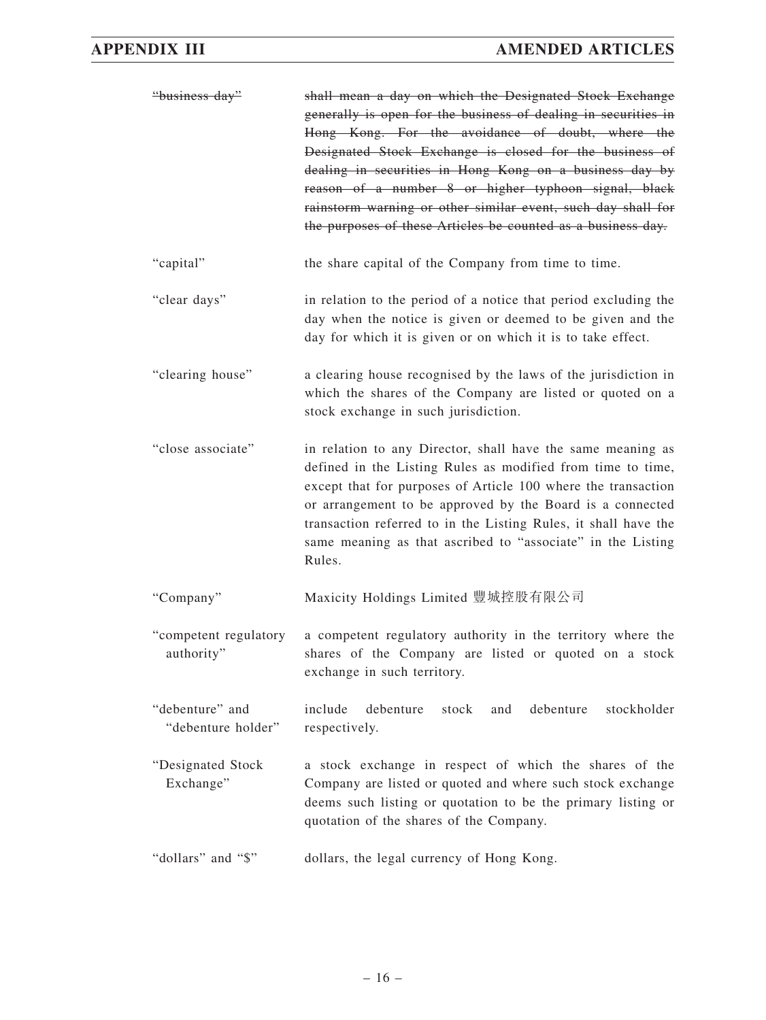| "business day"                        | shall mean a day on which the Designated Stock Exchange<br>generally is open for the business of dealing in securities in<br>Hong Kong. For the avoidance of doubt, where the<br>Designated Stock Exchange is closed for the business of<br>dealing in securities in Hong Kong on a business day by<br>reason of a number 8 or higher typhoon signal, black<br>rainstorm warning or other similar event, such day shall for<br>the purposes of these Articles be counted as a business day. |
|---------------------------------------|---------------------------------------------------------------------------------------------------------------------------------------------------------------------------------------------------------------------------------------------------------------------------------------------------------------------------------------------------------------------------------------------------------------------------------------------------------------------------------------------|
| "capital"                             | the share capital of the Company from time to time.                                                                                                                                                                                                                                                                                                                                                                                                                                         |
| "clear days"                          | in relation to the period of a notice that period excluding the<br>day when the notice is given or deemed to be given and the<br>day for which it is given or on which it is to take effect.                                                                                                                                                                                                                                                                                                |
| "clearing house"                      | a clearing house recognised by the laws of the jurisdiction in<br>which the shares of the Company are listed or quoted on a<br>stock exchange in such jurisdiction.                                                                                                                                                                                                                                                                                                                         |
| "close associate"                     | in relation to any Director, shall have the same meaning as<br>defined in the Listing Rules as modified from time to time,<br>except that for purposes of Article 100 where the transaction<br>or arrangement to be approved by the Board is a connected<br>transaction referred to in the Listing Rules, it shall have the<br>same meaning as that ascribed to "associate" in the Listing<br>Rules.                                                                                        |
| "Company"                             | Maxicity Holdings Limited 豐城控股有限公司                                                                                                                                                                                                                                                                                                                                                                                                                                                          |
| "competent regulatory<br>authority"   | a competent regulatory authority in the territory where the<br>shares of the Company are listed or quoted on a stock<br>exchange in such territory.                                                                                                                                                                                                                                                                                                                                         |
| "debenture" and<br>"debenture holder" | include<br>debenture<br>debenture<br>stock<br>and<br>stockholder<br>respectively.                                                                                                                                                                                                                                                                                                                                                                                                           |
| "Designated Stock<br>Exchange"        | a stock exchange in respect of which the shares of the<br>Company are listed or quoted and where such stock exchange<br>deems such listing or quotation to be the primary listing or<br>quotation of the shares of the Company.                                                                                                                                                                                                                                                             |
| "dollars" and "\$"                    | dollars, the legal currency of Hong Kong.                                                                                                                                                                                                                                                                                                                                                                                                                                                   |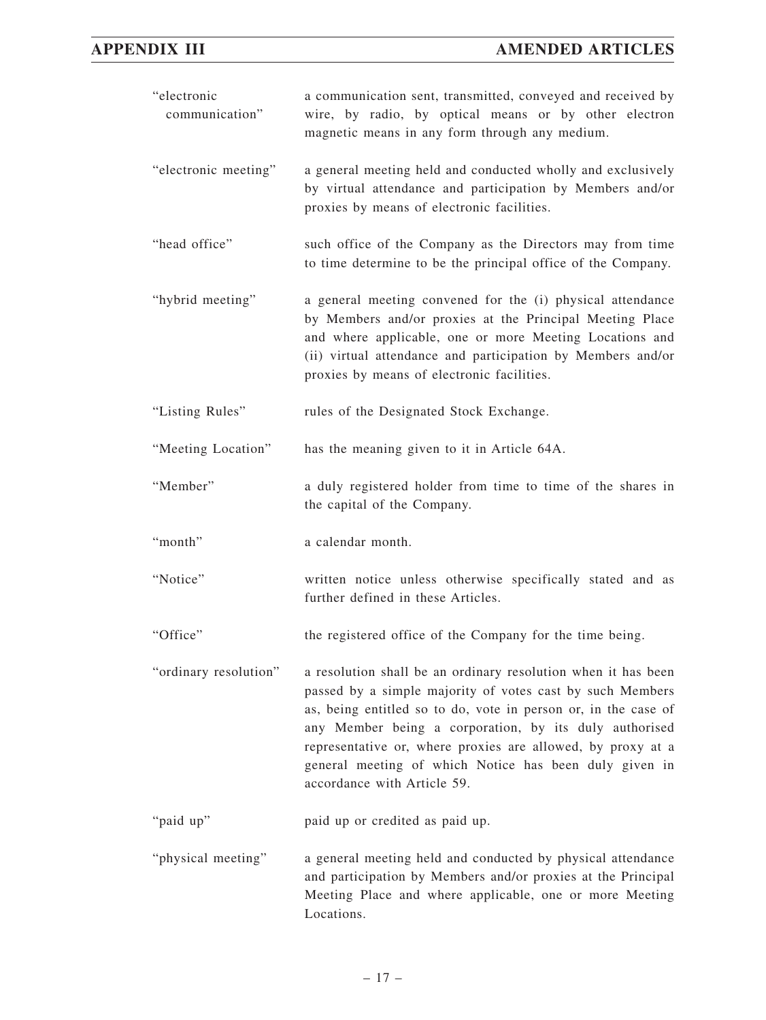| "electronic<br>communication" | a communication sent, transmitted, conveyed and received by<br>wire, by radio, by optical means or by other electron<br>magnetic means in any form through any medium.                                                                                                                                                                                                                                         |
|-------------------------------|----------------------------------------------------------------------------------------------------------------------------------------------------------------------------------------------------------------------------------------------------------------------------------------------------------------------------------------------------------------------------------------------------------------|
| "electronic meeting"          | a general meeting held and conducted wholly and exclusively<br>by virtual attendance and participation by Members and/or<br>proxies by means of electronic facilities.                                                                                                                                                                                                                                         |
| "head office"                 | such office of the Company as the Directors may from time<br>to time determine to be the principal office of the Company.                                                                                                                                                                                                                                                                                      |
| "hybrid meeting"              | a general meeting convened for the (i) physical attendance<br>by Members and/or proxies at the Principal Meeting Place<br>and where applicable, one or more Meeting Locations and<br>(ii) virtual attendance and participation by Members and/or<br>proxies by means of electronic facilities.                                                                                                                 |
| "Listing Rules"               | rules of the Designated Stock Exchange.                                                                                                                                                                                                                                                                                                                                                                        |
| "Meeting Location"            | has the meaning given to it in Article 64A.                                                                                                                                                                                                                                                                                                                                                                    |
| "Member"                      | a duly registered holder from time to time of the shares in<br>the capital of the Company.                                                                                                                                                                                                                                                                                                                     |
| "month"                       | a calendar month.                                                                                                                                                                                                                                                                                                                                                                                              |
| "Notice"                      | written notice unless otherwise specifically stated and as<br>further defined in these Articles.                                                                                                                                                                                                                                                                                                               |
| "Office"                      | the registered office of the Company for the time being.                                                                                                                                                                                                                                                                                                                                                       |
| "ordinary resolution"         | a resolution shall be an ordinary resolution when it has been<br>passed by a simple majority of votes cast by such Members<br>as, being entitled so to do, vote in person or, in the case of<br>any Member being a corporation, by its duly authorised<br>representative or, where proxies are allowed, by proxy at a<br>general meeting of which Notice has been duly given in<br>accordance with Article 59. |
| "paid up"                     | paid up or credited as paid up.                                                                                                                                                                                                                                                                                                                                                                                |
| "physical meeting"            | a general meeting held and conducted by physical attendance<br>and participation by Members and/or proxies at the Principal<br>Meeting Place and where applicable, one or more Meeting<br>Locations.                                                                                                                                                                                                           |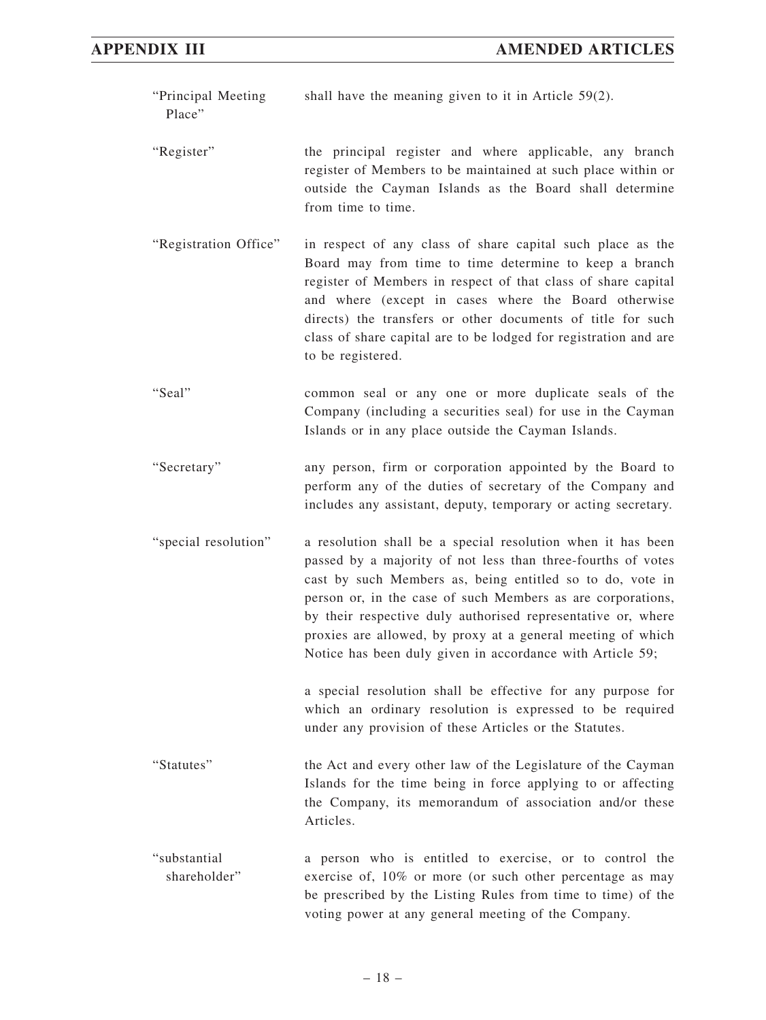| "Principal Meeting<br>Place" | shall have the meaning given to it in Article $59(2)$ .                                                                                                                                                                                                                                                                                                                                                                                             |
|------------------------------|-----------------------------------------------------------------------------------------------------------------------------------------------------------------------------------------------------------------------------------------------------------------------------------------------------------------------------------------------------------------------------------------------------------------------------------------------------|
| "Register"                   | the principal register and where applicable, any branch<br>register of Members to be maintained at such place within or<br>outside the Cayman Islands as the Board shall determine<br>from time to time.                                                                                                                                                                                                                                            |
| "Registration Office"        | in respect of any class of share capital such place as the<br>Board may from time to time determine to keep a branch<br>register of Members in respect of that class of share capital<br>and where (except in cases where the Board otherwise<br>directs) the transfers or other documents of title for such<br>class of share capital are to be lodged for registration and are<br>to be registered.                                               |
| "Seal"                       | common seal or any one or more duplicate seals of the<br>Company (including a securities seal) for use in the Cayman<br>Islands or in any place outside the Cayman Islands.                                                                                                                                                                                                                                                                         |
| "Secretary"                  | any person, firm or corporation appointed by the Board to<br>perform any of the duties of secretary of the Company and<br>includes any assistant, deputy, temporary or acting secretary.                                                                                                                                                                                                                                                            |
| "special resolution"         | a resolution shall be a special resolution when it has been<br>passed by a majority of not less than three-fourths of votes<br>cast by such Members as, being entitled so to do, vote in<br>person or, in the case of such Members as are corporations,<br>by their respective duly authorised representative or, where<br>proxies are allowed, by proxy at a general meeting of which<br>Notice has been duly given in accordance with Article 59; |
|                              | a special resolution shall be effective for any purpose for<br>which an ordinary resolution is expressed to be required<br>under any provision of these Articles or the Statutes.                                                                                                                                                                                                                                                                   |
| "Statutes"                   | the Act and every other law of the Legislature of the Cayman<br>Islands for the time being in force applying to or affecting<br>the Company, its memorandum of association and/or these<br>Articles.                                                                                                                                                                                                                                                |
| "substantial<br>shareholder" | a person who is entitled to exercise, or to control the<br>exercise of, 10% or more (or such other percentage as may<br>be prescribed by the Listing Rules from time to time) of the<br>voting power at any general meeting of the Company.                                                                                                                                                                                                         |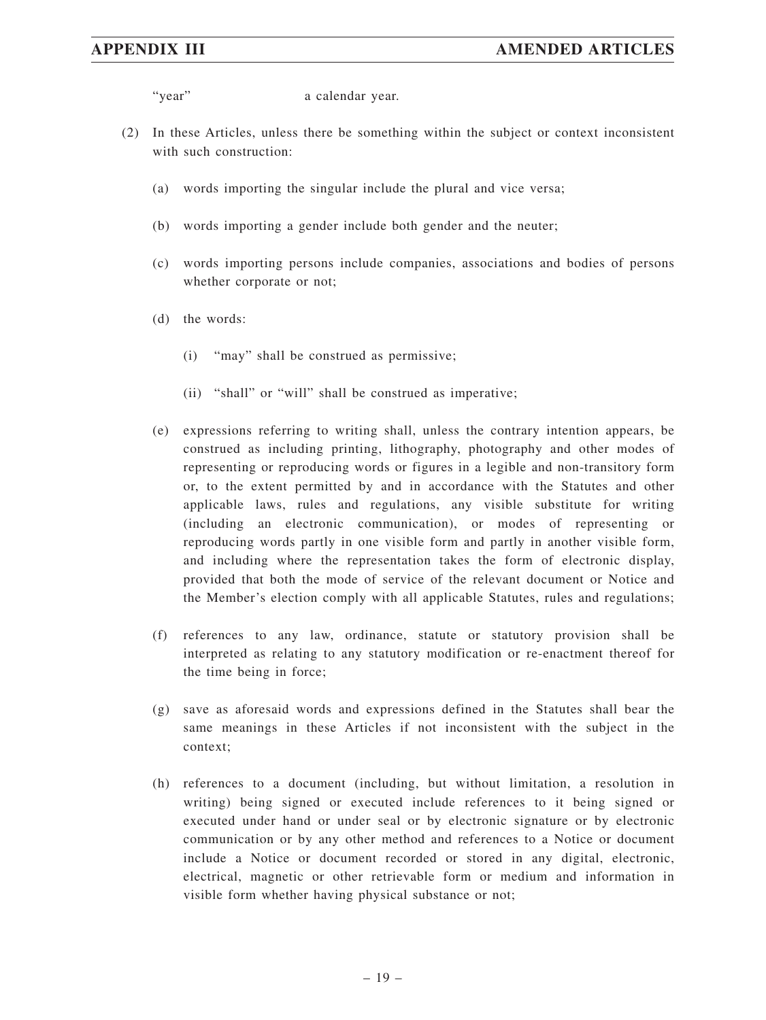"year" a calendar year.

- (2) In these Articles, unless there be something within the subject or context inconsistent with such construction:
	- (a) words importing the singular include the plural and vice versa;
	- (b) words importing a gender include both gender and the neuter;
	- (c) words importing persons include companies, associations and bodies of persons whether corporate or not;
	- (d) the words:
		- (i) "may" shall be construed as permissive;
		- (ii) "shall" or "will" shall be construed as imperative;
	- (e) expressions referring to writing shall, unless the contrary intention appears, be construed as including printing, lithography, photography and other modes of representing or reproducing words or figures in a legible and non-transitory form or, to the extent permitted by and in accordance with the Statutes and other applicable laws, rules and regulations, any visible substitute for writing (including an electronic communication), or modes of representing or reproducing words partly in one visible form and partly in another visible form, and including where the representation takes the form of electronic display, provided that both the mode of service of the relevant document or Notice and the Member's election comply with all applicable Statutes, rules and regulations;
	- (f) references to any law, ordinance, statute or statutory provision shall be interpreted as relating to any statutory modification or re-enactment thereof for the time being in force;
	- (g) save as aforesaid words and expressions defined in the Statutes shall bear the same meanings in these Articles if not inconsistent with the subject in the context;
	- (h) references to a document (including, but without limitation, a resolution in writing) being signed or executed include references to it being signed or executed under hand or under seal or by electronic signature or by electronic communication or by any other method and references to a Notice or document include a Notice or document recorded or stored in any digital, electronic, electrical, magnetic or other retrievable form or medium and information in visible form whether having physical substance or not;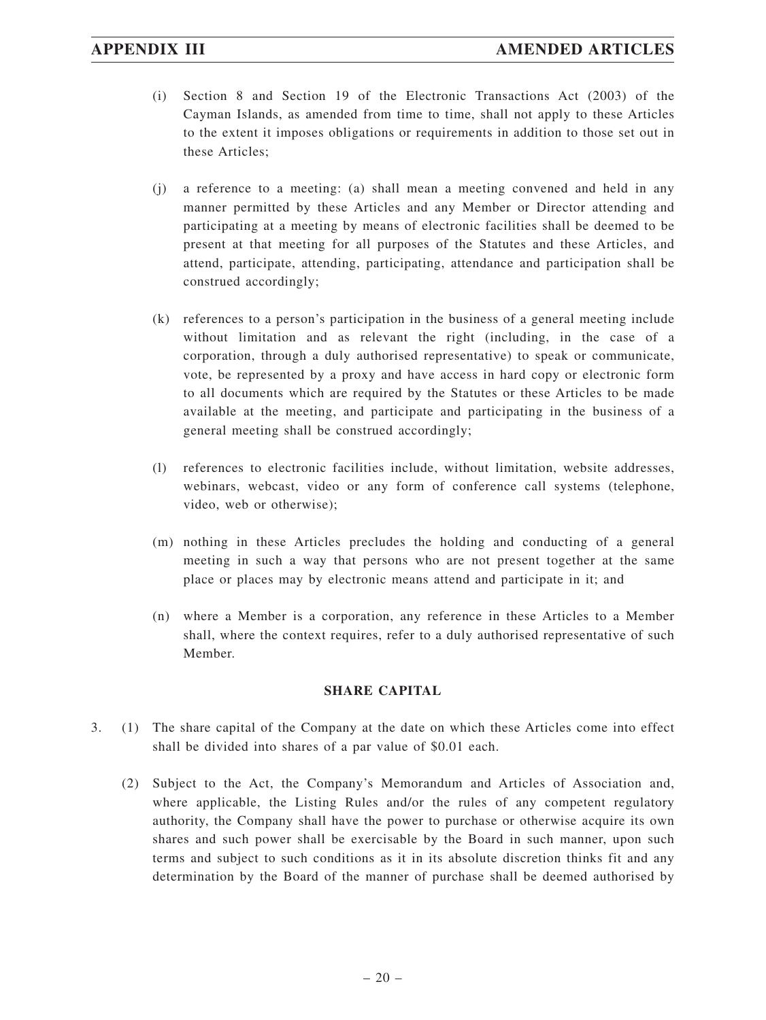- (i) Section 8 and Section 19 of the Electronic Transactions Act (2003) of the Cayman Islands, as amended from time to time, shall not apply to these Articles to the extent it imposes obligations or requirements in addition to those set out in these Articles;
- (j) a reference to a meeting: (a) shall mean a meeting convened and held in any manner permitted by these Articles and any Member or Director attending and participating at a meeting by means of electronic facilities shall be deemed to be present at that meeting for all purposes of the Statutes and these Articles, and attend, participate, attending, participating, attendance and participation shall be construed accordingly;
- (k) references to a person's participation in the business of a general meeting include without limitation and as relevant the right (including, in the case of a corporation, through a duly authorised representative) to speak or communicate, vote, be represented by a proxy and have access in hard copy or electronic form to all documents which are required by the Statutes or these Articles to be made available at the meeting, and participate and participating in the business of a general meeting shall be construed accordingly;
- (l) references to electronic facilities include, without limitation, website addresses, webinars, webcast, video or any form of conference call systems (telephone, video, web or otherwise);
- (m) nothing in these Articles precludes the holding and conducting of a general meeting in such a way that persons who are not present together at the same place or places may by electronic means attend and participate in it; and
- (n) where a Member is a corporation, any reference in these Articles to a Member shall, where the context requires, refer to a duly authorised representative of such Member.

### **SHARE CAPITAL**

- 3. (1) The share capital of the Company at the date on which these Articles come into effect shall be divided into shares of a par value of \$0.01 each.
	- (2) Subject to the Act, the Company's Memorandum and Articles of Association and, where applicable, the Listing Rules and/or the rules of any competent regulatory authority, the Company shall have the power to purchase or otherwise acquire its own shares and such power shall be exercisable by the Board in such manner, upon such terms and subject to such conditions as it in its absolute discretion thinks fit and any determination by the Board of the manner of purchase shall be deemed authorised by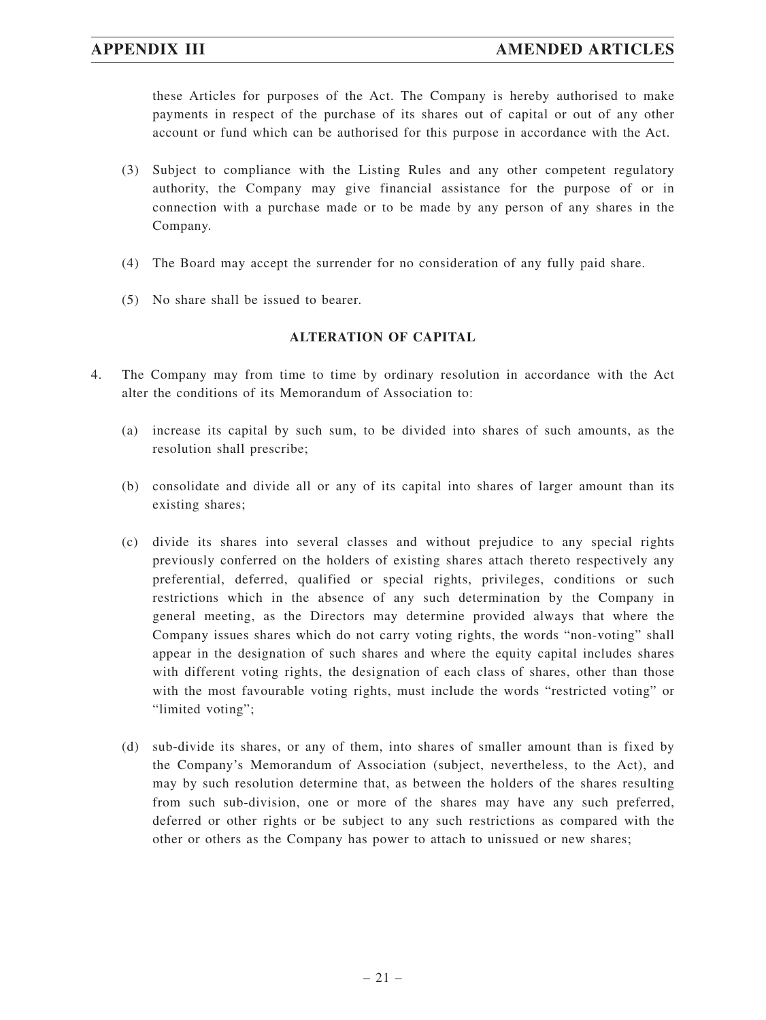these Articles for purposes of the Act. The Company is hereby authorised to make payments in respect of the purchase of its shares out of capital or out of any other account or fund which can be authorised for this purpose in accordance with the Act.

- (3) Subject to compliance with the Listing Rules and any other competent regulatory authority, the Company may give financial assistance for the purpose of or in connection with a purchase made or to be made by any person of any shares in the Company.
- (4) The Board may accept the surrender for no consideration of any fully paid share.
- (5) No share shall be issued to bearer.

### **ALTERATION OF CAPITAL**

- 4. The Company may from time to time by ordinary resolution in accordance with the Act alter the conditions of its Memorandum of Association to:
	- (a) increase its capital by such sum, to be divided into shares of such amounts, as the resolution shall prescribe;
	- (b) consolidate and divide all or any of its capital into shares of larger amount than its existing shares;
	- (c) divide its shares into several classes and without prejudice to any special rights previously conferred on the holders of existing shares attach thereto respectively any preferential, deferred, qualified or special rights, privileges, conditions or such restrictions which in the absence of any such determination by the Company in general meeting, as the Directors may determine provided always that where the Company issues shares which do not carry voting rights, the words "non-voting" shall appear in the designation of such shares and where the equity capital includes shares with different voting rights, the designation of each class of shares, other than those with the most favourable voting rights, must include the words "restricted voting" or "limited voting";
	- (d) sub-divide its shares, or any of them, into shares of smaller amount than is fixed by the Company's Memorandum of Association (subject, nevertheless, to the Act), and may by such resolution determine that, as between the holders of the shares resulting from such sub-division, one or more of the shares may have any such preferred, deferred or other rights or be subject to any such restrictions as compared with the other or others as the Company has power to attach to unissued or new shares;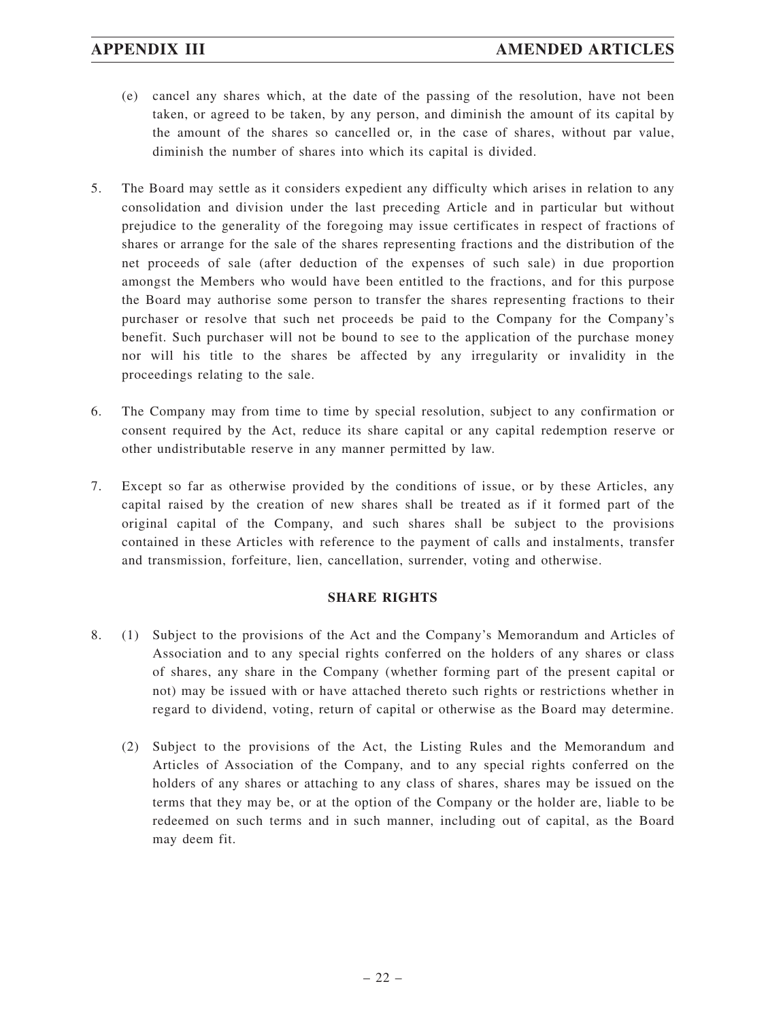- (e) cancel any shares which, at the date of the passing of the resolution, have not been taken, or agreed to be taken, by any person, and diminish the amount of its capital by the amount of the shares so cancelled or, in the case of shares, without par value, diminish the number of shares into which its capital is divided.
- 5. The Board may settle as it considers expedient any difficulty which arises in relation to any consolidation and division under the last preceding Article and in particular but without prejudice to the generality of the foregoing may issue certificates in respect of fractions of shares or arrange for the sale of the shares representing fractions and the distribution of the net proceeds of sale (after deduction of the expenses of such sale) in due proportion amongst the Members who would have been entitled to the fractions, and for this purpose the Board may authorise some person to transfer the shares representing fractions to their purchaser or resolve that such net proceeds be paid to the Company for the Company's benefit. Such purchaser will not be bound to see to the application of the purchase money nor will his title to the shares be affected by any irregularity or invalidity in the proceedings relating to the sale.
- 6. The Company may from time to time by special resolution, subject to any confirmation or consent required by the Act, reduce its share capital or any capital redemption reserve or other undistributable reserve in any manner permitted by law.
- 7. Except so far as otherwise provided by the conditions of issue, or by these Articles, any capital raised by the creation of new shares shall be treated as if it formed part of the original capital of the Company, and such shares shall be subject to the provisions contained in these Articles with reference to the payment of calls and instalments, transfer and transmission, forfeiture, lien, cancellation, surrender, voting and otherwise.

### **SHARE RIGHTS**

- 8. (1) Subject to the provisions of the Act and the Company's Memorandum and Articles of Association and to any special rights conferred on the holders of any shares or class of shares, any share in the Company (whether forming part of the present capital or not) may be issued with or have attached thereto such rights or restrictions whether in regard to dividend, voting, return of capital or otherwise as the Board may determine.
	- (2) Subject to the provisions of the Act, the Listing Rules and the Memorandum and Articles of Association of the Company, and to any special rights conferred on the holders of any shares or attaching to any class of shares, shares may be issued on the terms that they may be, or at the option of the Company or the holder are, liable to be redeemed on such terms and in such manner, including out of capital, as the Board may deem fit.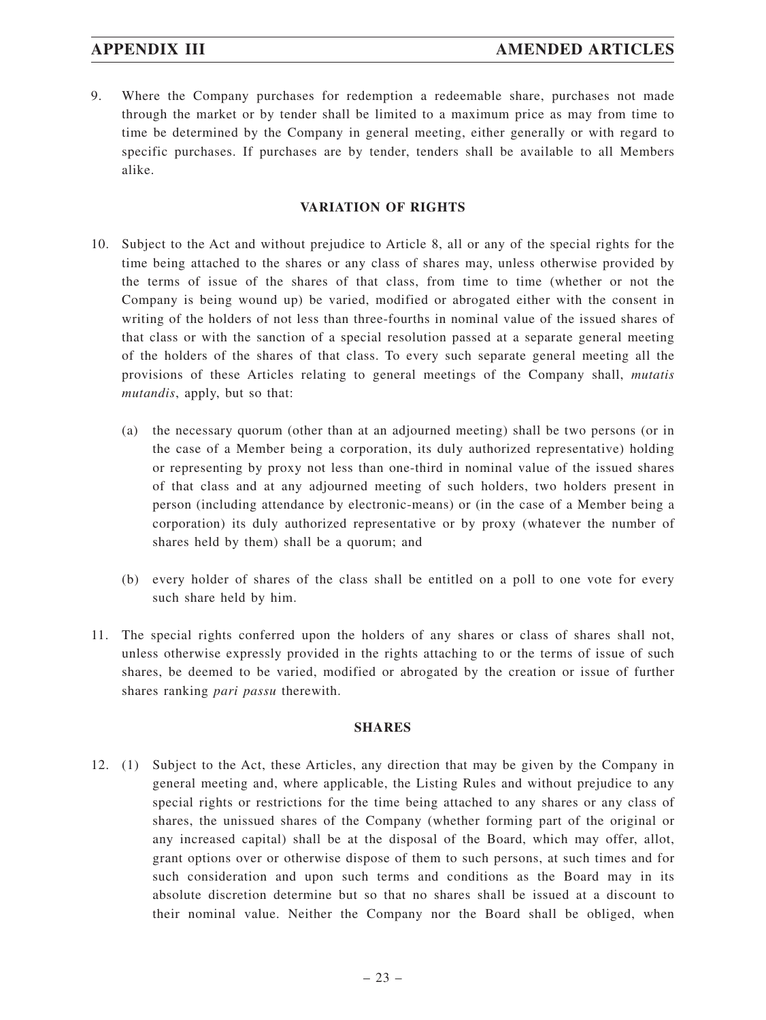9. Where the Company purchases for redemption a redeemable share, purchases not made through the market or by tender shall be limited to a maximum price as may from time to time be determined by the Company in general meeting, either generally or with regard to specific purchases. If purchases are by tender, tenders shall be available to all Members alike.

### **VARIATION OF RIGHTS**

- 10. Subject to the Act and without prejudice to Article 8, all or any of the special rights for the time being attached to the shares or any class of shares may, unless otherwise provided by the terms of issue of the shares of that class, from time to time (whether or not the Company is being wound up) be varied, modified or abrogated either with the consent in writing of the holders of not less than three-fourths in nominal value of the issued shares of that class or with the sanction of a special resolution passed at a separate general meeting of the holders of the shares of that class. To every such separate general meeting all the provisions of these Articles relating to general meetings of the Company shall, *mutatis mutandis*, apply, but so that:
	- (a) the necessary quorum (other than at an adjourned meeting) shall be two persons (or in the case of a Member being a corporation, its duly authorized representative) holding or representing by proxy not less than one-third in nominal value of the issued shares of that class and at any adjourned meeting of such holders, two holders present in person (including attendance by electronic-means) or (in the case of a Member being a corporation) its duly authorized representative or by proxy (whatever the number of shares held by them) shall be a quorum; and
	- (b) every holder of shares of the class shall be entitled on a poll to one vote for every such share held by him.
- 11. The special rights conferred upon the holders of any shares or class of shares shall not, unless otherwise expressly provided in the rights attaching to or the terms of issue of such shares, be deemed to be varied, modified or abrogated by the creation or issue of further shares ranking *pari passu* therewith.

#### **SHARES**

12. (1) Subject to the Act, these Articles, any direction that may be given by the Company in general meeting and, where applicable, the Listing Rules and without prejudice to any special rights or restrictions for the time being attached to any shares or any class of shares, the unissued shares of the Company (whether forming part of the original or any increased capital) shall be at the disposal of the Board, which may offer, allot, grant options over or otherwise dispose of them to such persons, at such times and for such consideration and upon such terms and conditions as the Board may in its absolute discretion determine but so that no shares shall be issued at a discount to their nominal value. Neither the Company nor the Board shall be obliged, when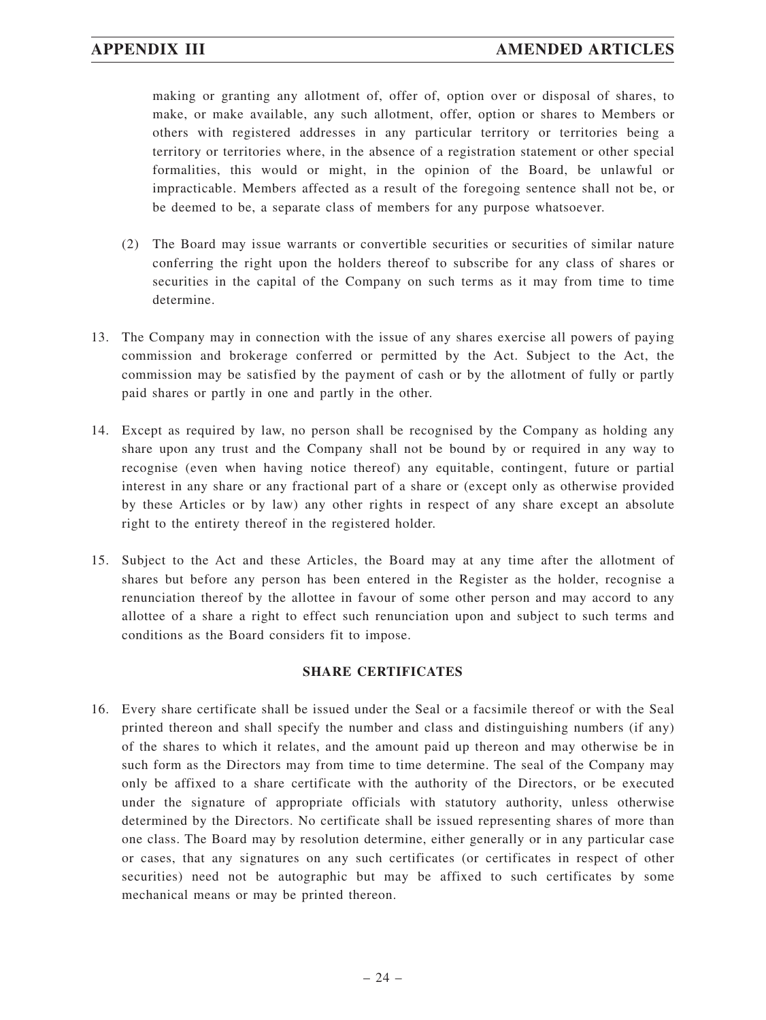making or granting any allotment of, offer of, option over or disposal of shares, to make, or make available, any such allotment, offer, option or shares to Members or others with registered addresses in any particular territory or territories being a territory or territories where, in the absence of a registration statement or other special formalities, this would or might, in the opinion of the Board, be unlawful or impracticable. Members affected as a result of the foregoing sentence shall not be, or be deemed to be, a separate class of members for any purpose whatsoever.

- (2) The Board may issue warrants or convertible securities or securities of similar nature conferring the right upon the holders thereof to subscribe for any class of shares or securities in the capital of the Company on such terms as it may from time to time determine.
- 13. The Company may in connection with the issue of any shares exercise all powers of paying commission and brokerage conferred or permitted by the Act. Subject to the Act, the commission may be satisfied by the payment of cash or by the allotment of fully or partly paid shares or partly in one and partly in the other.
- 14. Except as required by law, no person shall be recognised by the Company as holding any share upon any trust and the Company shall not be bound by or required in any way to recognise (even when having notice thereof) any equitable, contingent, future or partial interest in any share or any fractional part of a share or (except only as otherwise provided by these Articles or by law) any other rights in respect of any share except an absolute right to the entirety thereof in the registered holder.
- 15. Subject to the Act and these Articles, the Board may at any time after the allotment of shares but before any person has been entered in the Register as the holder, recognise a renunciation thereof by the allottee in favour of some other person and may accord to any allottee of a share a right to effect such renunciation upon and subject to such terms and conditions as the Board considers fit to impose.

### **SHARE CERTIFICATES**

16. Every share certificate shall be issued under the Seal or a facsimile thereof or with the Seal printed thereon and shall specify the number and class and distinguishing numbers (if any) of the shares to which it relates, and the amount paid up thereon and may otherwise be in such form as the Directors may from time to time determine. The seal of the Company may only be affixed to a share certificate with the authority of the Directors, or be executed under the signature of appropriate officials with statutory authority, unless otherwise determined by the Directors. No certificate shall be issued representing shares of more than one class. The Board may by resolution determine, either generally or in any particular case or cases, that any signatures on any such certificates (or certificates in respect of other securities) need not be autographic but may be affixed to such certificates by some mechanical means or may be printed thereon.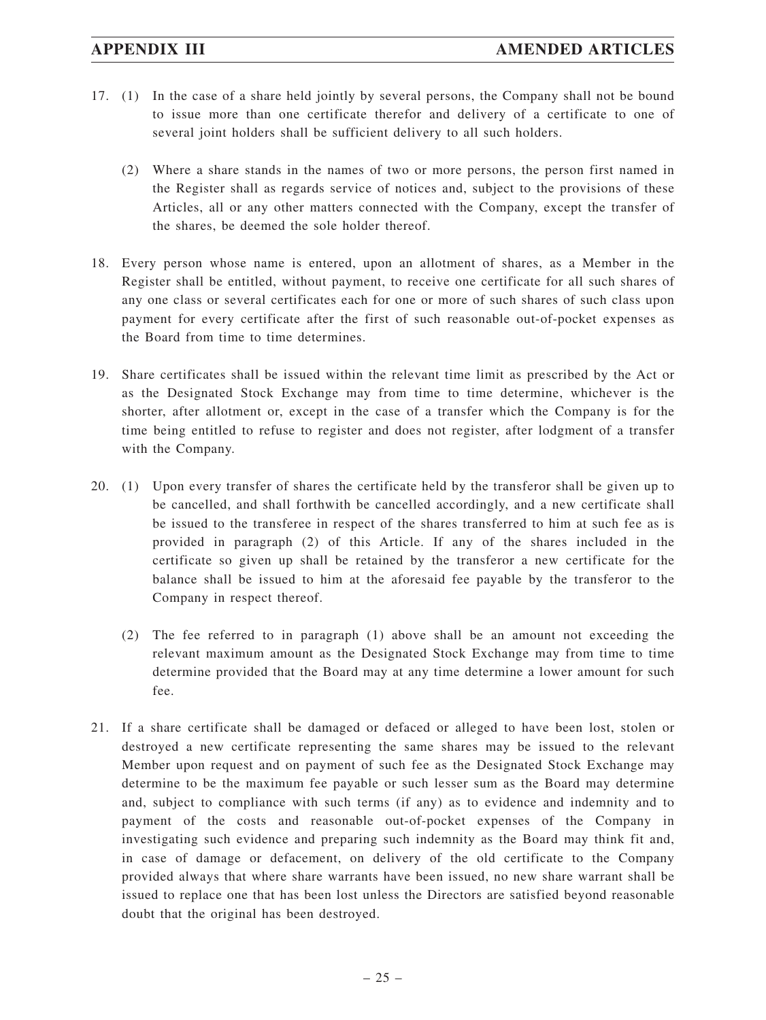- 17. (1) In the case of a share held jointly by several persons, the Company shall not be bound to issue more than one certificate therefor and delivery of a certificate to one of several joint holders shall be sufficient delivery to all such holders.
	- (2) Where a share stands in the names of two or more persons, the person first named in the Register shall as regards service of notices and, subject to the provisions of these Articles, all or any other matters connected with the Company, except the transfer of the shares, be deemed the sole holder thereof.
- 18. Every person whose name is entered, upon an allotment of shares, as a Member in the Register shall be entitled, without payment, to receive one certificate for all such shares of any one class or several certificates each for one or more of such shares of such class upon payment for every certificate after the first of such reasonable out-of-pocket expenses as the Board from time to time determines.
- 19. Share certificates shall be issued within the relevant time limit as prescribed by the Act or as the Designated Stock Exchange may from time to time determine, whichever is the shorter, after allotment or, except in the case of a transfer which the Company is for the time being entitled to refuse to register and does not register, after lodgment of a transfer with the Company.
- 20. (1) Upon every transfer of shares the certificate held by the transferor shall be given up to be cancelled, and shall forthwith be cancelled accordingly, and a new certificate shall be issued to the transferee in respect of the shares transferred to him at such fee as is provided in paragraph (2) of this Article. If any of the shares included in the certificate so given up shall be retained by the transferor a new certificate for the balance shall be issued to him at the aforesaid fee payable by the transferor to the Company in respect thereof.
	- (2) The fee referred to in paragraph (1) above shall be an amount not exceeding the relevant maximum amount as the Designated Stock Exchange may from time to time determine provided that the Board may at any time determine a lower amount for such fee.
- 21. If a share certificate shall be damaged or defaced or alleged to have been lost, stolen or destroyed a new certificate representing the same shares may be issued to the relevant Member upon request and on payment of such fee as the Designated Stock Exchange may determine to be the maximum fee payable or such lesser sum as the Board may determine and, subject to compliance with such terms (if any) as to evidence and indemnity and to payment of the costs and reasonable out-of-pocket expenses of the Company in investigating such evidence and preparing such indemnity as the Board may think fit and, in case of damage or defacement, on delivery of the old certificate to the Company provided always that where share warrants have been issued, no new share warrant shall be issued to replace one that has been lost unless the Directors are satisfied beyond reasonable doubt that the original has been destroyed.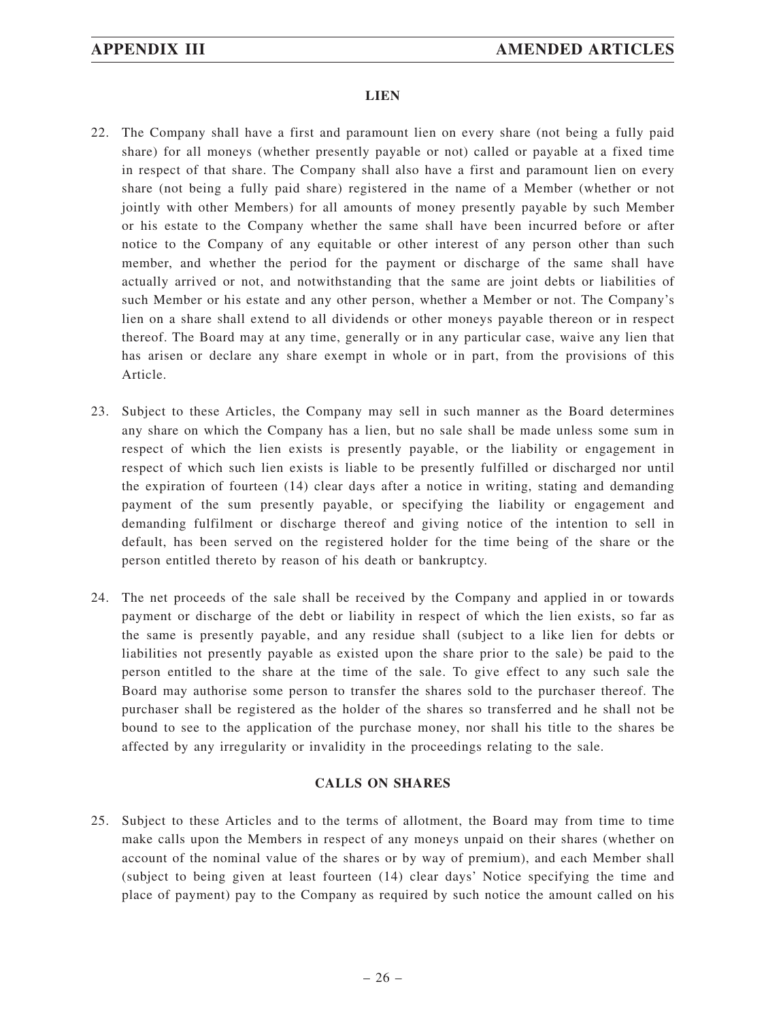### **LIEN**

- 22. The Company shall have a first and paramount lien on every share (not being a fully paid share) for all moneys (whether presently payable or not) called or payable at a fixed time in respect of that share. The Company shall also have a first and paramount lien on every share (not being a fully paid share) registered in the name of a Member (whether or not jointly with other Members) for all amounts of money presently payable by such Member or his estate to the Company whether the same shall have been incurred before or after notice to the Company of any equitable or other interest of any person other than such member, and whether the period for the payment or discharge of the same shall have actually arrived or not, and notwithstanding that the same are joint debts or liabilities of such Member or his estate and any other person, whether a Member or not. The Company's lien on a share shall extend to all dividends or other moneys payable thereon or in respect thereof. The Board may at any time, generally or in any particular case, waive any lien that has arisen or declare any share exempt in whole or in part, from the provisions of this Article.
- 23. Subject to these Articles, the Company may sell in such manner as the Board determines any share on which the Company has a lien, but no sale shall be made unless some sum in respect of which the lien exists is presently payable, or the liability or engagement in respect of which such lien exists is liable to be presently fulfilled or discharged nor until the expiration of fourteen (14) clear days after a notice in writing, stating and demanding payment of the sum presently payable, or specifying the liability or engagement and demanding fulfilment or discharge thereof and giving notice of the intention to sell in default, has been served on the registered holder for the time being of the share or the person entitled thereto by reason of his death or bankruptcy.
- 24. The net proceeds of the sale shall be received by the Company and applied in or towards payment or discharge of the debt or liability in respect of which the lien exists, so far as the same is presently payable, and any residue shall (subject to a like lien for debts or liabilities not presently payable as existed upon the share prior to the sale) be paid to the person entitled to the share at the time of the sale. To give effect to any such sale the Board may authorise some person to transfer the shares sold to the purchaser thereof. The purchaser shall be registered as the holder of the shares so transferred and he shall not be bound to see to the application of the purchase money, nor shall his title to the shares be affected by any irregularity or invalidity in the proceedings relating to the sale.

### **CALLS ON SHARES**

25. Subject to these Articles and to the terms of allotment, the Board may from time to time make calls upon the Members in respect of any moneys unpaid on their shares (whether on account of the nominal value of the shares or by way of premium), and each Member shall (subject to being given at least fourteen (14) clear days' Notice specifying the time and place of payment) pay to the Company as required by such notice the amount called on his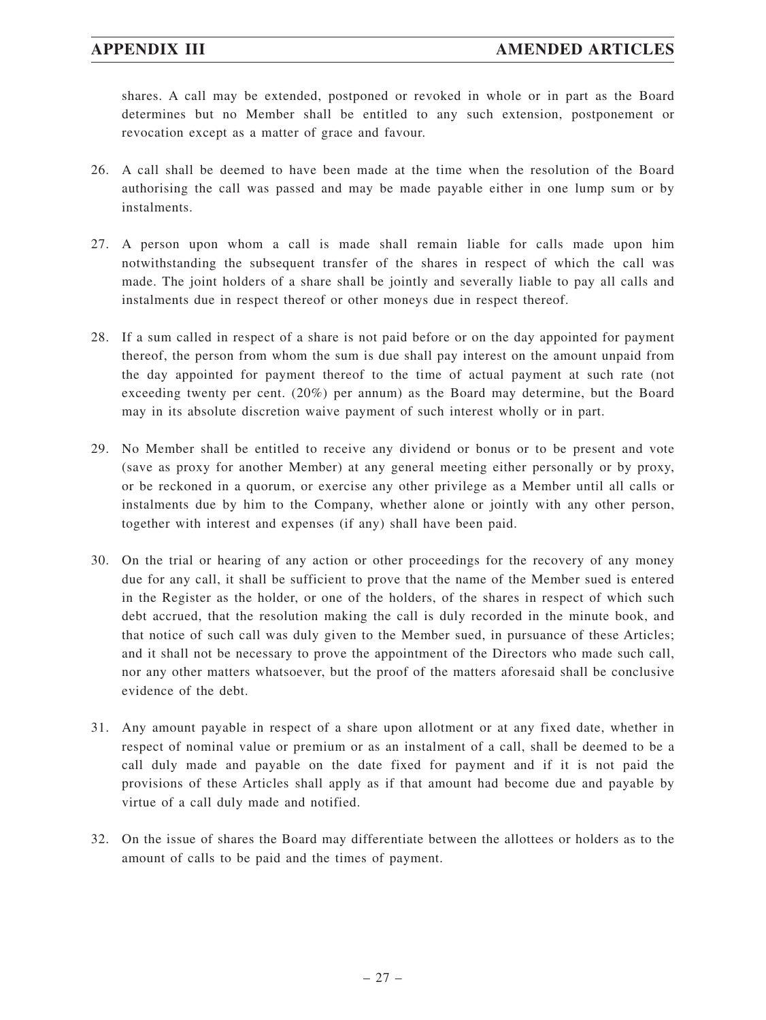shares. A call may be extended, postponed or revoked in whole or in part as the Board determines but no Member shall be entitled to any such extension, postponement or revocation except as a matter of grace and favour.

- 26. A call shall be deemed to have been made at the time when the resolution of the Board authorising the call was passed and may be made payable either in one lump sum or by instalments.
- 27. A person upon whom a call is made shall remain liable for calls made upon him notwithstanding the subsequent transfer of the shares in respect of which the call was made. The joint holders of a share shall be jointly and severally liable to pay all calls and instalments due in respect thereof or other moneys due in respect thereof.
- 28. If a sum called in respect of a share is not paid before or on the day appointed for payment thereof, the person from whom the sum is due shall pay interest on the amount unpaid from the day appointed for payment thereof to the time of actual payment at such rate (not exceeding twenty per cent. (20%) per annum) as the Board may determine, but the Board may in its absolute discretion waive payment of such interest wholly or in part.
- 29. No Member shall be entitled to receive any dividend or bonus or to be present and vote (save as proxy for another Member) at any general meeting either personally or by proxy, or be reckoned in a quorum, or exercise any other privilege as a Member until all calls or instalments due by him to the Company, whether alone or jointly with any other person, together with interest and expenses (if any) shall have been paid.
- 30. On the trial or hearing of any action or other proceedings for the recovery of any money due for any call, it shall be sufficient to prove that the name of the Member sued is entered in the Register as the holder, or one of the holders, of the shares in respect of which such debt accrued, that the resolution making the call is duly recorded in the minute book, and that notice of such call was duly given to the Member sued, in pursuance of these Articles; and it shall not be necessary to prove the appointment of the Directors who made such call, nor any other matters whatsoever, but the proof of the matters aforesaid shall be conclusive evidence of the debt.
- 31. Any amount payable in respect of a share upon allotment or at any fixed date, whether in respect of nominal value or premium or as an instalment of a call, shall be deemed to be a call duly made and payable on the date fixed for payment and if it is not paid the provisions of these Articles shall apply as if that amount had become due and payable by virtue of a call duly made and notified.
- 32. On the issue of shares the Board may differentiate between the allottees or holders as to the amount of calls to be paid and the times of payment.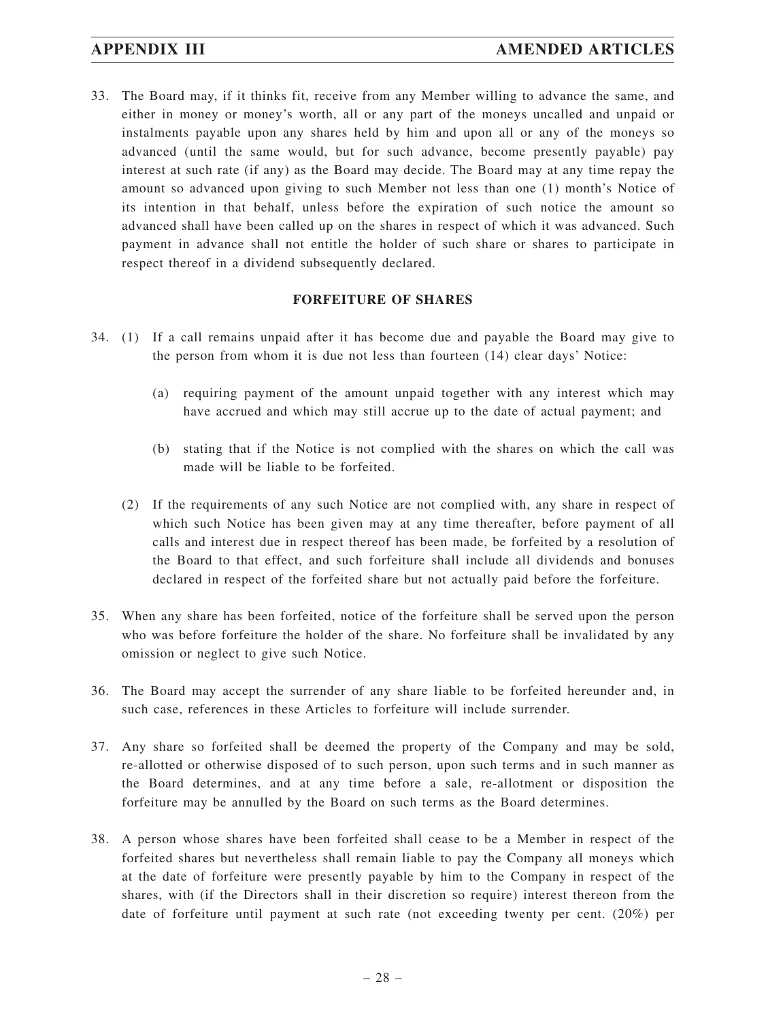33. The Board may, if it thinks fit, receive from any Member willing to advance the same, and either in money or money's worth, all or any part of the moneys uncalled and unpaid or instalments payable upon any shares held by him and upon all or any of the moneys so advanced (until the same would, but for such advance, become presently payable) pay interest at such rate (if any) as the Board may decide. The Board may at any time repay the amount so advanced upon giving to such Member not less than one (1) month's Notice of its intention in that behalf, unless before the expiration of such notice the amount so advanced shall have been called up on the shares in respect of which it was advanced. Such payment in advance shall not entitle the holder of such share or shares to participate in respect thereof in a dividend subsequently declared.

### **FORFEITURE OF SHARES**

- 34. (1) If a call remains unpaid after it has become due and payable the Board may give to the person from whom it is due not less than fourteen (14) clear days' Notice:
	- (a) requiring payment of the amount unpaid together with any interest which may have accrued and which may still accrue up to the date of actual payment; and
	- (b) stating that if the Notice is not complied with the shares on which the call was made will be liable to be forfeited.
	- (2) If the requirements of any such Notice are not complied with, any share in respect of which such Notice has been given may at any time thereafter, before payment of all calls and interest due in respect thereof has been made, be forfeited by a resolution of the Board to that effect, and such forfeiture shall include all dividends and bonuses declared in respect of the forfeited share but not actually paid before the forfeiture.
- 35. When any share has been forfeited, notice of the forfeiture shall be served upon the person who was before forfeiture the holder of the share. No forfeiture shall be invalidated by any omission or neglect to give such Notice.
- 36. The Board may accept the surrender of any share liable to be forfeited hereunder and, in such case, references in these Articles to forfeiture will include surrender.
- 37. Any share so forfeited shall be deemed the property of the Company and may be sold, re-allotted or otherwise disposed of to such person, upon such terms and in such manner as the Board determines, and at any time before a sale, re-allotment or disposition the forfeiture may be annulled by the Board on such terms as the Board determines.
- 38. A person whose shares have been forfeited shall cease to be a Member in respect of the forfeited shares but nevertheless shall remain liable to pay the Company all moneys which at the date of forfeiture were presently payable by him to the Company in respect of the shares, with (if the Directors shall in their discretion so require) interest thereon from the date of forfeiture until payment at such rate (not exceeding twenty per cent. (20%) per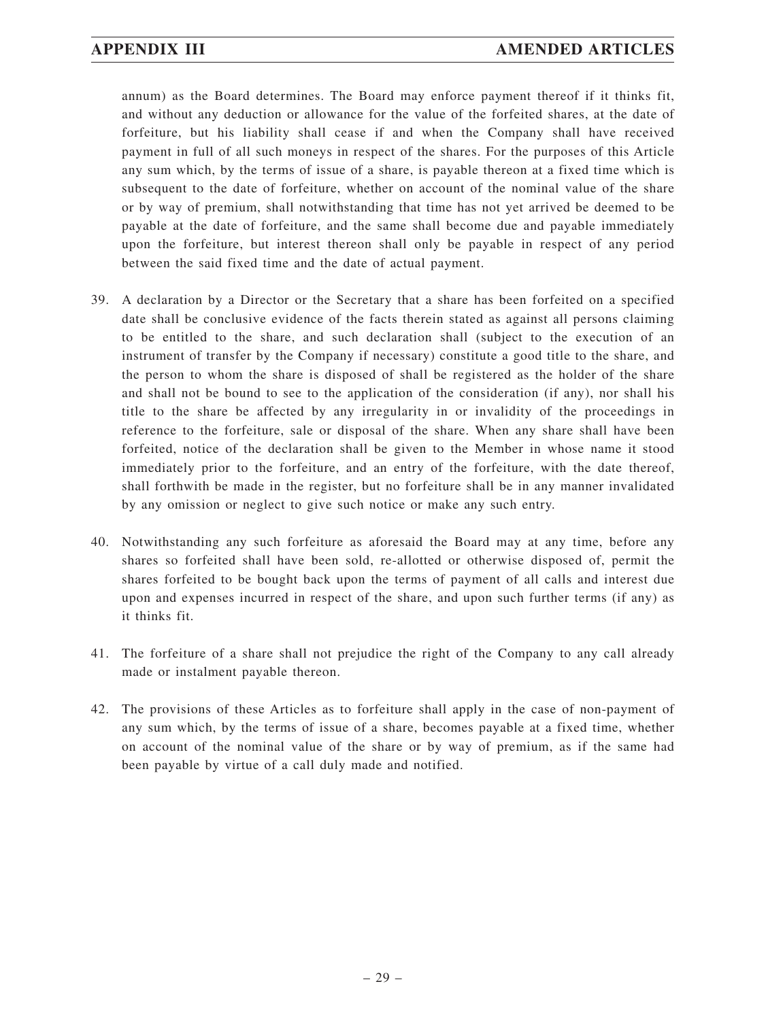annum) as the Board determines. The Board may enforce payment thereof if it thinks fit, and without any deduction or allowance for the value of the forfeited shares, at the date of forfeiture, but his liability shall cease if and when the Company shall have received payment in full of all such moneys in respect of the shares. For the purposes of this Article any sum which, by the terms of issue of a share, is payable thereon at a fixed time which is subsequent to the date of forfeiture, whether on account of the nominal value of the share or by way of premium, shall notwithstanding that time has not yet arrived be deemed to be payable at the date of forfeiture, and the same shall become due and payable immediately upon the forfeiture, but interest thereon shall only be payable in respect of any period between the said fixed time and the date of actual payment.

- 39. A declaration by a Director or the Secretary that a share has been forfeited on a specified date shall be conclusive evidence of the facts therein stated as against all persons claiming to be entitled to the share, and such declaration shall (subject to the execution of an instrument of transfer by the Company if necessary) constitute a good title to the share, and the person to whom the share is disposed of shall be registered as the holder of the share and shall not be bound to see to the application of the consideration (if any), nor shall his title to the share be affected by any irregularity in or invalidity of the proceedings in reference to the forfeiture, sale or disposal of the share. When any share shall have been forfeited, notice of the declaration shall be given to the Member in whose name it stood immediately prior to the forfeiture, and an entry of the forfeiture, with the date thereof, shall forthwith be made in the register, but no forfeiture shall be in any manner invalidated by any omission or neglect to give such notice or make any such entry.
- 40. Notwithstanding any such forfeiture as aforesaid the Board may at any time, before any shares so forfeited shall have been sold, re-allotted or otherwise disposed of, permit the shares forfeited to be bought back upon the terms of payment of all calls and interest due upon and expenses incurred in respect of the share, and upon such further terms (if any) as it thinks fit.
- 41. The forfeiture of a share shall not prejudice the right of the Company to any call already made or instalment payable thereon.
- 42. The provisions of these Articles as to forfeiture shall apply in the case of non-payment of any sum which, by the terms of issue of a share, becomes payable at a fixed time, whether on account of the nominal value of the share or by way of premium, as if the same had been payable by virtue of a call duly made and notified.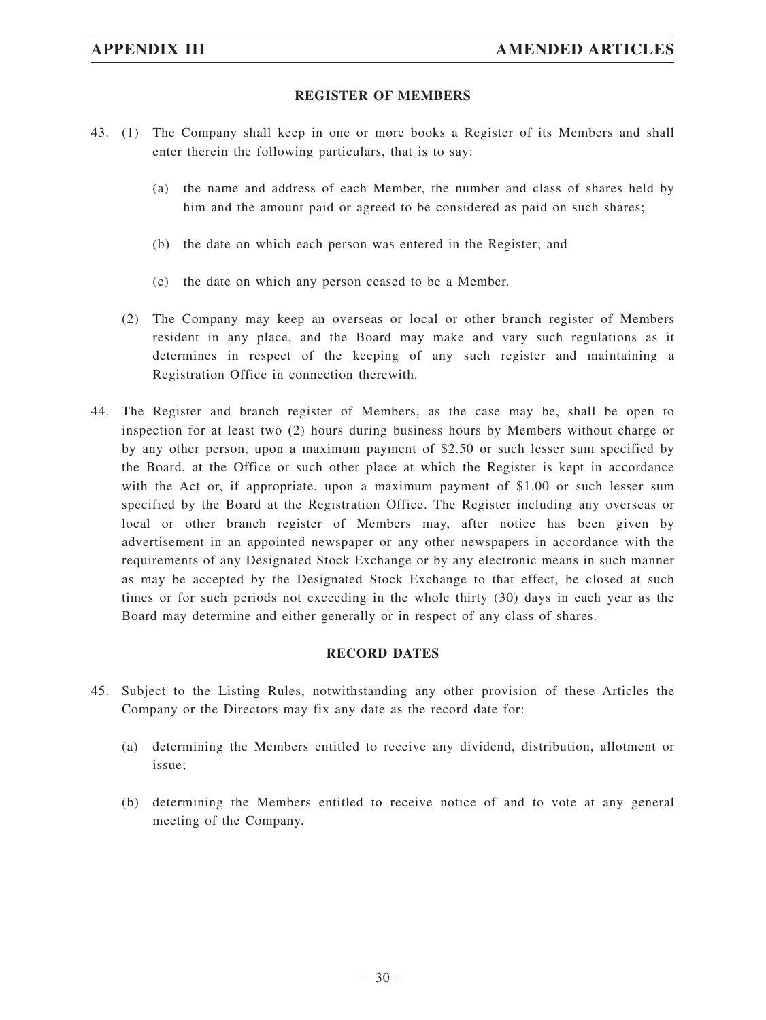### **REGISTER OF MEMBERS**

- 43. (1) The Company shall keep in one or more books a Register of its Members and shall enter therein the following particulars, that is to say:
	- (a) the name and address of each Member, the number and class of shares held by him and the amount paid or agreed to be considered as paid on such shares;
	- (b) the date on which each person was entered in the Register; and
	- (c) the date on which any person ceased to be a Member.
	- (2) The Company may keep an overseas or local or other branch register of Members resident in any place, and the Board may make and vary such regulations as it determines in respect of the keeping of any such register and maintaining a Registration Office in connection therewith.
- 44. The Register and branch register of Members, as the case may be, shall be open to inspection for at least two (2) hours during business hours by Members without charge or by any other person, upon a maximum payment of \$2.50 or such lesser sum specified by the Board, at the Office or such other place at which the Register is kept in accordance with the Act or, if appropriate, upon a maximum payment of \$1.00 or such lesser sum specified by the Board at the Registration Office. The Register including any overseas or local or other branch register of Members may, after notice has been given by advertisement in an appointed newspaper or any other newspapers in accordance with the requirements of any Designated Stock Exchange or by any electronic means in such manner as may be accepted by the Designated Stock Exchange to that effect, be closed at such times or for such periods not exceeding in the whole thirty (30) days in each year as the Board may determine and either generally or in respect of any class of shares.

#### **RECORD DATES**

- 45. Subject to the Listing Rules, notwithstanding any other provision of these Articles the Company or the Directors may fix any date as the record date for:
	- (a) determining the Members entitled to receive any dividend, distribution, allotment or issue;
	- (b) determining the Members entitled to receive notice of and to vote at any general meeting of the Company.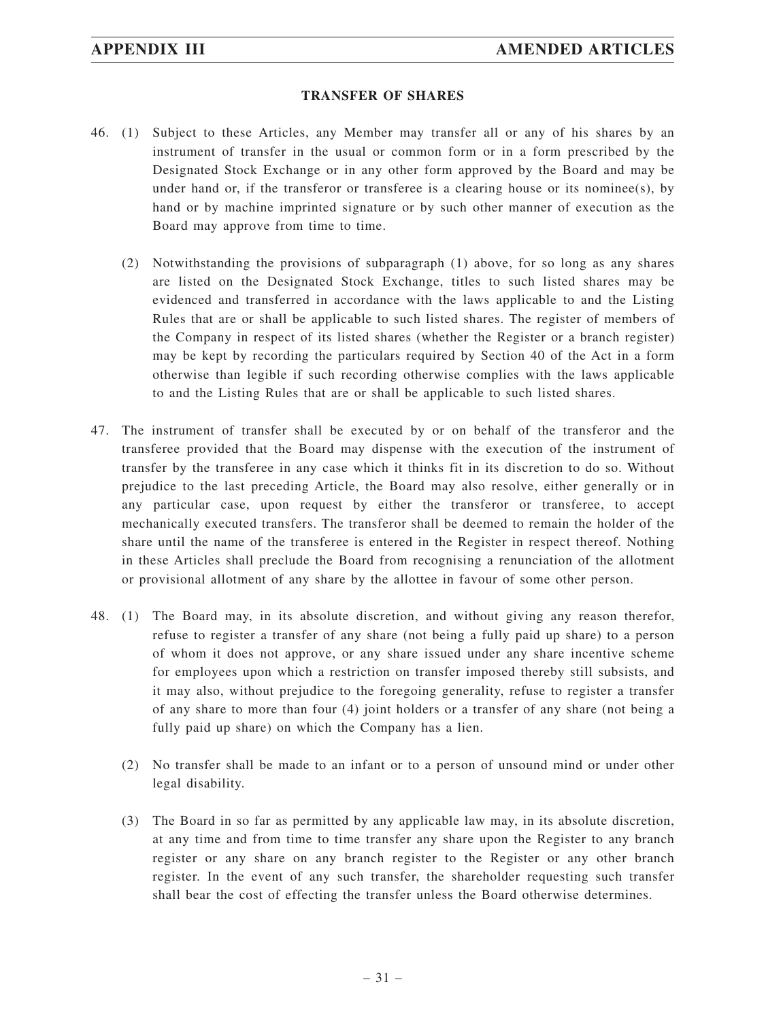### **TRANSFER OF SHARES**

- 46. (1) Subject to these Articles, any Member may transfer all or any of his shares by an instrument of transfer in the usual or common form or in a form prescribed by the Designated Stock Exchange or in any other form approved by the Board and may be under hand or, if the transferor or transferee is a clearing house or its nominee(s), by hand or by machine imprinted signature or by such other manner of execution as the Board may approve from time to time.
	- (2) Notwithstanding the provisions of subparagraph (1) above, for so long as any shares are listed on the Designated Stock Exchange, titles to such listed shares may be evidenced and transferred in accordance with the laws applicable to and the Listing Rules that are or shall be applicable to such listed shares. The register of members of the Company in respect of its listed shares (whether the Register or a branch register) may be kept by recording the particulars required by Section 40 of the Act in a form otherwise than legible if such recording otherwise complies with the laws applicable to and the Listing Rules that are or shall be applicable to such listed shares.
- 47. The instrument of transfer shall be executed by or on behalf of the transferor and the transferee provided that the Board may dispense with the execution of the instrument of transfer by the transferee in any case which it thinks fit in its discretion to do so. Without prejudice to the last preceding Article, the Board may also resolve, either generally or in any particular case, upon request by either the transferor or transferee, to accept mechanically executed transfers. The transferor shall be deemed to remain the holder of the share until the name of the transferee is entered in the Register in respect thereof. Nothing in these Articles shall preclude the Board from recognising a renunciation of the allotment or provisional allotment of any share by the allottee in favour of some other person.
- 48. (1) The Board may, in its absolute discretion, and without giving any reason therefor, refuse to register a transfer of any share (not being a fully paid up share) to a person of whom it does not approve, or any share issued under any share incentive scheme for employees upon which a restriction on transfer imposed thereby still subsists, and it may also, without prejudice to the foregoing generality, refuse to register a transfer of any share to more than four (4) joint holders or a transfer of any share (not being a fully paid up share) on which the Company has a lien.
	- (2) No transfer shall be made to an infant or to a person of unsound mind or under other legal disability.
	- (3) The Board in so far as permitted by any applicable law may, in its absolute discretion, at any time and from time to time transfer any share upon the Register to any branch register or any share on any branch register to the Register or any other branch register. In the event of any such transfer, the shareholder requesting such transfer shall bear the cost of effecting the transfer unless the Board otherwise determines.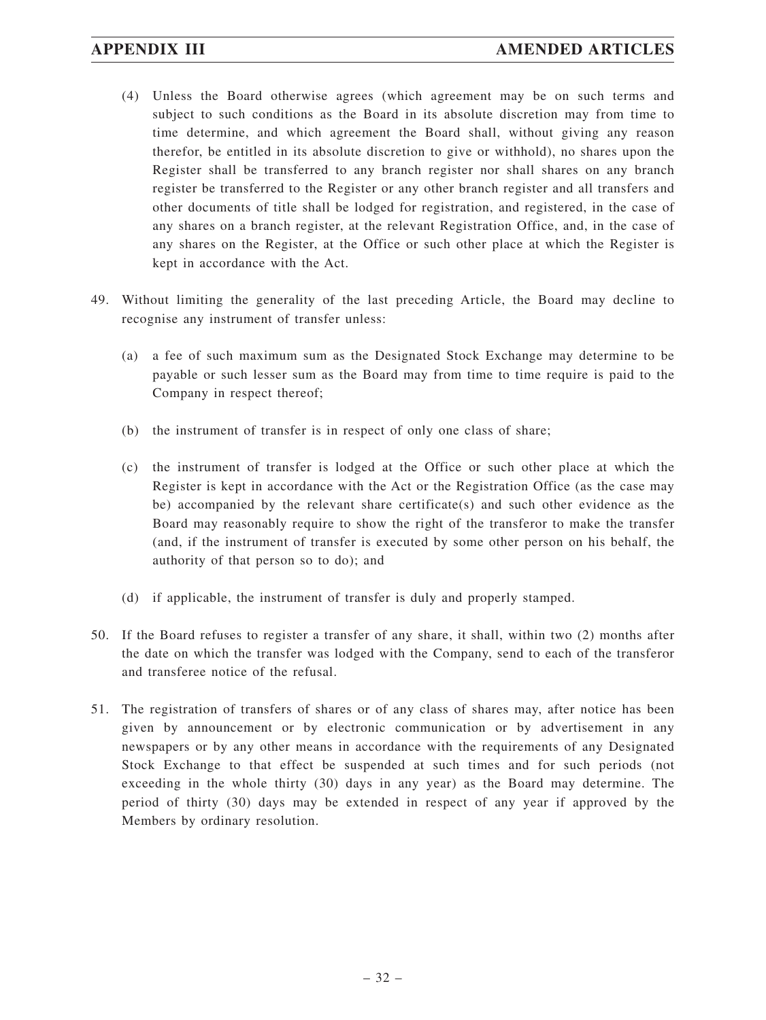- (4) Unless the Board otherwise agrees (which agreement may be on such terms and subject to such conditions as the Board in its absolute discretion may from time to time determine, and which agreement the Board shall, without giving any reason therefor, be entitled in its absolute discretion to give or withhold), no shares upon the Register shall be transferred to any branch register nor shall shares on any branch register be transferred to the Register or any other branch register and all transfers and other documents of title shall be lodged for registration, and registered, in the case of any shares on a branch register, at the relevant Registration Office, and, in the case of any shares on the Register, at the Office or such other place at which the Register is kept in accordance with the Act.
- 49. Without limiting the generality of the last preceding Article, the Board may decline to recognise any instrument of transfer unless:
	- (a) a fee of such maximum sum as the Designated Stock Exchange may determine to be payable or such lesser sum as the Board may from time to time require is paid to the Company in respect thereof;
	- (b) the instrument of transfer is in respect of only one class of share;
	- (c) the instrument of transfer is lodged at the Office or such other place at which the Register is kept in accordance with the Act or the Registration Office (as the case may be) accompanied by the relevant share certificate(s) and such other evidence as the Board may reasonably require to show the right of the transferor to make the transfer (and, if the instrument of transfer is executed by some other person on his behalf, the authority of that person so to do); and
	- (d) if applicable, the instrument of transfer is duly and properly stamped.
- 50. If the Board refuses to register a transfer of any share, it shall, within two (2) months after the date on which the transfer was lodged with the Company, send to each of the transferor and transferee notice of the refusal.
- 51. The registration of transfers of shares or of any class of shares may, after notice has been given by announcement or by electronic communication or by advertisement in any newspapers or by any other means in accordance with the requirements of any Designated Stock Exchange to that effect be suspended at such times and for such periods (not exceeding in the whole thirty (30) days in any year) as the Board may determine. The period of thirty (30) days may be extended in respect of any year if approved by the Members by ordinary resolution.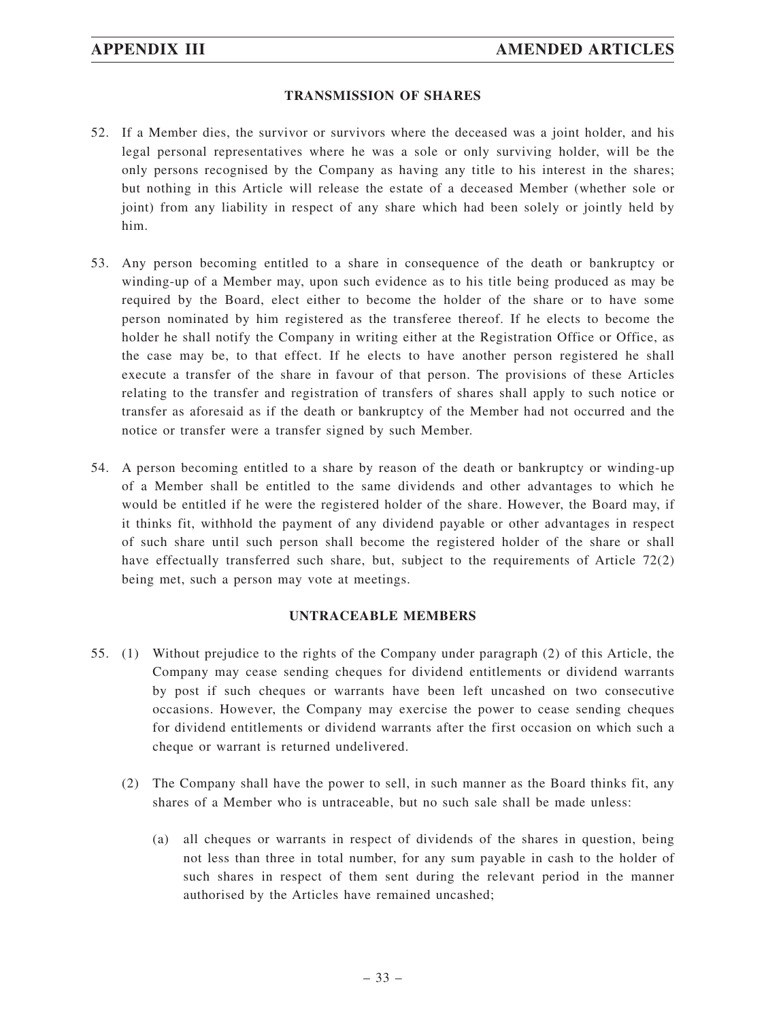### **TRANSMISSION OF SHARES**

- 52. If a Member dies, the survivor or survivors where the deceased was a joint holder, and his legal personal representatives where he was a sole or only surviving holder, will be the only persons recognised by the Company as having any title to his interest in the shares; but nothing in this Article will release the estate of a deceased Member (whether sole or joint) from any liability in respect of any share which had been solely or jointly held by him.
- 53. Any person becoming entitled to a share in consequence of the death or bankruptcy or winding-up of a Member may, upon such evidence as to his title being produced as may be required by the Board, elect either to become the holder of the share or to have some person nominated by him registered as the transferee thereof. If he elects to become the holder he shall notify the Company in writing either at the Registration Office or Office, as the case may be, to that effect. If he elects to have another person registered he shall execute a transfer of the share in favour of that person. The provisions of these Articles relating to the transfer and registration of transfers of shares shall apply to such notice or transfer as aforesaid as if the death or bankruptcy of the Member had not occurred and the notice or transfer were a transfer signed by such Member.
- 54. A person becoming entitled to a share by reason of the death or bankruptcy or winding-up of a Member shall be entitled to the same dividends and other advantages to which he would be entitled if he were the registered holder of the share. However, the Board may, if it thinks fit, withhold the payment of any dividend payable or other advantages in respect of such share until such person shall become the registered holder of the share or shall have effectually transferred such share, but, subject to the requirements of Article 72(2) being met, such a person may vote at meetings.

## **UNTRACEABLE MEMBERS**

- 55. (1) Without prejudice to the rights of the Company under paragraph (2) of this Article, the Company may cease sending cheques for dividend entitlements or dividend warrants by post if such cheques or warrants have been left uncashed on two consecutive occasions. However, the Company may exercise the power to cease sending cheques for dividend entitlements or dividend warrants after the first occasion on which such a cheque or warrant is returned undelivered.
	- (2) The Company shall have the power to sell, in such manner as the Board thinks fit, any shares of a Member who is untraceable, but no such sale shall be made unless:
		- (a) all cheques or warrants in respect of dividends of the shares in question, being not less than three in total number, for any sum payable in cash to the holder of such shares in respect of them sent during the relevant period in the manner authorised by the Articles have remained uncashed;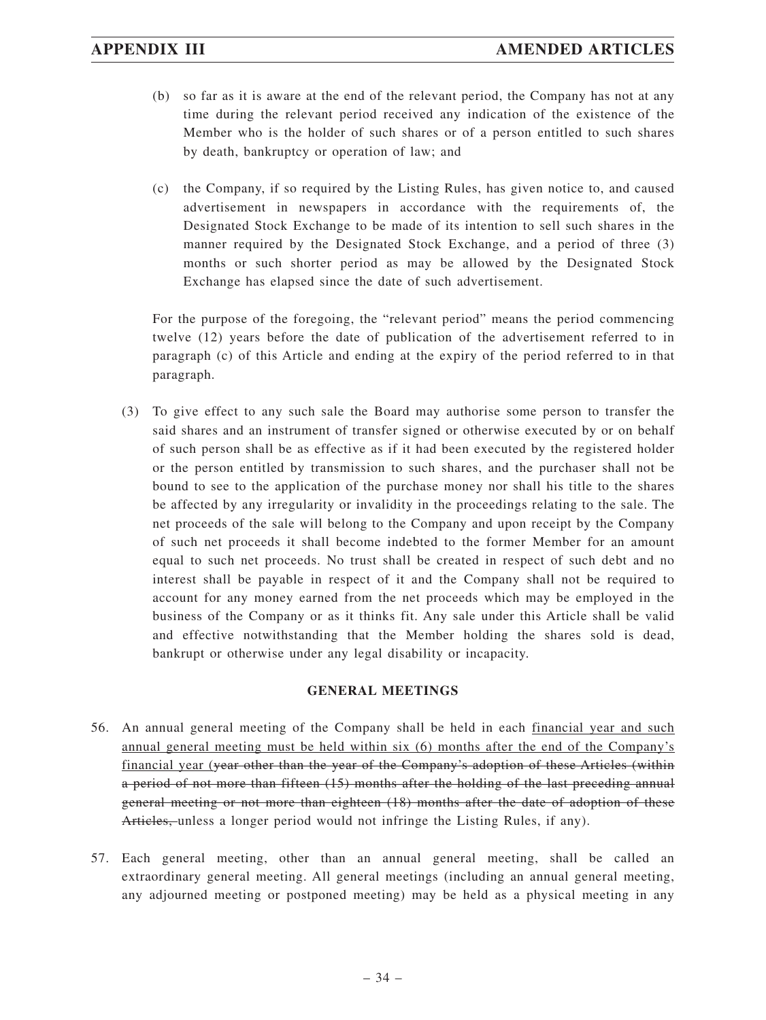- (b) so far as it is aware at the end of the relevant period, the Company has not at any time during the relevant period received any indication of the existence of the Member who is the holder of such shares or of a person entitled to such shares by death, bankruptcy or operation of law; and
- (c) the Company, if so required by the Listing Rules, has given notice to, and caused advertisement in newspapers in accordance with the requirements of, the Designated Stock Exchange to be made of its intention to sell such shares in the manner required by the Designated Stock Exchange, and a period of three (3) months or such shorter period as may be allowed by the Designated Stock Exchange has elapsed since the date of such advertisement.

For the purpose of the foregoing, the "relevant period" means the period commencing twelve (12) years before the date of publication of the advertisement referred to in paragraph (c) of this Article and ending at the expiry of the period referred to in that paragraph.

(3) To give effect to any such sale the Board may authorise some person to transfer the said shares and an instrument of transfer signed or otherwise executed by or on behalf of such person shall be as effective as if it had been executed by the registered holder or the person entitled by transmission to such shares, and the purchaser shall not be bound to see to the application of the purchase money nor shall his title to the shares be affected by any irregularity or invalidity in the proceedings relating to the sale. The net proceeds of the sale will belong to the Company and upon receipt by the Company of such net proceeds it shall become indebted to the former Member for an amount equal to such net proceeds. No trust shall be created in respect of such debt and no interest shall be payable in respect of it and the Company shall not be required to account for any money earned from the net proceeds which may be employed in the business of the Company or as it thinks fit. Any sale under this Article shall be valid and effective notwithstanding that the Member holding the shares sold is dead, bankrupt or otherwise under any legal disability or incapacity.

# **GENERAL MEETINGS**

- 56. An annual general meeting of the Company shall be held in each financial year and such annual general meeting must be held within six (6) months after the end of the Company's financial year (year other than the year of the Company's adoption of these Articles (within a period of not more than fifteen (15) months after the holding of the last preceding annual general meeting or not more than eighteen (18) months after the date of adoption of these Articles, unless a longer period would not infringe the Listing Rules, if any).
- 57. Each general meeting, other than an annual general meeting, shall be called an extraordinary general meeting. All general meetings (including an annual general meeting, any adjourned meeting or postponed meeting) may be held as a physical meeting in any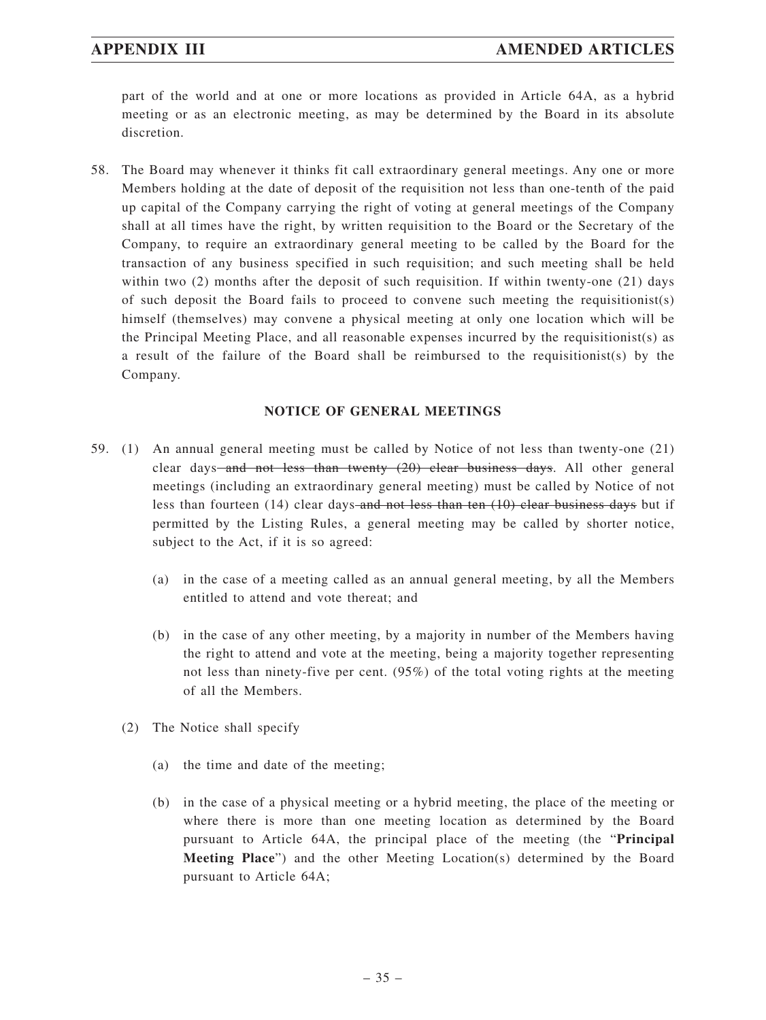part of the world and at one or more locations as provided in Article 64A, as a hybrid meeting or as an electronic meeting, as may be determined by the Board in its absolute discretion.

58. The Board may whenever it thinks fit call extraordinary general meetings. Any one or more Members holding at the date of deposit of the requisition not less than one-tenth of the paid up capital of the Company carrying the right of voting at general meetings of the Company shall at all times have the right, by written requisition to the Board or the Secretary of the Company, to require an extraordinary general meeting to be called by the Board for the transaction of any business specified in such requisition; and such meeting shall be held within two (2) months after the deposit of such requisition. If within twenty-one (21) days of such deposit the Board fails to proceed to convene such meeting the requisitionist(s) himself (themselves) may convene a physical meeting at only one location which will be the Principal Meeting Place, and all reasonable expenses incurred by the requisitionist(s) as a result of the failure of the Board shall be reimbursed to the requisitionist(s) by the Company.

### **NOTICE OF GENERAL MEETINGS**

- 59. (1) An annual general meeting must be called by Notice of not less than twenty-one (21) clear days and not less than twenty (20) clear business days. All other general meetings (including an extraordinary general meeting) must be called by Notice of not less than fourteen  $(14)$  clear days-and not less than ten  $(10)$  clear business days but if permitted by the Listing Rules, a general meeting may be called by shorter notice, subject to the Act, if it is so agreed:
	- (a) in the case of a meeting called as an annual general meeting, by all the Members entitled to attend and vote thereat; and
	- (b) in the case of any other meeting, by a majority in number of the Members having the right to attend and vote at the meeting, being a majority together representing not less than ninety-five per cent. (95%) of the total voting rights at the meeting of all the Members.
	- (2) The Notice shall specify
		- (a) the time and date of the meeting;
		- (b) in the case of a physical meeting or a hybrid meeting, the place of the meeting or where there is more than one meeting location as determined by the Board pursuant to Article 64A, the principal place of the meeting (the "**Principal Meeting Place**") and the other Meeting Location(s) determined by the Board pursuant to Article 64A;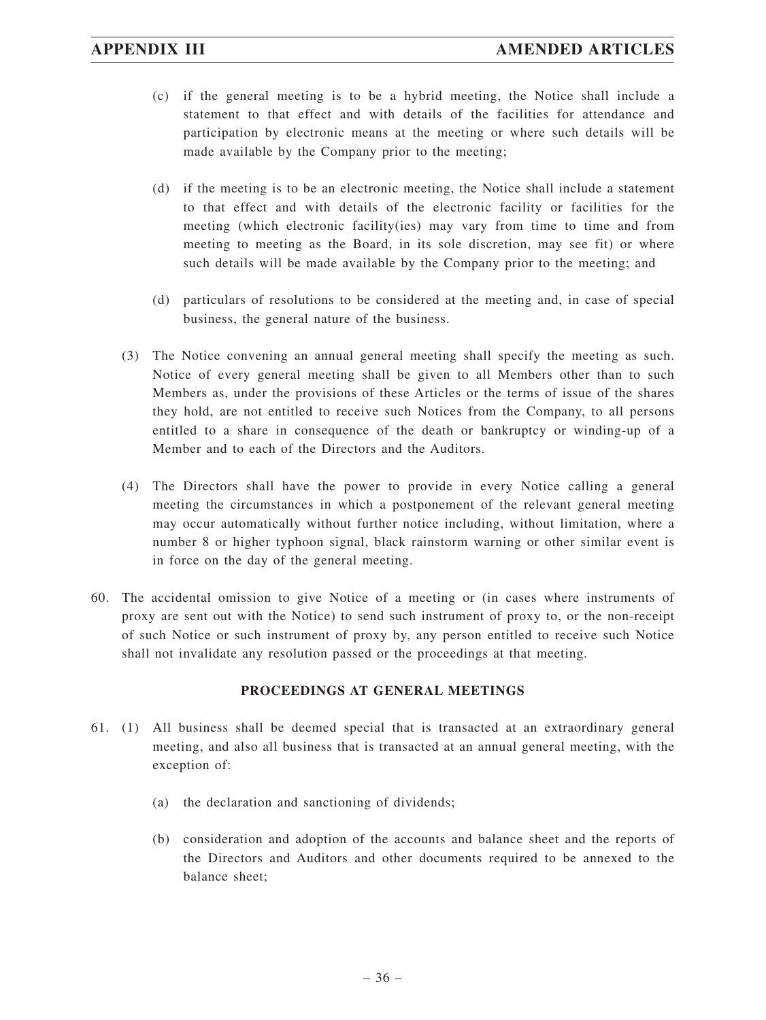- (c) if the general meeting is to be a hybrid meeting, the Notice shall include a statement to that effect and with details of the facilities for attendance and participation by electronic means at the meeting or where such details will be made available by the Company prior to the meeting;
- (d) if the meeting is to be an electronic meeting, the Notice shall include a statement to that effect and with details of the electronic facility or facilities for the meeting (which electronic facility(ies) may vary from time to time and from meeting to meeting as the Board, in its sole discretion, may see fit) or where such details will be made available by the Company prior to the meeting; and
- (d) particulars of resolutions to be considered at the meeting and, in case of special business, the general nature of the business.
- (3) The Notice convening an annual general meeting shall specify the meeting as such. Notice of every general meeting shall be given to all Members other than to such Members as, under the provisions of these Articles or the terms of issue of the shares they hold, are not entitled to receive such Notices from the Company, to all persons entitled to a share in consequence of the death or bankruptcy or winding-up of a Member and to each of the Directors and the Auditors.
- (4) The Directors shall have the power to provide in every Notice calling a general meeting the circumstances in which a postponement of the relevant general meeting may occur automatically without further notice including, without limitation, where a number 8 or higher typhoon signal, black rainstorm warning or other similar event is in force on the day of the general meeting.
- 60. The accidental omission to give Notice of a meeting or (in cases where instruments of proxy are sent out with the Notice) to send such instrument of proxy to, or the non-receipt of such Notice or such instrument of proxy by, any person entitled to receive such Notice shall not invalidate any resolution passed or the proceedings at that meeting.

## **PROCEEDINGS AT GENERAL MEETINGS**

- 61. (1) All business shall be deemed special that is transacted at an extraordinary general meeting, and also all business that is transacted at an annual general meeting, with the exception of:
	- (a) the declaration and sanctioning of dividends;
	- (b) consideration and adoption of the accounts and balance sheet and the reports of the Directors and Auditors and other documents required to be annexed to the balance sheet;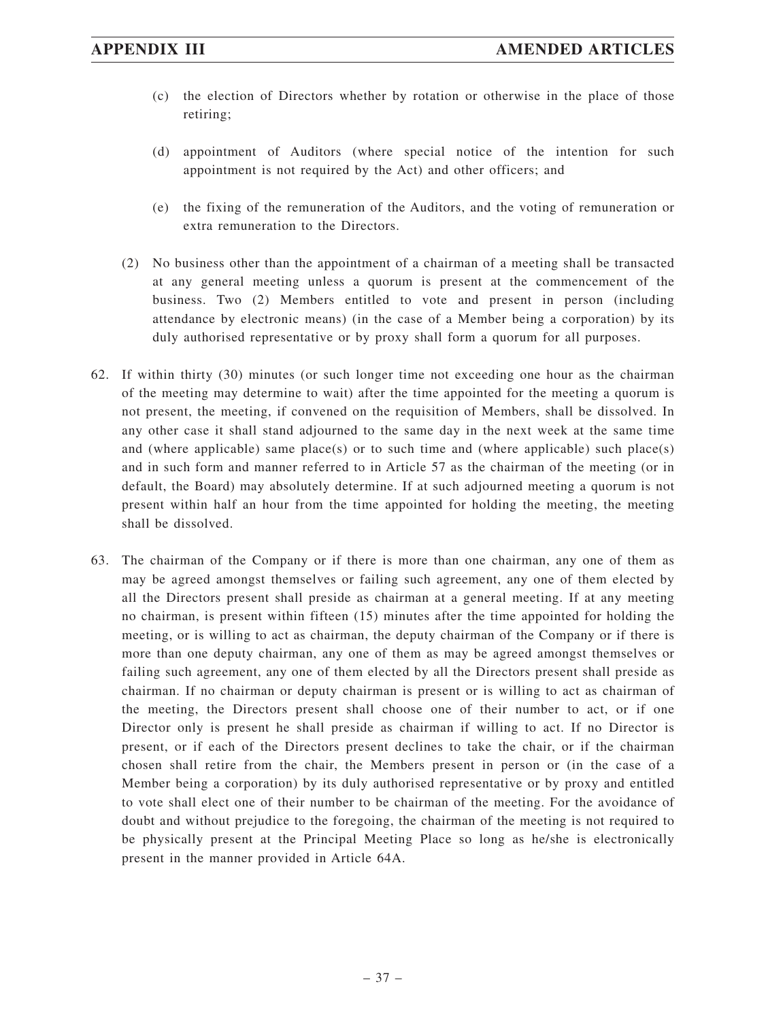- (c) the election of Directors whether by rotation or otherwise in the place of those retiring;
- (d) appointment of Auditors (where special notice of the intention for such appointment is not required by the Act) and other officers; and
- (e) the fixing of the remuneration of the Auditors, and the voting of remuneration or extra remuneration to the Directors.
- (2) No business other than the appointment of a chairman of a meeting shall be transacted at any general meeting unless a quorum is present at the commencement of the business. Two (2) Members entitled to vote and present in person (including attendance by electronic means) (in the case of a Member being a corporation) by its duly authorised representative or by proxy shall form a quorum for all purposes.
- 62. If within thirty (30) minutes (or such longer time not exceeding one hour as the chairman of the meeting may determine to wait) after the time appointed for the meeting a quorum is not present, the meeting, if convened on the requisition of Members, shall be dissolved. In any other case it shall stand adjourned to the same day in the next week at the same time and (where applicable) same place(s) or to such time and (where applicable) such place(s) and in such form and manner referred to in Article 57 as the chairman of the meeting (or in default, the Board) may absolutely determine. If at such adjourned meeting a quorum is not present within half an hour from the time appointed for holding the meeting, the meeting shall be dissolved.
- 63. The chairman of the Company or if there is more than one chairman, any one of them as may be agreed amongst themselves or failing such agreement, any one of them elected by all the Directors present shall preside as chairman at a general meeting. If at any meeting no chairman, is present within fifteen (15) minutes after the time appointed for holding the meeting, or is willing to act as chairman, the deputy chairman of the Company or if there is more than one deputy chairman, any one of them as may be agreed amongst themselves or failing such agreement, any one of them elected by all the Directors present shall preside as chairman. If no chairman or deputy chairman is present or is willing to act as chairman of the meeting, the Directors present shall choose one of their number to act, or if one Director only is present he shall preside as chairman if willing to act. If no Director is present, or if each of the Directors present declines to take the chair, or if the chairman chosen shall retire from the chair, the Members present in person or (in the case of a Member being a corporation) by its duly authorised representative or by proxy and entitled to vote shall elect one of their number to be chairman of the meeting. For the avoidance of doubt and without prejudice to the foregoing, the chairman of the meeting is not required to be physically present at the Principal Meeting Place so long as he/she is electronically present in the manner provided in Article 64A.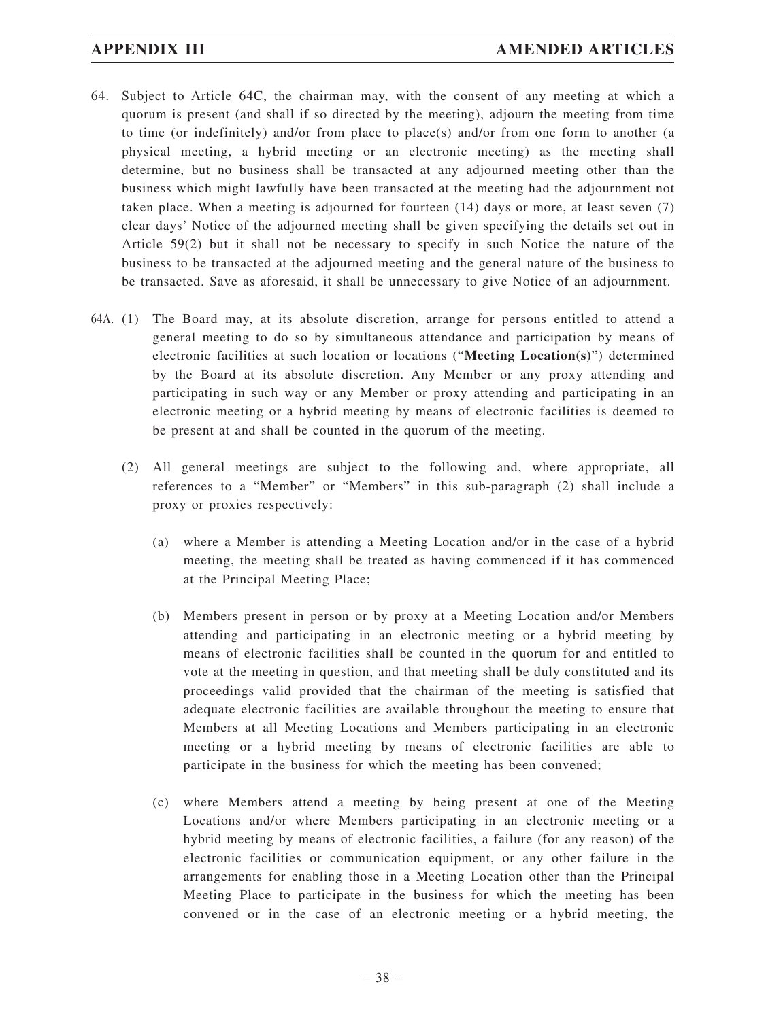- 64. Subject to Article 64C, the chairman may, with the consent of any meeting at which a quorum is present (and shall if so directed by the meeting), adjourn the meeting from time to time (or indefinitely) and/or from place to place(s) and/or from one form to another (a physical meeting, a hybrid meeting or an electronic meeting) as the meeting shall determine, but no business shall be transacted at any adjourned meeting other than the business which might lawfully have been transacted at the meeting had the adjournment not taken place. When a meeting is adjourned for fourteen (14) days or more, at least seven (7) clear days' Notice of the adjourned meeting shall be given specifying the details set out in Article 59(2) but it shall not be necessary to specify in such Notice the nature of the business to be transacted at the adjourned meeting and the general nature of the business to be transacted. Save as aforesaid, it shall be unnecessary to give Notice of an adjournment.
- 64A. (1) The Board may, at its absolute discretion, arrange for persons entitled to attend a general meeting to do so by simultaneous attendance and participation by means of electronic facilities at such location or locations ("**Meeting Location(s)**") determined by the Board at its absolute discretion. Any Member or any proxy attending and participating in such way or any Member or proxy attending and participating in an electronic meeting or a hybrid meeting by means of electronic facilities is deemed to be present at and shall be counted in the quorum of the meeting.
	- (2) All general meetings are subject to the following and, where appropriate, all references to a "Member" or "Members" in this sub-paragraph (2) shall include a proxy or proxies respectively:
		- (a) where a Member is attending a Meeting Location and/or in the case of a hybrid meeting, the meeting shall be treated as having commenced if it has commenced at the Principal Meeting Place;
		- (b) Members present in person or by proxy at a Meeting Location and/or Members attending and participating in an electronic meeting or a hybrid meeting by means of electronic facilities shall be counted in the quorum for and entitled to vote at the meeting in question, and that meeting shall be duly constituted and its proceedings valid provided that the chairman of the meeting is satisfied that adequate electronic facilities are available throughout the meeting to ensure that Members at all Meeting Locations and Members participating in an electronic meeting or a hybrid meeting by means of electronic facilities are able to participate in the business for which the meeting has been convened;
		- (c) where Members attend a meeting by being present at one of the Meeting Locations and/or where Members participating in an electronic meeting or a hybrid meeting by means of electronic facilities, a failure (for any reason) of the electronic facilities or communication equipment, or any other failure in the arrangements for enabling those in a Meeting Location other than the Principal Meeting Place to participate in the business for which the meeting has been convened or in the case of an electronic meeting or a hybrid meeting, the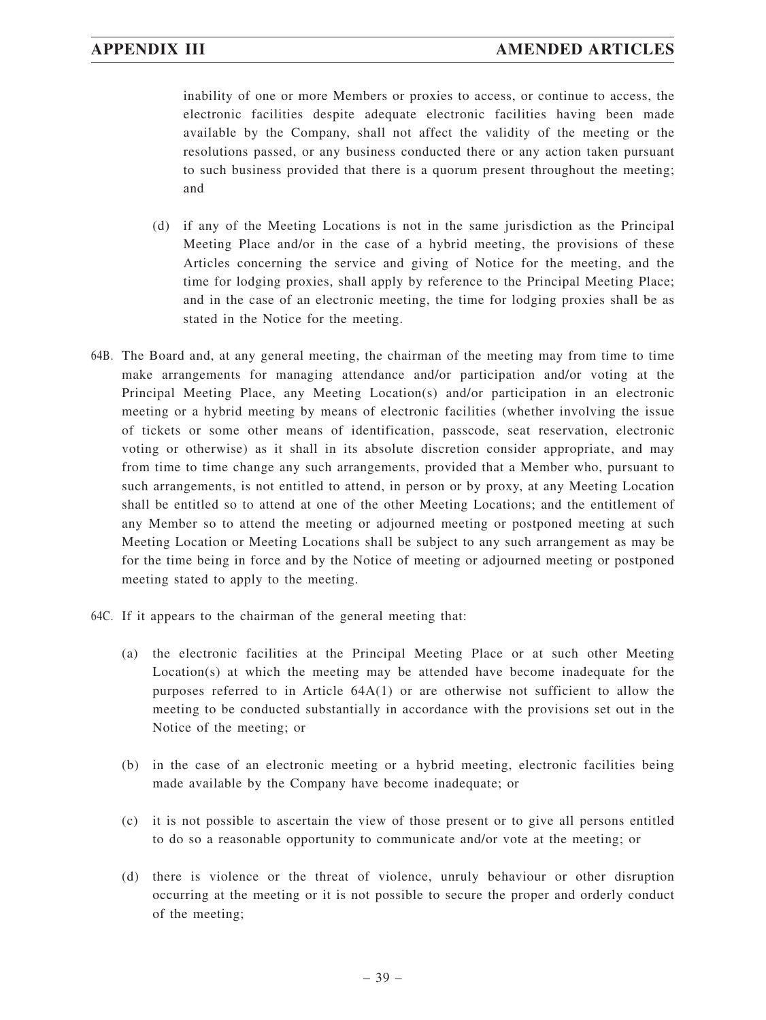inability of one or more Members or proxies to access, or continue to access, the electronic facilities despite adequate electronic facilities having been made available by the Company, shall not affect the validity of the meeting or the resolutions passed, or any business conducted there or any action taken pursuant to such business provided that there is a quorum present throughout the meeting; and

- (d) if any of the Meeting Locations is not in the same jurisdiction as the Principal Meeting Place and/or in the case of a hybrid meeting, the provisions of these Articles concerning the service and giving of Notice for the meeting, and the time for lodging proxies, shall apply by reference to the Principal Meeting Place; and in the case of an electronic meeting, the time for lodging proxies shall be as stated in the Notice for the meeting.
- 64B. The Board and, at any general meeting, the chairman of the meeting may from time to time make arrangements for managing attendance and/or participation and/or voting at the Principal Meeting Place, any Meeting Location(s) and/or participation in an electronic meeting or a hybrid meeting by means of electronic facilities (whether involving the issue of tickets or some other means of identification, passcode, seat reservation, electronic voting or otherwise) as it shall in its absolute discretion consider appropriate, and may from time to time change any such arrangements, provided that a Member who, pursuant to such arrangements, is not entitled to attend, in person or by proxy, at any Meeting Location shall be entitled so to attend at one of the other Meeting Locations; and the entitlement of any Member so to attend the meeting or adjourned meeting or postponed meeting at such Meeting Location or Meeting Locations shall be subject to any such arrangement as may be for the time being in force and by the Notice of meeting or adjourned meeting or postponed meeting stated to apply to the meeting.
- 64C. If it appears to the chairman of the general meeting that:
	- (a) the electronic facilities at the Principal Meeting Place or at such other Meeting Location(s) at which the meeting may be attended have become inadequate for the purposes referred to in Article 64A(1) or are otherwise not sufficient to allow the meeting to be conducted substantially in accordance with the provisions set out in the Notice of the meeting; or
	- (b) in the case of an electronic meeting or a hybrid meeting, electronic facilities being made available by the Company have become inadequate; or
	- (c) it is not possible to ascertain the view of those present or to give all persons entitled to do so a reasonable opportunity to communicate and/or vote at the meeting; or
	- (d) there is violence or the threat of violence, unruly behaviour or other disruption occurring at the meeting or it is not possible to secure the proper and orderly conduct of the meeting;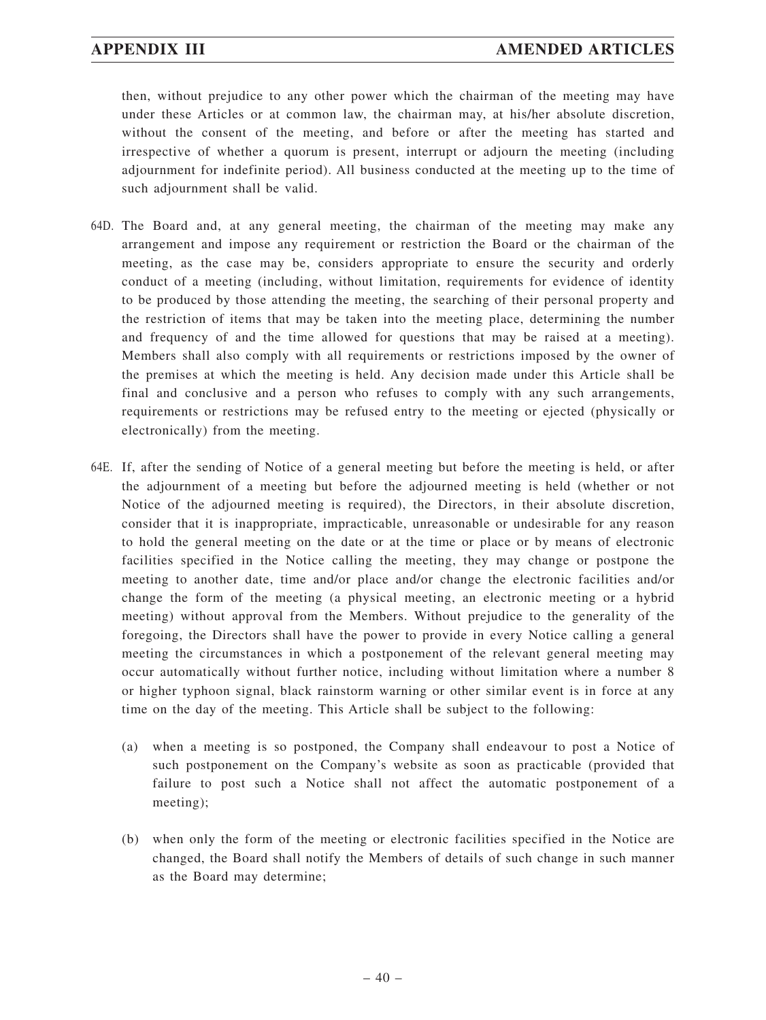then, without prejudice to any other power which the chairman of the meeting may have under these Articles or at common law, the chairman may, at his/her absolute discretion, without the consent of the meeting, and before or after the meeting has started and irrespective of whether a quorum is present, interrupt or adjourn the meeting (including adjournment for indefinite period). All business conducted at the meeting up to the time of such adjournment shall be valid.

- 64D. The Board and, at any general meeting, the chairman of the meeting may make any arrangement and impose any requirement or restriction the Board or the chairman of the meeting, as the case may be, considers appropriate to ensure the security and orderly conduct of a meeting (including, without limitation, requirements for evidence of identity to be produced by those attending the meeting, the searching of their personal property and the restriction of items that may be taken into the meeting place, determining the number and frequency of and the time allowed for questions that may be raised at a meeting). Members shall also comply with all requirements or restrictions imposed by the owner of the premises at which the meeting is held. Any decision made under this Article shall be final and conclusive and a person who refuses to comply with any such arrangements, requirements or restrictions may be refused entry to the meeting or ejected (physically or electronically) from the meeting.
- 64E. If, after the sending of Notice of a general meeting but before the meeting is held, or after the adjournment of a meeting but before the adjourned meeting is held (whether or not Notice of the adjourned meeting is required), the Directors, in their absolute discretion, consider that it is inappropriate, impracticable, unreasonable or undesirable for any reason to hold the general meeting on the date or at the time or place or by means of electronic facilities specified in the Notice calling the meeting, they may change or postpone the meeting to another date, time and/or place and/or change the electronic facilities and/or change the form of the meeting (a physical meeting, an electronic meeting or a hybrid meeting) without approval from the Members. Without prejudice to the generality of the foregoing, the Directors shall have the power to provide in every Notice calling a general meeting the circumstances in which a postponement of the relevant general meeting may occur automatically without further notice, including without limitation where a number 8 or higher typhoon signal, black rainstorm warning or other similar event is in force at any time on the day of the meeting. This Article shall be subject to the following:
	- (a) when a meeting is so postponed, the Company shall endeavour to post a Notice of such postponement on the Company's website as soon as practicable (provided that failure to post such a Notice shall not affect the automatic postponement of a meeting);
	- (b) when only the form of the meeting or electronic facilities specified in the Notice are changed, the Board shall notify the Members of details of such change in such manner as the Board may determine;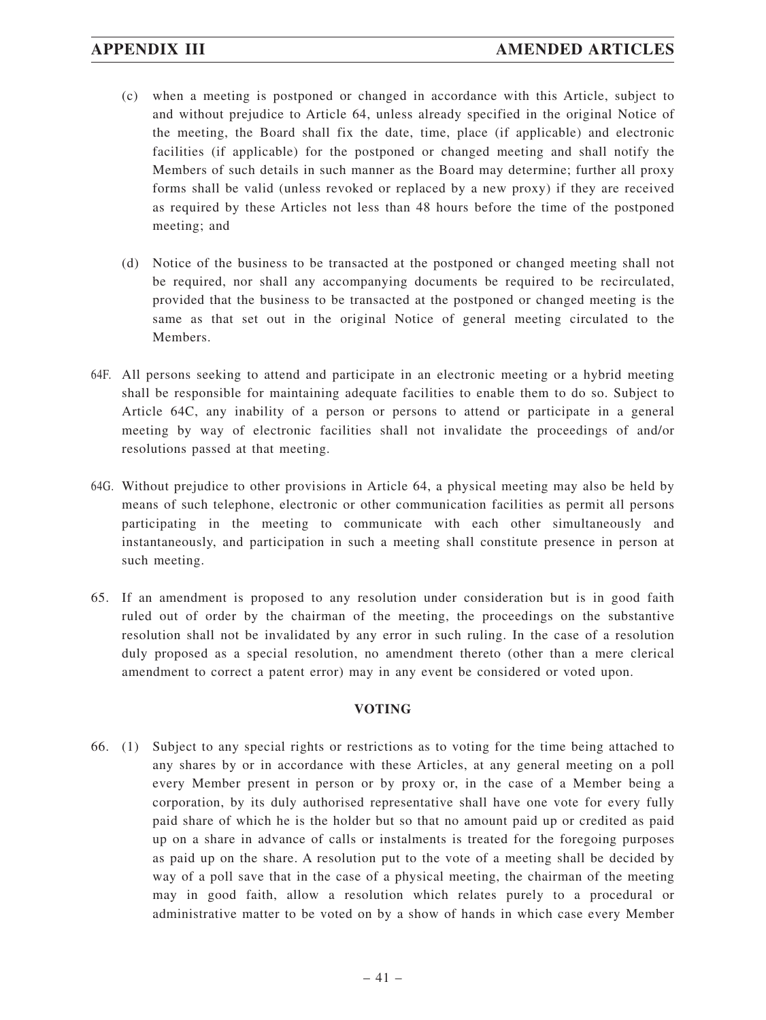- (c) when a meeting is postponed or changed in accordance with this Article, subject to and without prejudice to Article 64, unless already specified in the original Notice of the meeting, the Board shall fix the date, time, place (if applicable) and electronic facilities (if applicable) for the postponed or changed meeting and shall notify the Members of such details in such manner as the Board may determine; further all proxy forms shall be valid (unless revoked or replaced by a new proxy) if they are received as required by these Articles not less than 48 hours before the time of the postponed meeting; and
- (d) Notice of the business to be transacted at the postponed or changed meeting shall not be required, nor shall any accompanying documents be required to be recirculated, provided that the business to be transacted at the postponed or changed meeting is the same as that set out in the original Notice of general meeting circulated to the Members.
- 64F. All persons seeking to attend and participate in an electronic meeting or a hybrid meeting shall be responsible for maintaining adequate facilities to enable them to do so. Subject to Article 64C, any inability of a person or persons to attend or participate in a general meeting by way of electronic facilities shall not invalidate the proceedings of and/or resolutions passed at that meeting.
- 64G. Without prejudice to other provisions in Article 64, a physical meeting may also be held by means of such telephone, electronic or other communication facilities as permit all persons participating in the meeting to communicate with each other simultaneously and instantaneously, and participation in such a meeting shall constitute presence in person at such meeting.
- 65. If an amendment is proposed to any resolution under consideration but is in good faith ruled out of order by the chairman of the meeting, the proceedings on the substantive resolution shall not be invalidated by any error in such ruling. In the case of a resolution duly proposed as a special resolution, no amendment thereto (other than a mere clerical amendment to correct a patent error) may in any event be considered or voted upon.

## **VOTING**

66. (1) Subject to any special rights or restrictions as to voting for the time being attached to any shares by or in accordance with these Articles, at any general meeting on a poll every Member present in person or by proxy or, in the case of a Member being a corporation, by its duly authorised representative shall have one vote for every fully paid share of which he is the holder but so that no amount paid up or credited as paid up on a share in advance of calls or instalments is treated for the foregoing purposes as paid up on the share. A resolution put to the vote of a meeting shall be decided by way of a poll save that in the case of a physical meeting, the chairman of the meeting may in good faith, allow a resolution which relates purely to a procedural or administrative matter to be voted on by a show of hands in which case every Member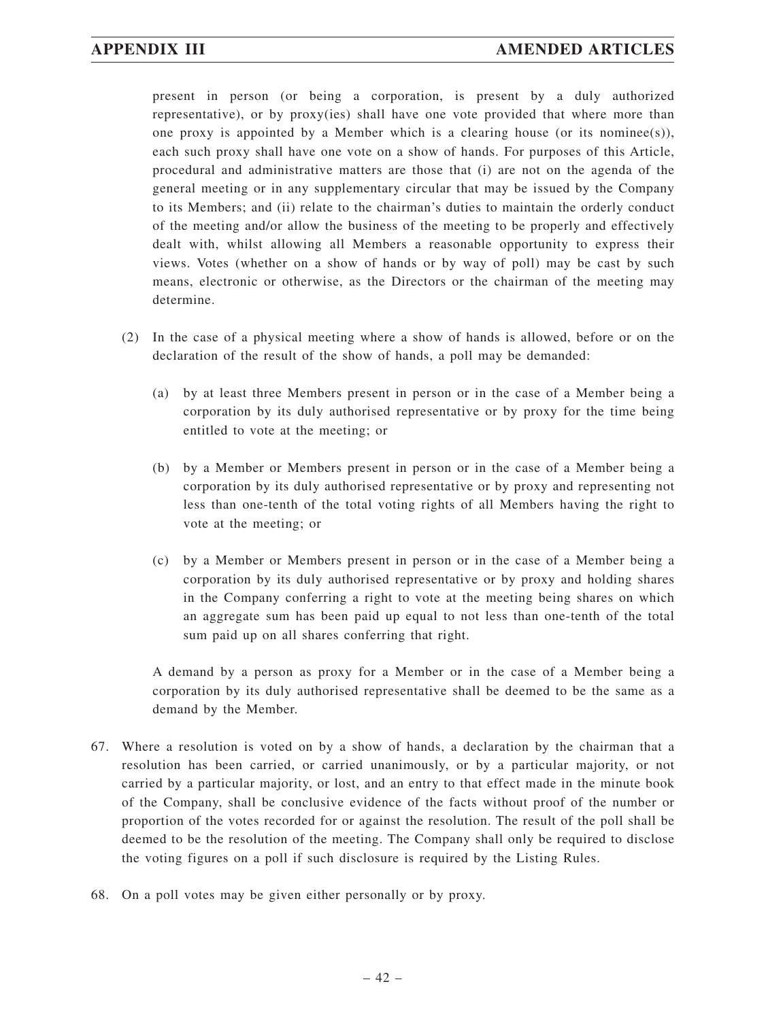present in person (or being a corporation, is present by a duly authorized representative), or by proxy(ies) shall have one vote provided that where more than one proxy is appointed by a Member which is a clearing house (or its nomines(s)), each such proxy shall have one vote on a show of hands. For purposes of this Article, procedural and administrative matters are those that (i) are not on the agenda of the general meeting or in any supplementary circular that may be issued by the Company to its Members; and (ii) relate to the chairman's duties to maintain the orderly conduct of the meeting and/or allow the business of the meeting to be properly and effectively dealt with, whilst allowing all Members a reasonable opportunity to express their views. Votes (whether on a show of hands or by way of poll) may be cast by such means, electronic or otherwise, as the Directors or the chairman of the meeting may determine.

- (2) In the case of a physical meeting where a show of hands is allowed, before or on the declaration of the result of the show of hands, a poll may be demanded:
	- (a) by at least three Members present in person or in the case of a Member being a corporation by its duly authorised representative or by proxy for the time being entitled to vote at the meeting; or
	- (b) by a Member or Members present in person or in the case of a Member being a corporation by its duly authorised representative or by proxy and representing not less than one-tenth of the total voting rights of all Members having the right to vote at the meeting; or
	- (c) by a Member or Members present in person or in the case of a Member being a corporation by its duly authorised representative or by proxy and holding shares in the Company conferring a right to vote at the meeting being shares on which an aggregate sum has been paid up equal to not less than one-tenth of the total sum paid up on all shares conferring that right.

A demand by a person as proxy for a Member or in the case of a Member being a corporation by its duly authorised representative shall be deemed to be the same as a demand by the Member.

- 67. Where a resolution is voted on by a show of hands, a declaration by the chairman that a resolution has been carried, or carried unanimously, or by a particular majority, or not carried by a particular majority, or lost, and an entry to that effect made in the minute book of the Company, shall be conclusive evidence of the facts without proof of the number or proportion of the votes recorded for or against the resolution. The result of the poll shall be deemed to be the resolution of the meeting. The Company shall only be required to disclose the voting figures on a poll if such disclosure is required by the Listing Rules.
- 68. On a poll votes may be given either personally or by proxy.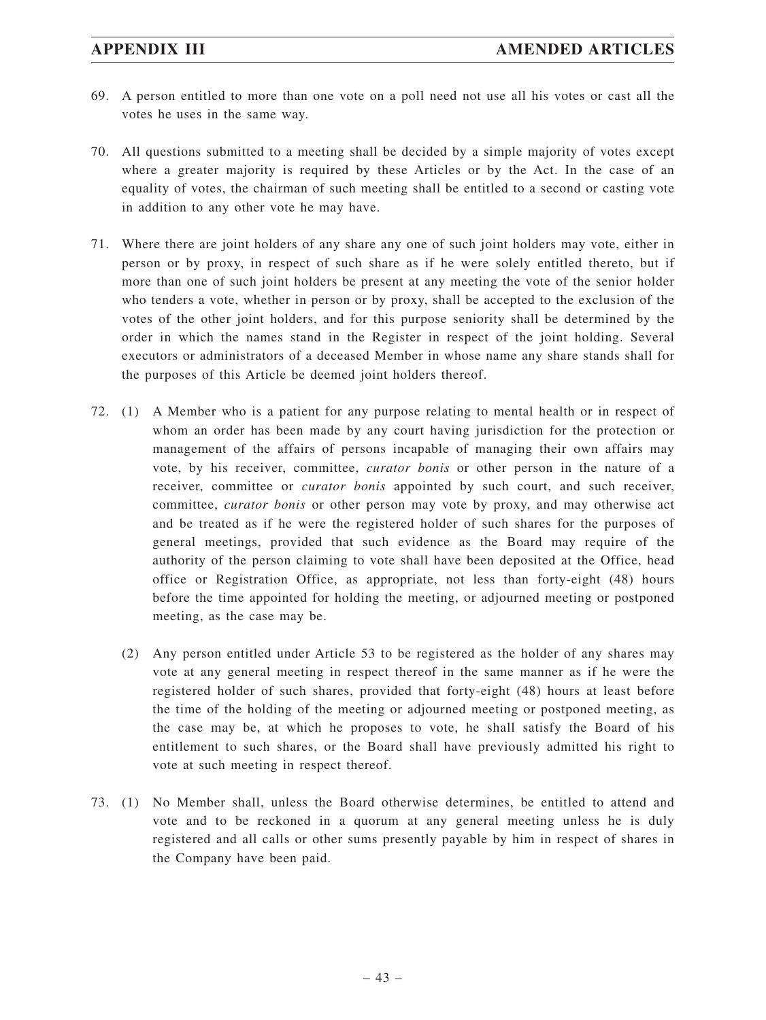- 69. A person entitled to more than one vote on a poll need not use all his votes or cast all the votes he uses in the same way.
- 70. All questions submitted to a meeting shall be decided by a simple majority of votes except where a greater majority is required by these Articles or by the Act. In the case of an equality of votes, the chairman of such meeting shall be entitled to a second or casting vote in addition to any other vote he may have.
- 71. Where there are joint holders of any share any one of such joint holders may vote, either in person or by proxy, in respect of such share as if he were solely entitled thereto, but if more than one of such joint holders be present at any meeting the vote of the senior holder who tenders a vote, whether in person or by proxy, shall be accepted to the exclusion of the votes of the other joint holders, and for this purpose seniority shall be determined by the order in which the names stand in the Register in respect of the joint holding. Several executors or administrators of a deceased Member in whose name any share stands shall for the purposes of this Article be deemed joint holders thereof.
- 72. (1) A Member who is a patient for any purpose relating to mental health or in respect of whom an order has been made by any court having jurisdiction for the protection or management of the affairs of persons incapable of managing their own affairs may vote, by his receiver, committee, *curator bonis* or other person in the nature of a receiver, committee or *curator bonis* appointed by such court, and such receiver, committee, *curator bonis* or other person may vote by proxy, and may otherwise act and be treated as if he were the registered holder of such shares for the purposes of general meetings, provided that such evidence as the Board may require of the authority of the person claiming to vote shall have been deposited at the Office, head office or Registration Office, as appropriate, not less than forty-eight (48) hours before the time appointed for holding the meeting, or adjourned meeting or postponed meeting, as the case may be.
	- (2) Any person entitled under Article 53 to be registered as the holder of any shares may vote at any general meeting in respect thereof in the same manner as if he were the registered holder of such shares, provided that forty-eight (48) hours at least before the time of the holding of the meeting or adjourned meeting or postponed meeting, as the case may be, at which he proposes to vote, he shall satisfy the Board of his entitlement to such shares, or the Board shall have previously admitted his right to vote at such meeting in respect thereof.
- 73. (1) No Member shall, unless the Board otherwise determines, be entitled to attend and vote and to be reckoned in a quorum at any general meeting unless he is duly registered and all calls or other sums presently payable by him in respect of shares in the Company have been paid.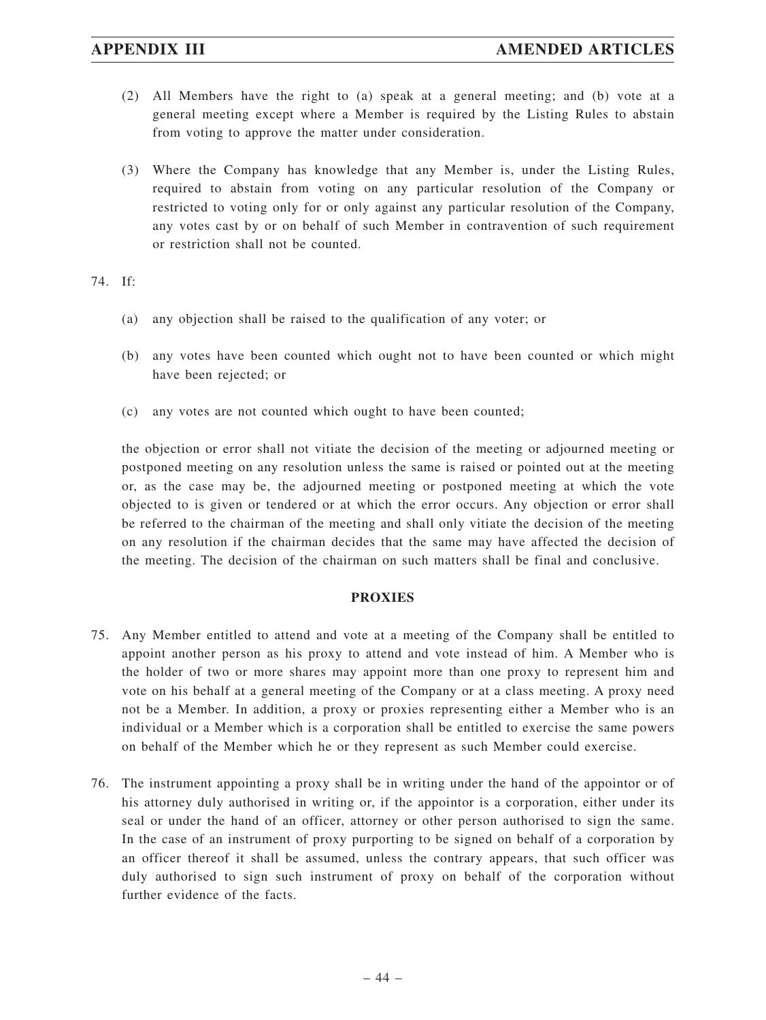- (2) All Members have the right to (a) speak at a general meeting; and (b) vote at a general meeting except where a Member is required by the Listing Rules to abstain from voting to approve the matter under consideration.
- (3) Where the Company has knowledge that any Member is, under the Listing Rules, required to abstain from voting on any particular resolution of the Company or restricted to voting only for or only against any particular resolution of the Company, any votes cast by or on behalf of such Member in contravention of such requirement or restriction shall not be counted.

### 74. If:

- (a) any objection shall be raised to the qualification of any voter; or
- (b) any votes have been counted which ought not to have been counted or which might have been rejected; or
- (c) any votes are not counted which ought to have been counted;

the objection or error shall not vitiate the decision of the meeting or adjourned meeting or postponed meeting on any resolution unless the same is raised or pointed out at the meeting or, as the case may be, the adjourned meeting or postponed meeting at which the vote objected to is given or tendered or at which the error occurs. Any objection or error shall be referred to the chairman of the meeting and shall only vitiate the decision of the meeting on any resolution if the chairman decides that the same may have affected the decision of the meeting. The decision of the chairman on such matters shall be final and conclusive.

### **PROXIES**

- 75. Any Member entitled to attend and vote at a meeting of the Company shall be entitled to appoint another person as his proxy to attend and vote instead of him. A Member who is the holder of two or more shares may appoint more than one proxy to represent him and vote on his behalf at a general meeting of the Company or at a class meeting. A proxy need not be a Member. In addition, a proxy or proxies representing either a Member who is an individual or a Member which is a corporation shall be entitled to exercise the same powers on behalf of the Member which he or they represent as such Member could exercise.
- 76. The instrument appointing a proxy shall be in writing under the hand of the appointor or of his attorney duly authorised in writing or, if the appointor is a corporation, either under its seal or under the hand of an officer, attorney or other person authorised to sign the same. In the case of an instrument of proxy purporting to be signed on behalf of a corporation by an officer thereof it shall be assumed, unless the contrary appears, that such officer was duly authorised to sign such instrument of proxy on behalf of the corporation without further evidence of the facts.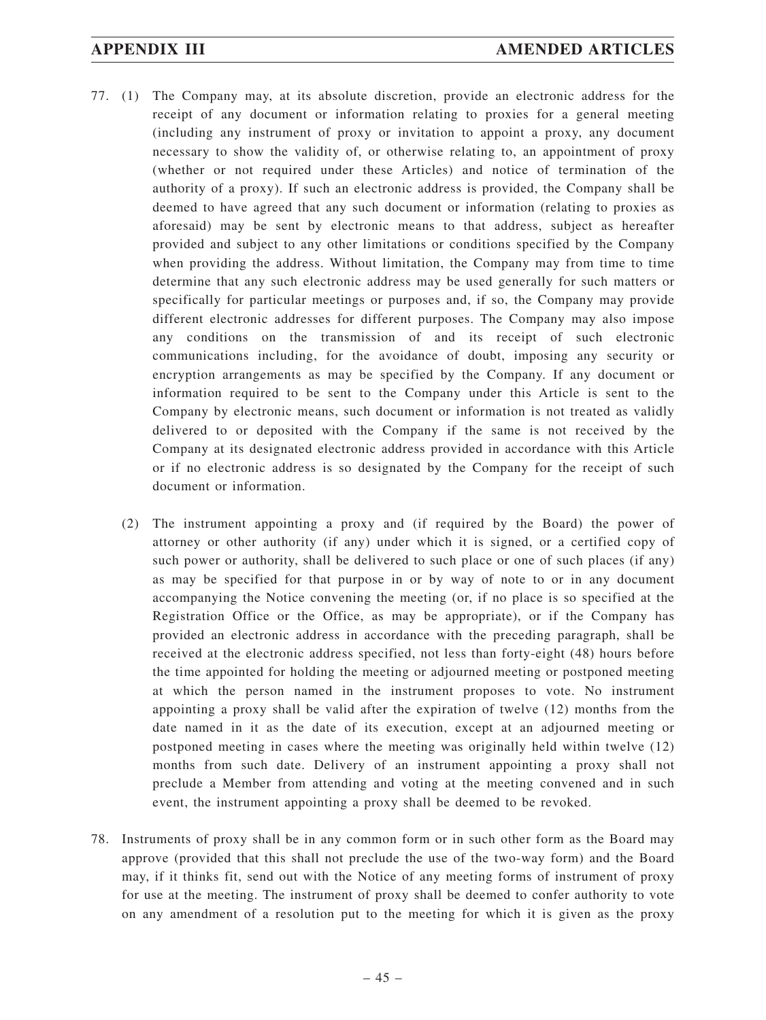## **APPENDIX III AMENDED ARTICLES**

- 77. (1) The Company may, at its absolute discretion, provide an electronic address for the receipt of any document or information relating to proxies for a general meeting (including any instrument of proxy or invitation to appoint a proxy, any document necessary to show the validity of, or otherwise relating to, an appointment of proxy (whether or not required under these Articles) and notice of termination of the authority of a proxy). If such an electronic address is provided, the Company shall be deemed to have agreed that any such document or information (relating to proxies as aforesaid) may be sent by electronic means to that address, subject as hereafter provided and subject to any other limitations or conditions specified by the Company when providing the address. Without limitation, the Company may from time to time determine that any such electronic address may be used generally for such matters or specifically for particular meetings or purposes and, if so, the Company may provide different electronic addresses for different purposes. The Company may also impose any conditions on the transmission of and its receipt of such electronic communications including, for the avoidance of doubt, imposing any security or encryption arrangements as may be specified by the Company. If any document or information required to be sent to the Company under this Article is sent to the Company by electronic means, such document or information is not treated as validly delivered to or deposited with the Company if the same is not received by the Company at its designated electronic address provided in accordance with this Article or if no electronic address is so designated by the Company for the receipt of such document or information.
	- (2) The instrument appointing a proxy and (if required by the Board) the power of attorney or other authority (if any) under which it is signed, or a certified copy of such power or authority, shall be delivered to such place or one of such places (if any) as may be specified for that purpose in or by way of note to or in any document accompanying the Notice convening the meeting (or, if no place is so specified at the Registration Office or the Office, as may be appropriate), or if the Company has provided an electronic address in accordance with the preceding paragraph, shall be received at the electronic address specified, not less than forty-eight (48) hours before the time appointed for holding the meeting or adjourned meeting or postponed meeting at which the person named in the instrument proposes to vote. No instrument appointing a proxy shall be valid after the expiration of twelve (12) months from the date named in it as the date of its execution, except at an adjourned meeting or postponed meeting in cases where the meeting was originally held within twelve (12) months from such date. Delivery of an instrument appointing a proxy shall not preclude a Member from attending and voting at the meeting convened and in such event, the instrument appointing a proxy shall be deemed to be revoked.
- 78. Instruments of proxy shall be in any common form or in such other form as the Board may approve (provided that this shall not preclude the use of the two-way form) and the Board may, if it thinks fit, send out with the Notice of any meeting forms of instrument of proxy for use at the meeting. The instrument of proxy shall be deemed to confer authority to vote on any amendment of a resolution put to the meeting for which it is given as the proxy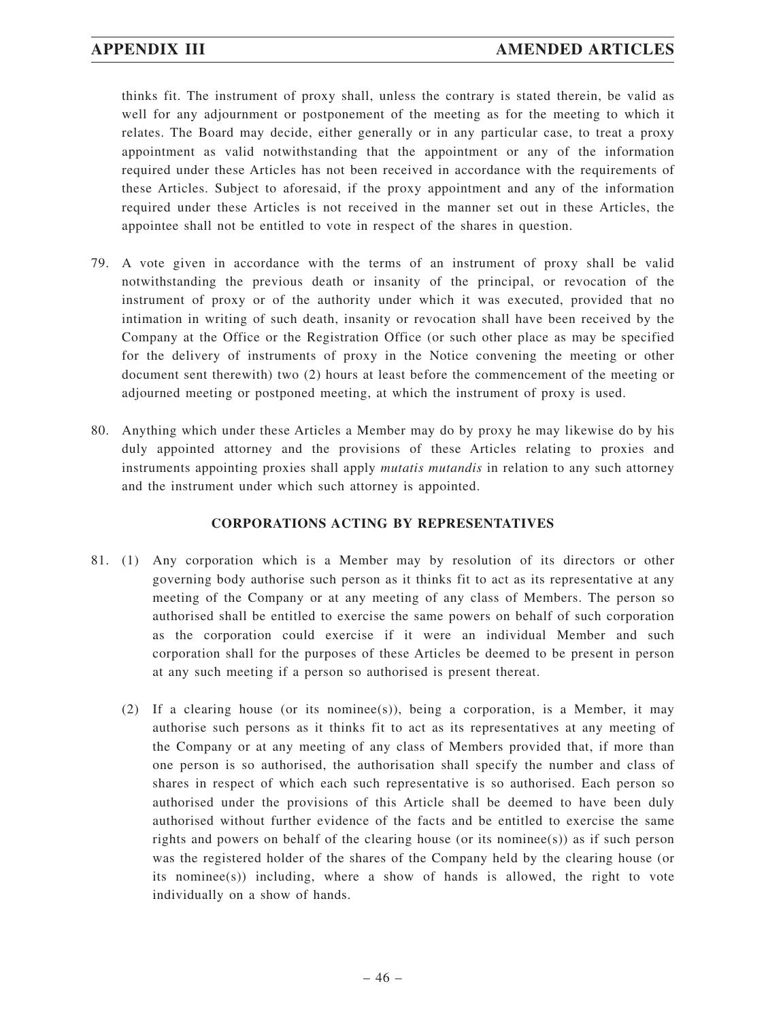thinks fit. The instrument of proxy shall, unless the contrary is stated therein, be valid as well for any adjournment or postponement of the meeting as for the meeting to which it relates. The Board may decide, either generally or in any particular case, to treat a proxy appointment as valid notwithstanding that the appointment or any of the information required under these Articles has not been received in accordance with the requirements of these Articles. Subject to aforesaid, if the proxy appointment and any of the information required under these Articles is not received in the manner set out in these Articles, the appointee shall not be entitled to vote in respect of the shares in question.

- 79. A vote given in accordance with the terms of an instrument of proxy shall be valid notwithstanding the previous death or insanity of the principal, or revocation of the instrument of proxy or of the authority under which it was executed, provided that no intimation in writing of such death, insanity or revocation shall have been received by the Company at the Office or the Registration Office (or such other place as may be specified for the delivery of instruments of proxy in the Notice convening the meeting or other document sent therewith) two (2) hours at least before the commencement of the meeting or adjourned meeting or postponed meeting, at which the instrument of proxy is used.
- 80. Anything which under these Articles a Member may do by proxy he may likewise do by his duly appointed attorney and the provisions of these Articles relating to proxies and instruments appointing proxies shall apply *mutatis mutandis* in relation to any such attorney and the instrument under which such attorney is appointed.

## **CORPORATIONS ACTING BY REPRESENTATIVES**

- 81. (1) Any corporation which is a Member may by resolution of its directors or other governing body authorise such person as it thinks fit to act as its representative at any meeting of the Company or at any meeting of any class of Members. The person so authorised shall be entitled to exercise the same powers on behalf of such corporation as the corporation could exercise if it were an individual Member and such corporation shall for the purposes of these Articles be deemed to be present in person at any such meeting if a person so authorised is present thereat.
	- (2) If a clearing house (or its nominee(s)), being a corporation, is a Member, it may authorise such persons as it thinks fit to act as its representatives at any meeting of the Company or at any meeting of any class of Members provided that, if more than one person is so authorised, the authorisation shall specify the number and class of shares in respect of which each such representative is so authorised. Each person so authorised under the provisions of this Article shall be deemed to have been duly authorised without further evidence of the facts and be entitled to exercise the same rights and powers on behalf of the clearing house (or its nominee(s)) as if such person was the registered holder of the shares of the Company held by the clearing house (or its nominee(s)) including, where a show of hands is allowed, the right to vote individually on a show of hands.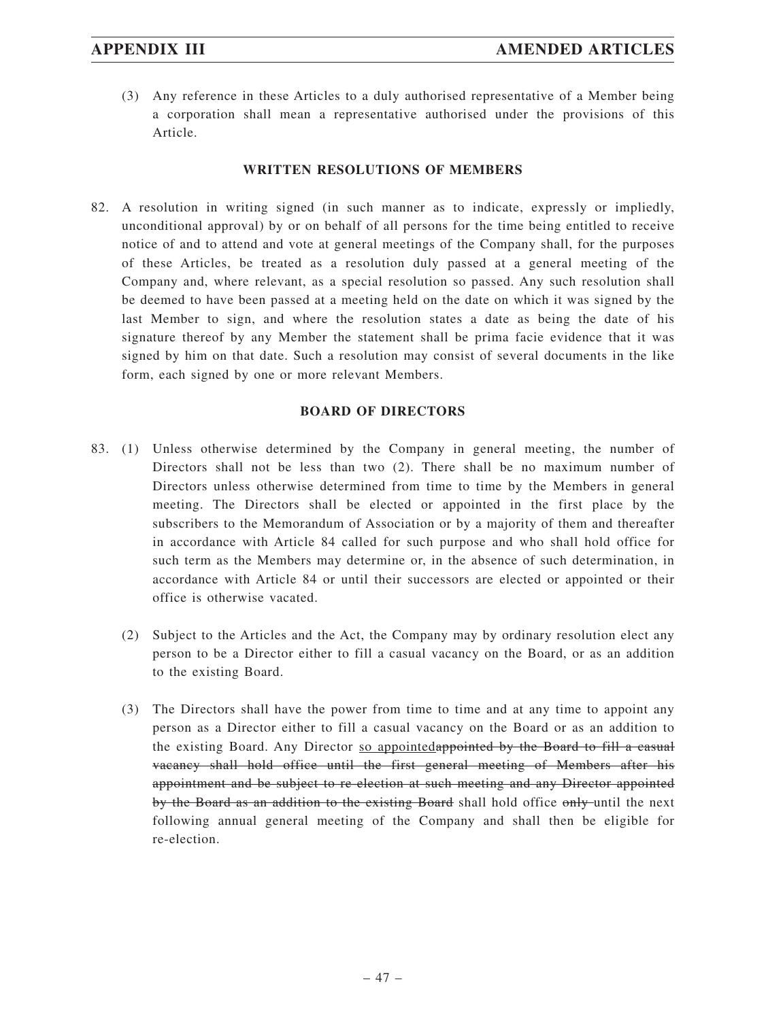(3) Any reference in these Articles to a duly authorised representative of a Member being a corporation shall mean a representative authorised under the provisions of this Article.

## **WRITTEN RESOLUTIONS OF MEMBERS**

82. A resolution in writing signed (in such manner as to indicate, expressly or impliedly, unconditional approval) by or on behalf of all persons for the time being entitled to receive notice of and to attend and vote at general meetings of the Company shall, for the purposes of these Articles, be treated as a resolution duly passed at a general meeting of the Company and, where relevant, as a special resolution so passed. Any such resolution shall be deemed to have been passed at a meeting held on the date on which it was signed by the last Member to sign, and where the resolution states a date as being the date of his signature thereof by any Member the statement shall be prima facie evidence that it was signed by him on that date. Such a resolution may consist of several documents in the like form, each signed by one or more relevant Members.

# **BOARD OF DIRECTORS**

- 83. (1) Unless otherwise determined by the Company in general meeting, the number of Directors shall not be less than two (2). There shall be no maximum number of Directors unless otherwise determined from time to time by the Members in general meeting. The Directors shall be elected or appointed in the first place by the subscribers to the Memorandum of Association or by a majority of them and thereafter in accordance with Article 84 called for such purpose and who shall hold office for such term as the Members may determine or, in the absence of such determination, in accordance with Article 84 or until their successors are elected or appointed or their office is otherwise vacated.
	- (2) Subject to the Articles and the Act, the Company may by ordinary resolution elect any person to be a Director either to fill a casual vacancy on the Board, or as an addition to the existing Board.
	- (3) The Directors shall have the power from time to time and at any time to appoint any person as a Director either to fill a casual vacancy on the Board or as an addition to the existing Board. Any Director so appointedappointed by the Board to fill a casual vacancy shall hold office until the first general meeting of Members after his appointment and be subject to re-election at such meeting and any Director appointed by the Board as an addition to the existing Board shall hold office only until the next following annual general meeting of the Company and shall then be eligible for re-election.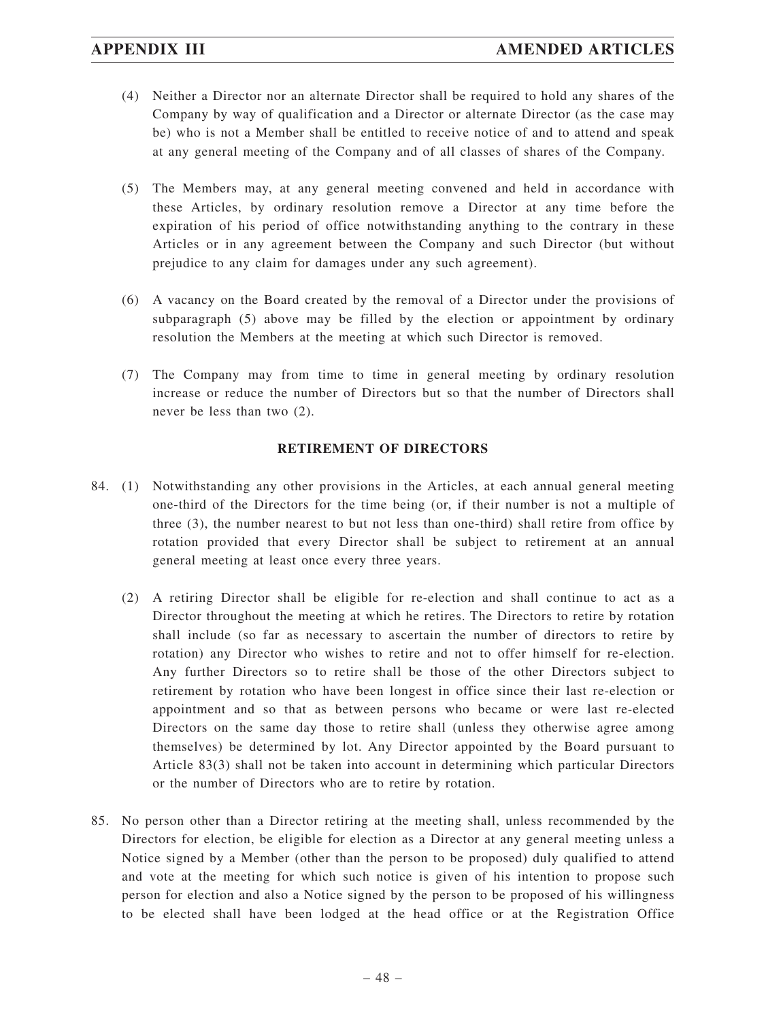- (4) Neither a Director nor an alternate Director shall be required to hold any shares of the Company by way of qualification and a Director or alternate Director (as the case may be) who is not a Member shall be entitled to receive notice of and to attend and speak at any general meeting of the Company and of all classes of shares of the Company.
- (5) The Members may, at any general meeting convened and held in accordance with these Articles, by ordinary resolution remove a Director at any time before the expiration of his period of office notwithstanding anything to the contrary in these Articles or in any agreement between the Company and such Director (but without prejudice to any claim for damages under any such agreement).
- (6) A vacancy on the Board created by the removal of a Director under the provisions of subparagraph (5) above may be filled by the election or appointment by ordinary resolution the Members at the meeting at which such Director is removed.
- (7) The Company may from time to time in general meeting by ordinary resolution increase or reduce the number of Directors but so that the number of Directors shall never be less than two (2).

## **RETIREMENT OF DIRECTORS**

- 84. (1) Notwithstanding any other provisions in the Articles, at each annual general meeting one-third of the Directors for the time being (or, if their number is not a multiple of three (3), the number nearest to but not less than one-third) shall retire from office by rotation provided that every Director shall be subject to retirement at an annual general meeting at least once every three years.
	- (2) A retiring Director shall be eligible for re-election and shall continue to act as a Director throughout the meeting at which he retires. The Directors to retire by rotation shall include (so far as necessary to ascertain the number of directors to retire by rotation) any Director who wishes to retire and not to offer himself for re-election. Any further Directors so to retire shall be those of the other Directors subject to retirement by rotation who have been longest in office since their last re-election or appointment and so that as between persons who became or were last re-elected Directors on the same day those to retire shall (unless they otherwise agree among themselves) be determined by lot. Any Director appointed by the Board pursuant to Article 83(3) shall not be taken into account in determining which particular Directors or the number of Directors who are to retire by rotation.
- 85. No person other than a Director retiring at the meeting shall, unless recommended by the Directors for election, be eligible for election as a Director at any general meeting unless a Notice signed by a Member (other than the person to be proposed) duly qualified to attend and vote at the meeting for which such notice is given of his intention to propose such person for election and also a Notice signed by the person to be proposed of his willingness to be elected shall have been lodged at the head office or at the Registration Office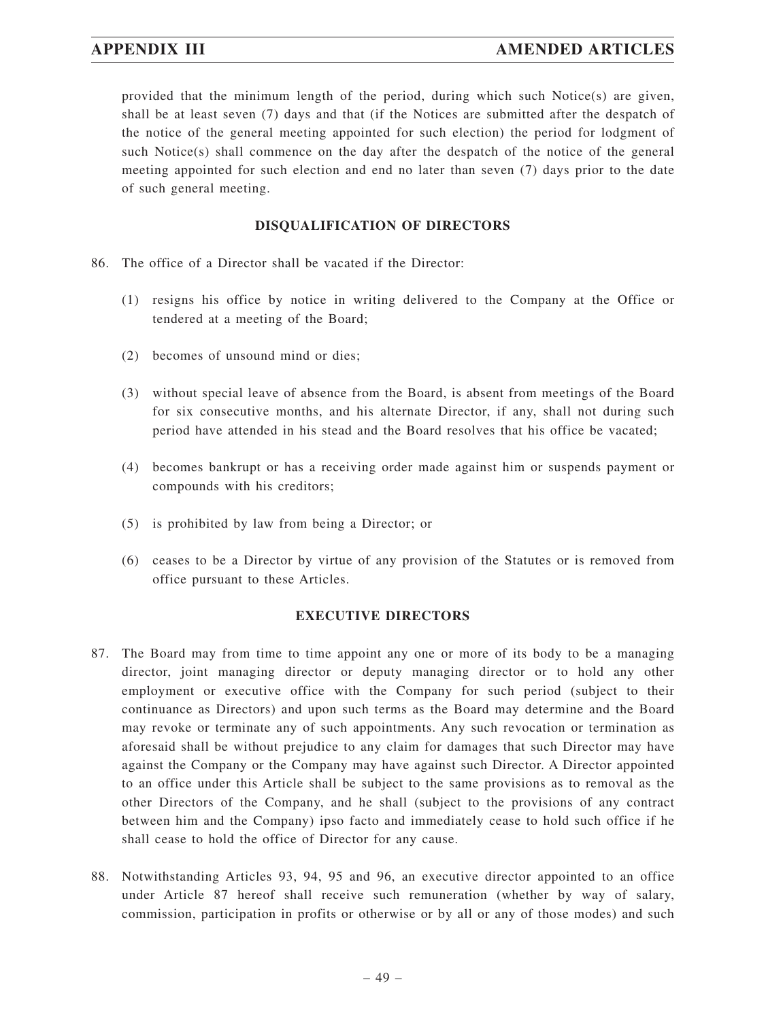provided that the minimum length of the period, during which such Notice(s) are given, shall be at least seven (7) days and that (if the Notices are submitted after the despatch of the notice of the general meeting appointed for such election) the period for lodgment of such Notice(s) shall commence on the day after the despatch of the notice of the general meeting appointed for such election and end no later than seven (7) days prior to the date of such general meeting.

## **DISQUALIFICATION OF DIRECTORS**

- 86. The office of a Director shall be vacated if the Director:
	- (1) resigns his office by notice in writing delivered to the Company at the Office or tendered at a meeting of the Board;
	- (2) becomes of unsound mind or dies;
	- (3) without special leave of absence from the Board, is absent from meetings of the Board for six consecutive months, and his alternate Director, if any, shall not during such period have attended in his stead and the Board resolves that his office be vacated;
	- (4) becomes bankrupt or has a receiving order made against him or suspends payment or compounds with his creditors;
	- (5) is prohibited by law from being a Director; or
	- (6) ceases to be a Director by virtue of any provision of the Statutes or is removed from office pursuant to these Articles.

### **EXECUTIVE DIRECTORS**

- 87. The Board may from time to time appoint any one or more of its body to be a managing director, joint managing director or deputy managing director or to hold any other employment or executive office with the Company for such period (subject to their continuance as Directors) and upon such terms as the Board may determine and the Board may revoke or terminate any of such appointments. Any such revocation or termination as aforesaid shall be without prejudice to any claim for damages that such Director may have against the Company or the Company may have against such Director. A Director appointed to an office under this Article shall be subject to the same provisions as to removal as the other Directors of the Company, and he shall (subject to the provisions of any contract between him and the Company) ipso facto and immediately cease to hold such office if he shall cease to hold the office of Director for any cause.
- 88. Notwithstanding Articles 93, 94, 95 and 96, an executive director appointed to an office under Article 87 hereof shall receive such remuneration (whether by way of salary, commission, participation in profits or otherwise or by all or any of those modes) and such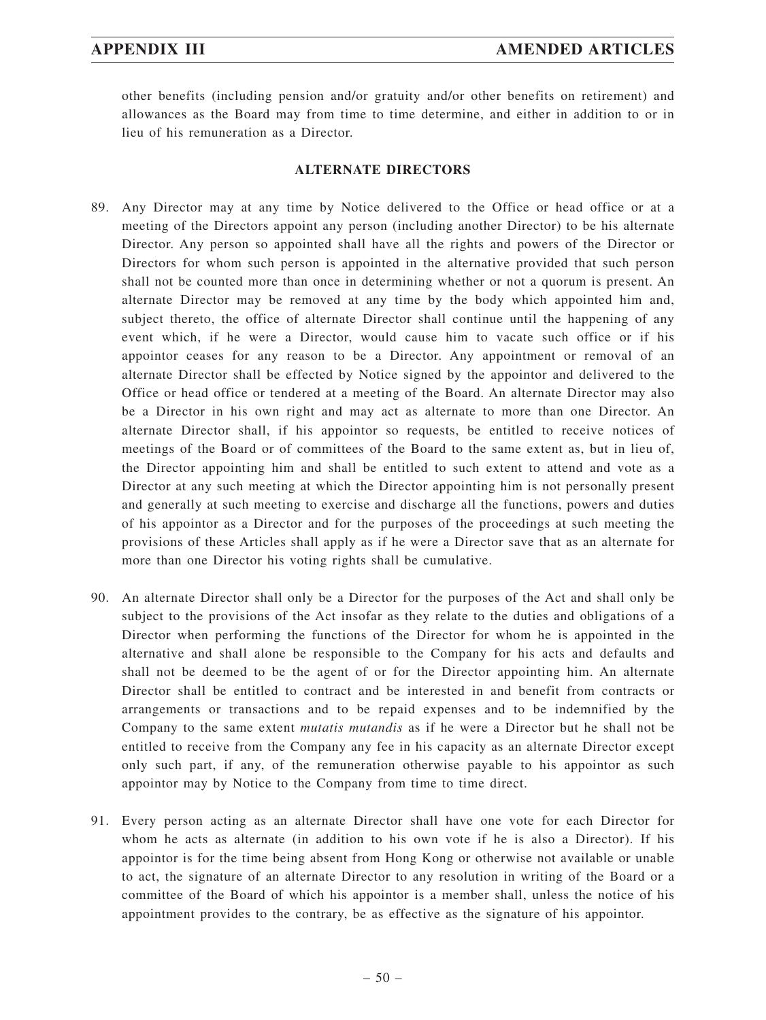other benefits (including pension and/or gratuity and/or other benefits on retirement) and allowances as the Board may from time to time determine, and either in addition to or in lieu of his remuneration as a Director.

### **ALTERNATE DIRECTORS**

- 89. Any Director may at any time by Notice delivered to the Office or head office or at a meeting of the Directors appoint any person (including another Director) to be his alternate Director. Any person so appointed shall have all the rights and powers of the Director or Directors for whom such person is appointed in the alternative provided that such person shall not be counted more than once in determining whether or not a quorum is present. An alternate Director may be removed at any time by the body which appointed him and, subject thereto, the office of alternate Director shall continue until the happening of any event which, if he were a Director, would cause him to vacate such office or if his appointor ceases for any reason to be a Director. Any appointment or removal of an alternate Director shall be effected by Notice signed by the appointor and delivered to the Office or head office or tendered at a meeting of the Board. An alternate Director may also be a Director in his own right and may act as alternate to more than one Director. An alternate Director shall, if his appointor so requests, be entitled to receive notices of meetings of the Board or of committees of the Board to the same extent as, but in lieu of, the Director appointing him and shall be entitled to such extent to attend and vote as a Director at any such meeting at which the Director appointing him is not personally present and generally at such meeting to exercise and discharge all the functions, powers and duties of his appointor as a Director and for the purposes of the proceedings at such meeting the provisions of these Articles shall apply as if he were a Director save that as an alternate for more than one Director his voting rights shall be cumulative.
- 90. An alternate Director shall only be a Director for the purposes of the Act and shall only be subject to the provisions of the Act insofar as they relate to the duties and obligations of a Director when performing the functions of the Director for whom he is appointed in the alternative and shall alone be responsible to the Company for his acts and defaults and shall not be deemed to be the agent of or for the Director appointing him. An alternate Director shall be entitled to contract and be interested in and benefit from contracts or arrangements or transactions and to be repaid expenses and to be indemnified by the Company to the same extent *mutatis mutandis* as if he were a Director but he shall not be entitled to receive from the Company any fee in his capacity as an alternate Director except only such part, if any, of the remuneration otherwise payable to his appointor as such appointor may by Notice to the Company from time to time direct.
- 91. Every person acting as an alternate Director shall have one vote for each Director for whom he acts as alternate (in addition to his own vote if he is also a Director). If his appointor is for the time being absent from Hong Kong or otherwise not available or unable to act, the signature of an alternate Director to any resolution in writing of the Board or a committee of the Board of which his appointor is a member shall, unless the notice of his appointment provides to the contrary, be as effective as the signature of his appointor.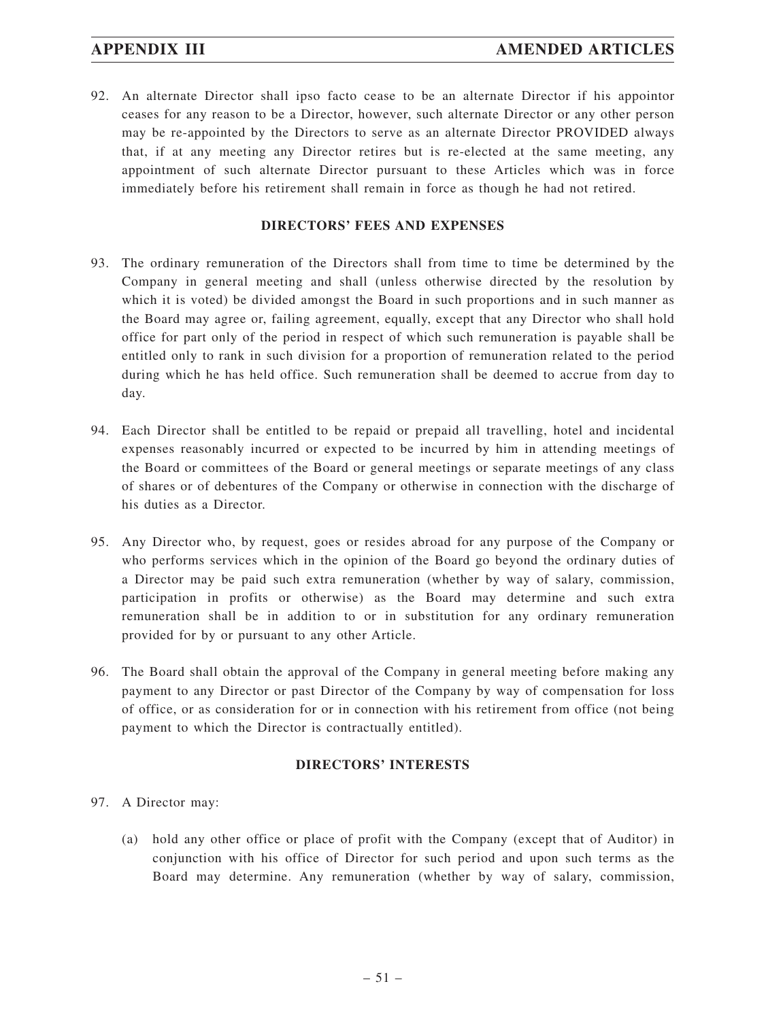92. An alternate Director shall ipso facto cease to be an alternate Director if his appointor ceases for any reason to be a Director, however, such alternate Director or any other person may be re-appointed by the Directors to serve as an alternate Director PROVIDED always that, if at any meeting any Director retires but is re-elected at the same meeting, any appointment of such alternate Director pursuant to these Articles which was in force immediately before his retirement shall remain in force as though he had not retired.

## **DIRECTORS' FEES AND EXPENSES**

- 93. The ordinary remuneration of the Directors shall from time to time be determined by the Company in general meeting and shall (unless otherwise directed by the resolution by which it is voted) be divided amongst the Board in such proportions and in such manner as the Board may agree or, failing agreement, equally, except that any Director who shall hold office for part only of the period in respect of which such remuneration is payable shall be entitled only to rank in such division for a proportion of remuneration related to the period during which he has held office. Such remuneration shall be deemed to accrue from day to day.
- 94. Each Director shall be entitled to be repaid or prepaid all travelling, hotel and incidental expenses reasonably incurred or expected to be incurred by him in attending meetings of the Board or committees of the Board or general meetings or separate meetings of any class of shares or of debentures of the Company or otherwise in connection with the discharge of his duties as a Director.
- 95. Any Director who, by request, goes or resides abroad for any purpose of the Company or who performs services which in the opinion of the Board go beyond the ordinary duties of a Director may be paid such extra remuneration (whether by way of salary, commission, participation in profits or otherwise) as the Board may determine and such extra remuneration shall be in addition to or in substitution for any ordinary remuneration provided for by or pursuant to any other Article.
- 96. The Board shall obtain the approval of the Company in general meeting before making any payment to any Director or past Director of the Company by way of compensation for loss of office, or as consideration for or in connection with his retirement from office (not being payment to which the Director is contractually entitled).

## **DIRECTORS' INTERESTS**

- 97. A Director may:
	- (a) hold any other office or place of profit with the Company (except that of Auditor) in conjunction with his office of Director for such period and upon such terms as the Board may determine. Any remuneration (whether by way of salary, commission,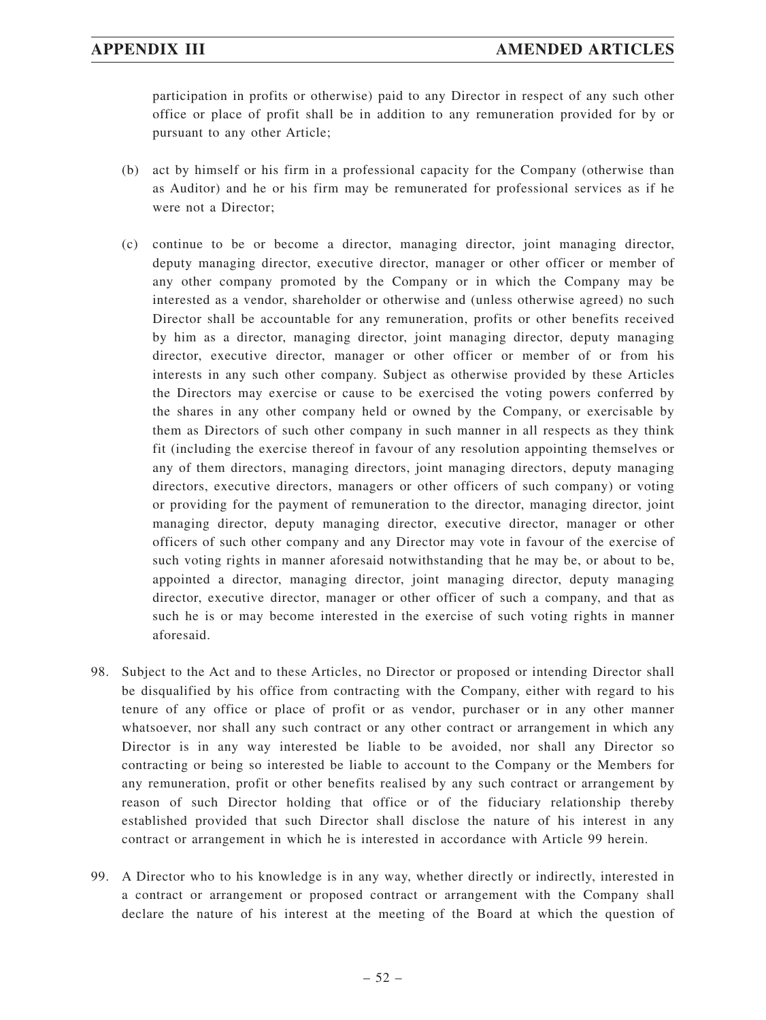participation in profits or otherwise) paid to any Director in respect of any such other office or place of profit shall be in addition to any remuneration provided for by or pursuant to any other Article;

- (b) act by himself or his firm in a professional capacity for the Company (otherwise than as Auditor) and he or his firm may be remunerated for professional services as if he were not a Director;
- (c) continue to be or become a director, managing director, joint managing director, deputy managing director, executive director, manager or other officer or member of any other company promoted by the Company or in which the Company may be interested as a vendor, shareholder or otherwise and (unless otherwise agreed) no such Director shall be accountable for any remuneration, profits or other benefits received by him as a director, managing director, joint managing director, deputy managing director, executive director, manager or other officer or member of or from his interests in any such other company. Subject as otherwise provided by these Articles the Directors may exercise or cause to be exercised the voting powers conferred by the shares in any other company held or owned by the Company, or exercisable by them as Directors of such other company in such manner in all respects as they think fit (including the exercise thereof in favour of any resolution appointing themselves or any of them directors, managing directors, joint managing directors, deputy managing directors, executive directors, managers or other officers of such company) or voting or providing for the payment of remuneration to the director, managing director, joint managing director, deputy managing director, executive director, manager or other officers of such other company and any Director may vote in favour of the exercise of such voting rights in manner aforesaid notwithstanding that he may be, or about to be, appointed a director, managing director, joint managing director, deputy managing director, executive director, manager or other officer of such a company, and that as such he is or may become interested in the exercise of such voting rights in manner aforesaid.
- 98. Subject to the Act and to these Articles, no Director or proposed or intending Director shall be disqualified by his office from contracting with the Company, either with regard to his tenure of any office or place of profit or as vendor, purchaser or in any other manner whatsoever, nor shall any such contract or any other contract or arrangement in which any Director is in any way interested be liable to be avoided, nor shall any Director so contracting or being so interested be liable to account to the Company or the Members for any remuneration, profit or other benefits realised by any such contract or arrangement by reason of such Director holding that office or of the fiduciary relationship thereby established provided that such Director shall disclose the nature of his interest in any contract or arrangement in which he is interested in accordance with Article 99 herein.
- 99. A Director who to his knowledge is in any way, whether directly or indirectly, interested in a contract or arrangement or proposed contract or arrangement with the Company shall declare the nature of his interest at the meeting of the Board at which the question of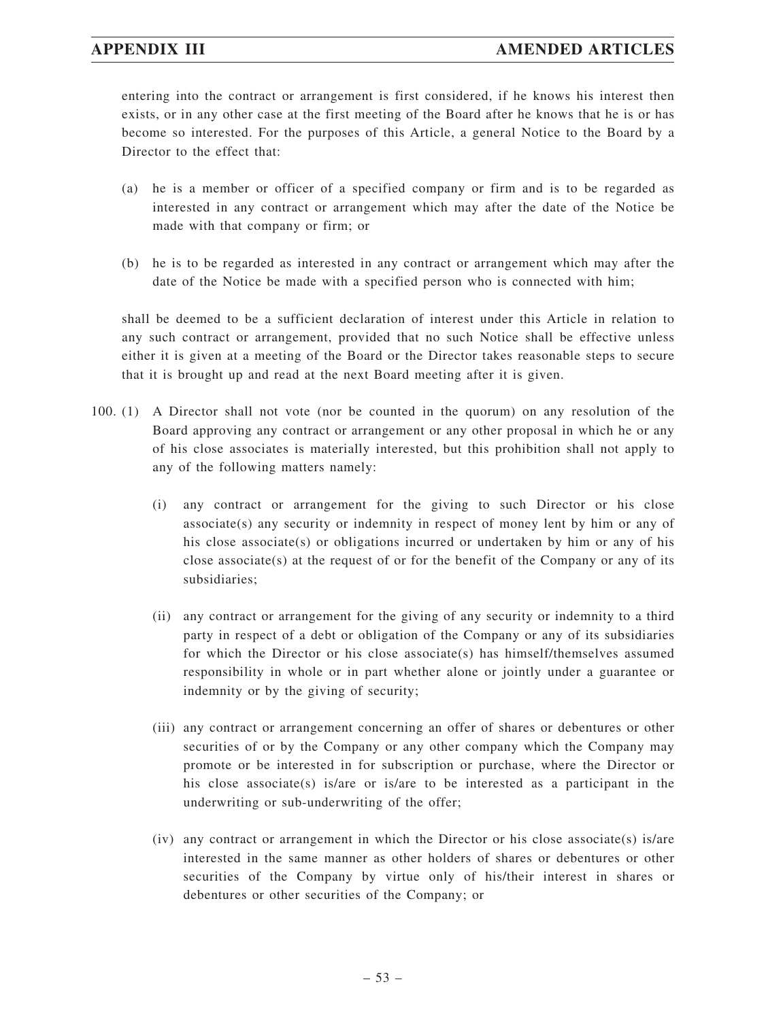# **APPENDIX III AMENDED ARTICLES**

entering into the contract or arrangement is first considered, if he knows his interest then exists, or in any other case at the first meeting of the Board after he knows that he is or has become so interested. For the purposes of this Article, a general Notice to the Board by a Director to the effect that:

- (a) he is a member or officer of a specified company or firm and is to be regarded as interested in any contract or arrangement which may after the date of the Notice be made with that company or firm; or
- (b) he is to be regarded as interested in any contract or arrangement which may after the date of the Notice be made with a specified person who is connected with him;

shall be deemed to be a sufficient declaration of interest under this Article in relation to any such contract or arrangement, provided that no such Notice shall be effective unless either it is given at a meeting of the Board or the Director takes reasonable steps to secure that it is brought up and read at the next Board meeting after it is given.

- 100. (1) A Director shall not vote (nor be counted in the quorum) on any resolution of the Board approving any contract or arrangement or any other proposal in which he or any of his close associates is materially interested, but this prohibition shall not apply to any of the following matters namely:
	- (i) any contract or arrangement for the giving to such Director or his close associate(s) any security or indemnity in respect of money lent by him or any of his close associate(s) or obligations incurred or undertaken by him or any of his close associate(s) at the request of or for the benefit of the Company or any of its subsidiaries;
	- (ii) any contract or arrangement for the giving of any security or indemnity to a third party in respect of a debt or obligation of the Company or any of its subsidiaries for which the Director or his close associate(s) has himself/themselves assumed responsibility in whole or in part whether alone or jointly under a guarantee or indemnity or by the giving of security;
	- (iii) any contract or arrangement concerning an offer of shares or debentures or other securities of or by the Company or any other company which the Company may promote or be interested in for subscription or purchase, where the Director or his close associate(s) is/are or is/are to be interested as a participant in the underwriting or sub-underwriting of the offer;
	- (iv) any contract or arrangement in which the Director or his close associate(s) is/are interested in the same manner as other holders of shares or debentures or other securities of the Company by virtue only of his/their interest in shares or debentures or other securities of the Company; or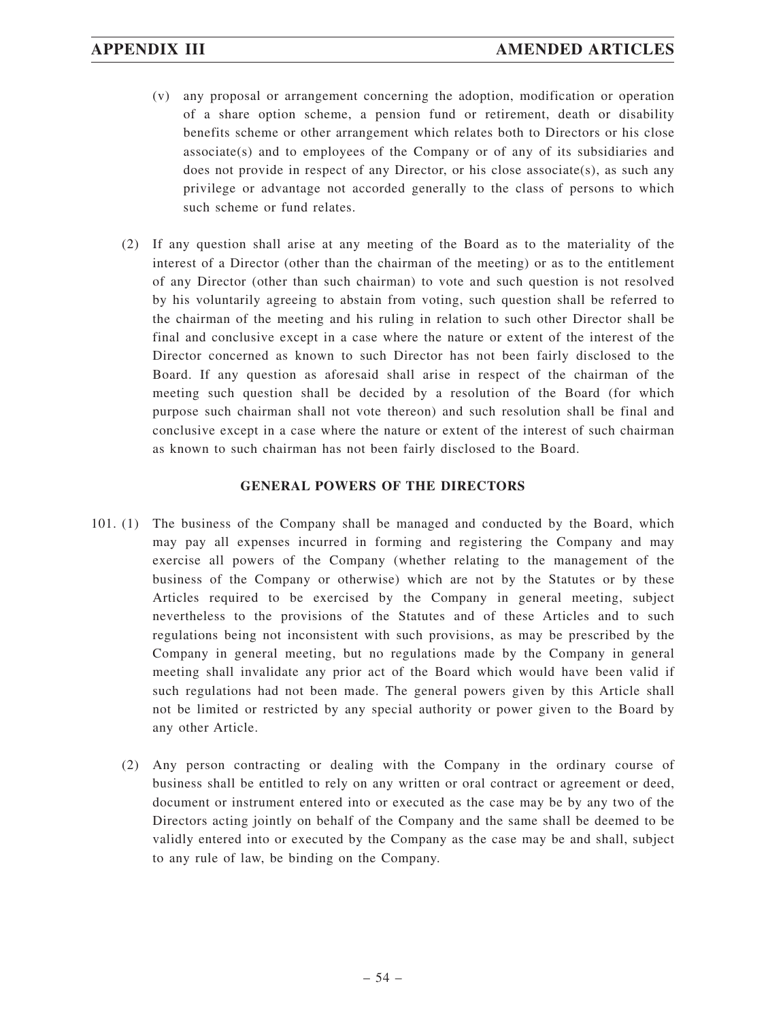- (v) any proposal or arrangement concerning the adoption, modification or operation of a share option scheme, a pension fund or retirement, death or disability benefits scheme or other arrangement which relates both to Directors or his close associate(s) and to employees of the Company or of any of its subsidiaries and does not provide in respect of any Director, or his close associate(s), as such any privilege or advantage not accorded generally to the class of persons to which such scheme or fund relates.
- (2) If any question shall arise at any meeting of the Board as to the materiality of the interest of a Director (other than the chairman of the meeting) or as to the entitlement of any Director (other than such chairman) to vote and such question is not resolved by his voluntarily agreeing to abstain from voting, such question shall be referred to the chairman of the meeting and his ruling in relation to such other Director shall be final and conclusive except in a case where the nature or extent of the interest of the Director concerned as known to such Director has not been fairly disclosed to the Board. If any question as aforesaid shall arise in respect of the chairman of the meeting such question shall be decided by a resolution of the Board (for which purpose such chairman shall not vote thereon) and such resolution shall be final and conclusive except in a case where the nature or extent of the interest of such chairman as known to such chairman has not been fairly disclosed to the Board.

## **GENERAL POWERS OF THE DIRECTORS**

- 101. (1) The business of the Company shall be managed and conducted by the Board, which may pay all expenses incurred in forming and registering the Company and may exercise all powers of the Company (whether relating to the management of the business of the Company or otherwise) which are not by the Statutes or by these Articles required to be exercised by the Company in general meeting, subject nevertheless to the provisions of the Statutes and of these Articles and to such regulations being not inconsistent with such provisions, as may be prescribed by the Company in general meeting, but no regulations made by the Company in general meeting shall invalidate any prior act of the Board which would have been valid if such regulations had not been made. The general powers given by this Article shall not be limited or restricted by any special authority or power given to the Board by any other Article.
	- (2) Any person contracting or dealing with the Company in the ordinary course of business shall be entitled to rely on any written or oral contract or agreement or deed, document or instrument entered into or executed as the case may be by any two of the Directors acting jointly on behalf of the Company and the same shall be deemed to be validly entered into or executed by the Company as the case may be and shall, subject to any rule of law, be binding on the Company.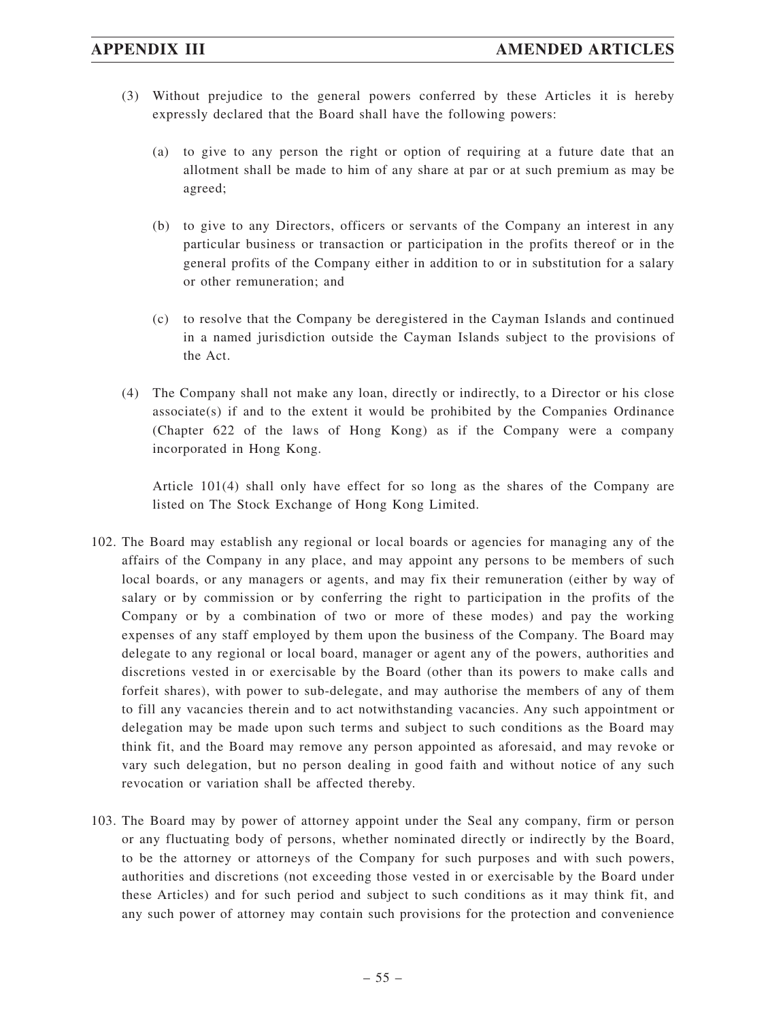- (3) Without prejudice to the general powers conferred by these Articles it is hereby expressly declared that the Board shall have the following powers:
	- (a) to give to any person the right or option of requiring at a future date that an allotment shall be made to him of any share at par or at such premium as may be agreed;
	- (b) to give to any Directors, officers or servants of the Company an interest in any particular business or transaction or participation in the profits thereof or in the general profits of the Company either in addition to or in substitution for a salary or other remuneration; and
	- (c) to resolve that the Company be deregistered in the Cayman Islands and continued in a named jurisdiction outside the Cayman Islands subject to the provisions of the Act.
- (4) The Company shall not make any loan, directly or indirectly, to a Director or his close  $associate(s)$  if and to the extent it would be prohibited by the Companies Ordinance (Chapter 622 of the laws of Hong Kong) as if the Company were a company incorporated in Hong Kong.

Article 101(4) shall only have effect for so long as the shares of the Company are listed on The Stock Exchange of Hong Kong Limited.

- 102. The Board may establish any regional or local boards or agencies for managing any of the affairs of the Company in any place, and may appoint any persons to be members of such local boards, or any managers or agents, and may fix their remuneration (either by way of salary or by commission or by conferring the right to participation in the profits of the Company or by a combination of two or more of these modes) and pay the working expenses of any staff employed by them upon the business of the Company. The Board may delegate to any regional or local board, manager or agent any of the powers, authorities and discretions vested in or exercisable by the Board (other than its powers to make calls and forfeit shares), with power to sub-delegate, and may authorise the members of any of them to fill any vacancies therein and to act notwithstanding vacancies. Any such appointment or delegation may be made upon such terms and subject to such conditions as the Board may think fit, and the Board may remove any person appointed as aforesaid, and may revoke or vary such delegation, but no person dealing in good faith and without notice of any such revocation or variation shall be affected thereby.
- 103. The Board may by power of attorney appoint under the Seal any company, firm or person or any fluctuating body of persons, whether nominated directly or indirectly by the Board, to be the attorney or attorneys of the Company for such purposes and with such powers, authorities and discretions (not exceeding those vested in or exercisable by the Board under these Articles) and for such period and subject to such conditions as it may think fit, and any such power of attorney may contain such provisions for the protection and convenience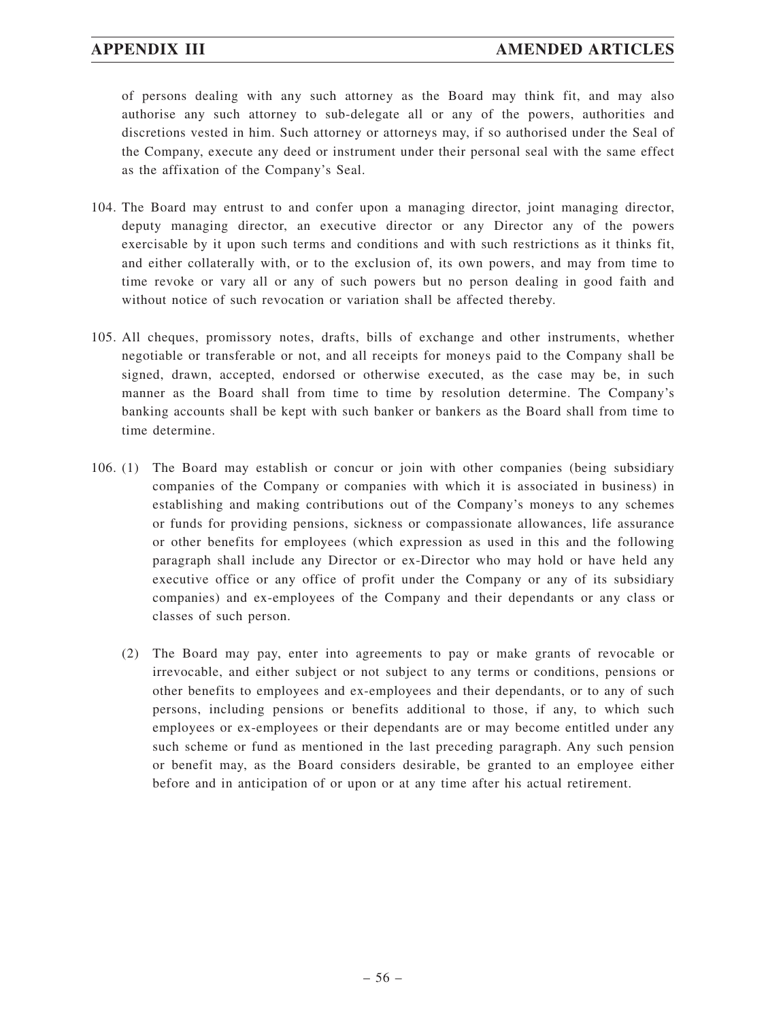# **APPENDIX III AMENDED ARTICLES**

of persons dealing with any such attorney as the Board may think fit, and may also authorise any such attorney to sub-delegate all or any of the powers, authorities and discretions vested in him. Such attorney or attorneys may, if so authorised under the Seal of the Company, execute any deed or instrument under their personal seal with the same effect as the affixation of the Company's Seal.

- 104. The Board may entrust to and confer upon a managing director, joint managing director, deputy managing director, an executive director or any Director any of the powers exercisable by it upon such terms and conditions and with such restrictions as it thinks fit, and either collaterally with, or to the exclusion of, its own powers, and may from time to time revoke or vary all or any of such powers but no person dealing in good faith and without notice of such revocation or variation shall be affected thereby.
- 105. All cheques, promissory notes, drafts, bills of exchange and other instruments, whether negotiable or transferable or not, and all receipts for moneys paid to the Company shall be signed, drawn, accepted, endorsed or otherwise executed, as the case may be, in such manner as the Board shall from time to time by resolution determine. The Company's banking accounts shall be kept with such banker or bankers as the Board shall from time to time determine.
- 106. (1) The Board may establish or concur or join with other companies (being subsidiary companies of the Company or companies with which it is associated in business) in establishing and making contributions out of the Company's moneys to any schemes or funds for providing pensions, sickness or compassionate allowances, life assurance or other benefits for employees (which expression as used in this and the following paragraph shall include any Director or ex-Director who may hold or have held any executive office or any office of profit under the Company or any of its subsidiary companies) and ex-employees of the Company and their dependants or any class or classes of such person.
	- (2) The Board may pay, enter into agreements to pay or make grants of revocable or irrevocable, and either subject or not subject to any terms or conditions, pensions or other benefits to employees and ex-employees and their dependants, or to any of such persons, including pensions or benefits additional to those, if any, to which such employees or ex-employees or their dependants are or may become entitled under any such scheme or fund as mentioned in the last preceding paragraph. Any such pension or benefit may, as the Board considers desirable, be granted to an employee either before and in anticipation of or upon or at any time after his actual retirement.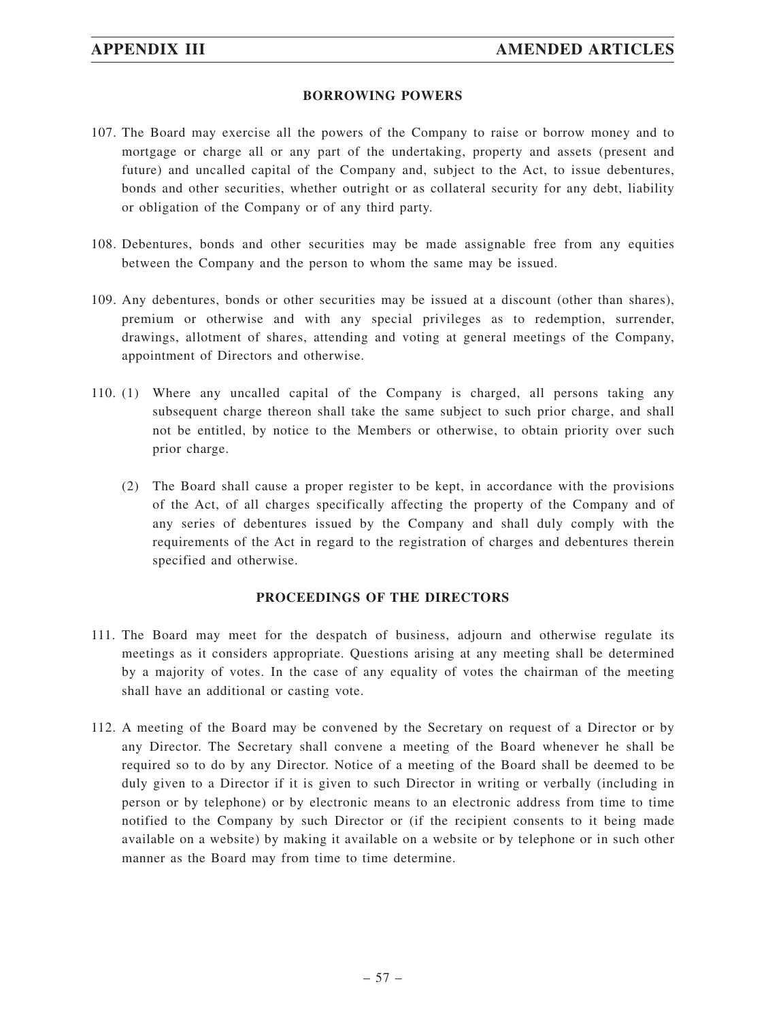### **BORROWING POWERS**

- 107. The Board may exercise all the powers of the Company to raise or borrow money and to mortgage or charge all or any part of the undertaking, property and assets (present and future) and uncalled capital of the Company and, subject to the Act, to issue debentures, bonds and other securities, whether outright or as collateral security for any debt, liability or obligation of the Company or of any third party.
- 108. Debentures, bonds and other securities may be made assignable free from any equities between the Company and the person to whom the same may be issued.
- 109. Any debentures, bonds or other securities may be issued at a discount (other than shares), premium or otherwise and with any special privileges as to redemption, surrender, drawings, allotment of shares, attending and voting at general meetings of the Company, appointment of Directors and otherwise.
- 110. (1) Where any uncalled capital of the Company is charged, all persons taking any subsequent charge thereon shall take the same subject to such prior charge, and shall not be entitled, by notice to the Members or otherwise, to obtain priority over such prior charge.
	- (2) The Board shall cause a proper register to be kept, in accordance with the provisions of the Act, of all charges specifically affecting the property of the Company and of any series of debentures issued by the Company and shall duly comply with the requirements of the Act in regard to the registration of charges and debentures therein specified and otherwise.

# **PROCEEDINGS OF THE DIRECTORS**

- 111. The Board may meet for the despatch of business, adjourn and otherwise regulate its meetings as it considers appropriate. Questions arising at any meeting shall be determined by a majority of votes. In the case of any equality of votes the chairman of the meeting shall have an additional or casting vote.
- 112. A meeting of the Board may be convened by the Secretary on request of a Director or by any Director. The Secretary shall convene a meeting of the Board whenever he shall be required so to do by any Director. Notice of a meeting of the Board shall be deemed to be duly given to a Director if it is given to such Director in writing or verbally (including in person or by telephone) or by electronic means to an electronic address from time to time notified to the Company by such Director or (if the recipient consents to it being made available on a website) by making it available on a website or by telephone or in such other manner as the Board may from time to time determine.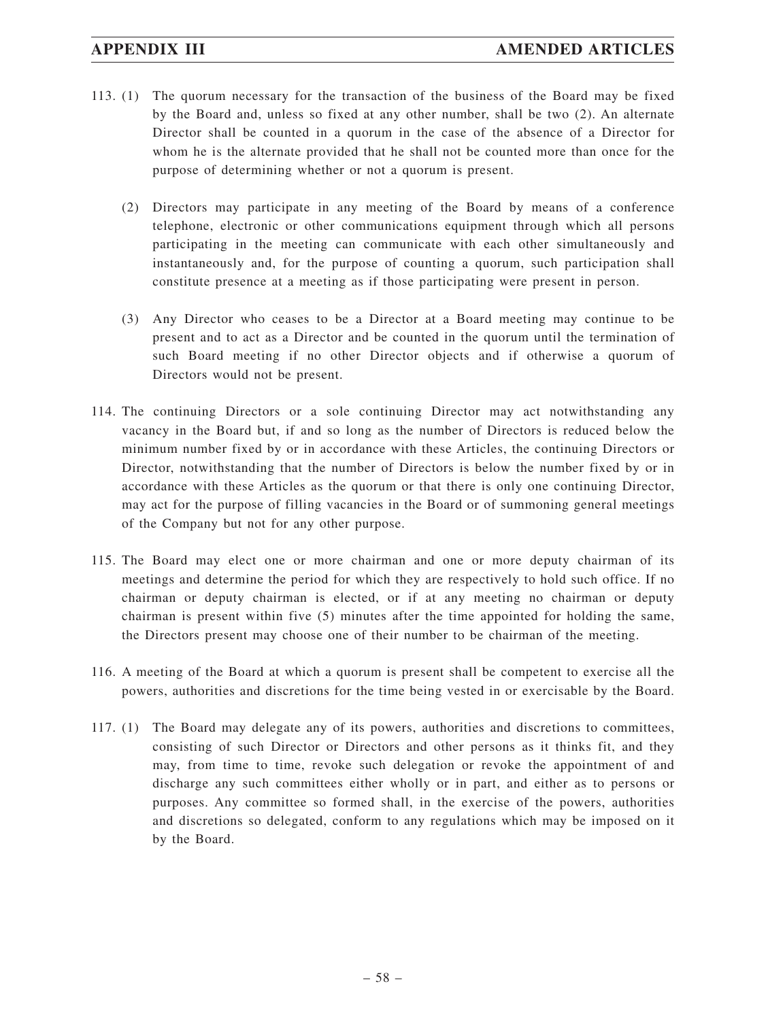- 113. (1) The quorum necessary for the transaction of the business of the Board may be fixed by the Board and, unless so fixed at any other number, shall be two (2). An alternate Director shall be counted in a quorum in the case of the absence of a Director for whom he is the alternate provided that he shall not be counted more than once for the purpose of determining whether or not a quorum is present.
	- (2) Directors may participate in any meeting of the Board by means of a conference telephone, electronic or other communications equipment through which all persons participating in the meeting can communicate with each other simultaneously and instantaneously and, for the purpose of counting a quorum, such participation shall constitute presence at a meeting as if those participating were present in person.
	- (3) Any Director who ceases to be a Director at a Board meeting may continue to be present and to act as a Director and be counted in the quorum until the termination of such Board meeting if no other Director objects and if otherwise a quorum of Directors would not be present.
- 114. The continuing Directors or a sole continuing Director may act notwithstanding any vacancy in the Board but, if and so long as the number of Directors is reduced below the minimum number fixed by or in accordance with these Articles, the continuing Directors or Director, notwithstanding that the number of Directors is below the number fixed by or in accordance with these Articles as the quorum or that there is only one continuing Director, may act for the purpose of filling vacancies in the Board or of summoning general meetings of the Company but not for any other purpose.
- 115. The Board may elect one or more chairman and one or more deputy chairman of its meetings and determine the period for which they are respectively to hold such office. If no chairman or deputy chairman is elected, or if at any meeting no chairman or deputy chairman is present within five (5) minutes after the time appointed for holding the same, the Directors present may choose one of their number to be chairman of the meeting.
- 116. A meeting of the Board at which a quorum is present shall be competent to exercise all the powers, authorities and discretions for the time being vested in or exercisable by the Board.
- 117. (1) The Board may delegate any of its powers, authorities and discretions to committees, consisting of such Director or Directors and other persons as it thinks fit, and they may, from time to time, revoke such delegation or revoke the appointment of and discharge any such committees either wholly or in part, and either as to persons or purposes. Any committee so formed shall, in the exercise of the powers, authorities and discretions so delegated, conform to any regulations which may be imposed on it by the Board.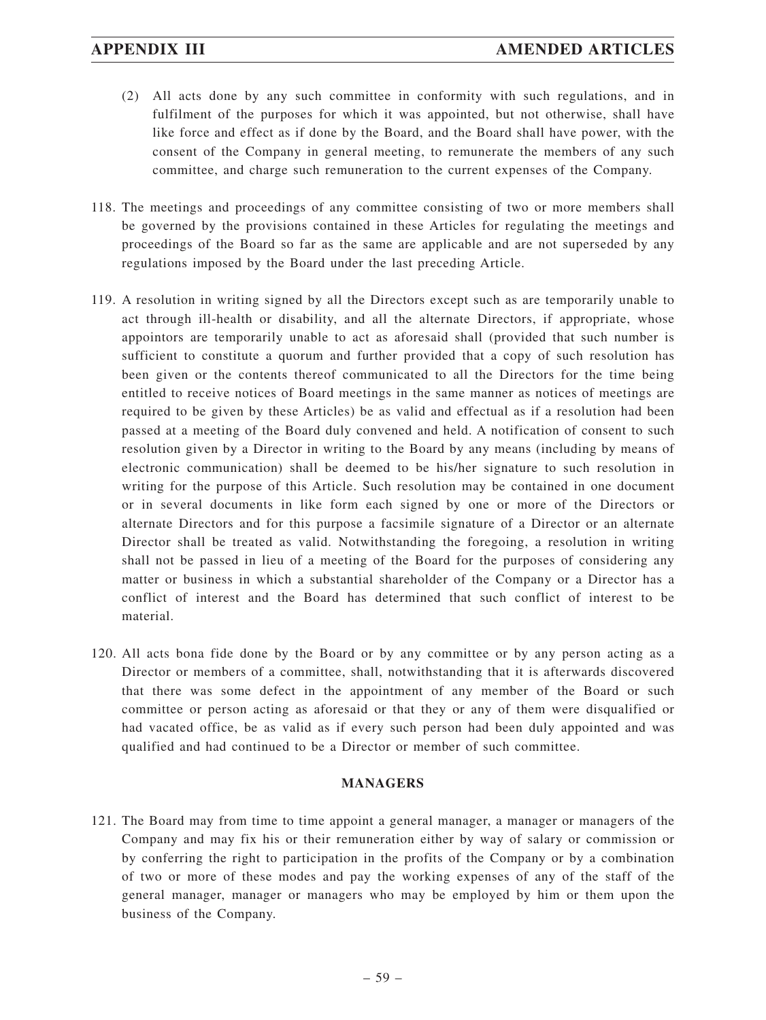- (2) All acts done by any such committee in conformity with such regulations, and in fulfilment of the purposes for which it was appointed, but not otherwise, shall have like force and effect as if done by the Board, and the Board shall have power, with the consent of the Company in general meeting, to remunerate the members of any such committee, and charge such remuneration to the current expenses of the Company.
- 118. The meetings and proceedings of any committee consisting of two or more members shall be governed by the provisions contained in these Articles for regulating the meetings and proceedings of the Board so far as the same are applicable and are not superseded by any regulations imposed by the Board under the last preceding Article.
- 119. A resolution in writing signed by all the Directors except such as are temporarily unable to act through ill-health or disability, and all the alternate Directors, if appropriate, whose appointors are temporarily unable to act as aforesaid shall (provided that such number is sufficient to constitute a quorum and further provided that a copy of such resolution has been given or the contents thereof communicated to all the Directors for the time being entitled to receive notices of Board meetings in the same manner as notices of meetings are required to be given by these Articles) be as valid and effectual as if a resolution had been passed at a meeting of the Board duly convened and held. A notification of consent to such resolution given by a Director in writing to the Board by any means (including by means of electronic communication) shall be deemed to be his/her signature to such resolution in writing for the purpose of this Article. Such resolution may be contained in one document or in several documents in like form each signed by one or more of the Directors or alternate Directors and for this purpose a facsimile signature of a Director or an alternate Director shall be treated as valid. Notwithstanding the foregoing, a resolution in writing shall not be passed in lieu of a meeting of the Board for the purposes of considering any matter or business in which a substantial shareholder of the Company or a Director has a conflict of interest and the Board has determined that such conflict of interest to be material.
- 120. All acts bona fide done by the Board or by any committee or by any person acting as a Director or members of a committee, shall, notwithstanding that it is afterwards discovered that there was some defect in the appointment of any member of the Board or such committee or person acting as aforesaid or that they or any of them were disqualified or had vacated office, be as valid as if every such person had been duly appointed and was qualified and had continued to be a Director or member of such committee.

### **MANAGERS**

121. The Board may from time to time appoint a general manager, a manager or managers of the Company and may fix his or their remuneration either by way of salary or commission or by conferring the right to participation in the profits of the Company or by a combination of two or more of these modes and pay the working expenses of any of the staff of the general manager, manager or managers who may be employed by him or them upon the business of the Company.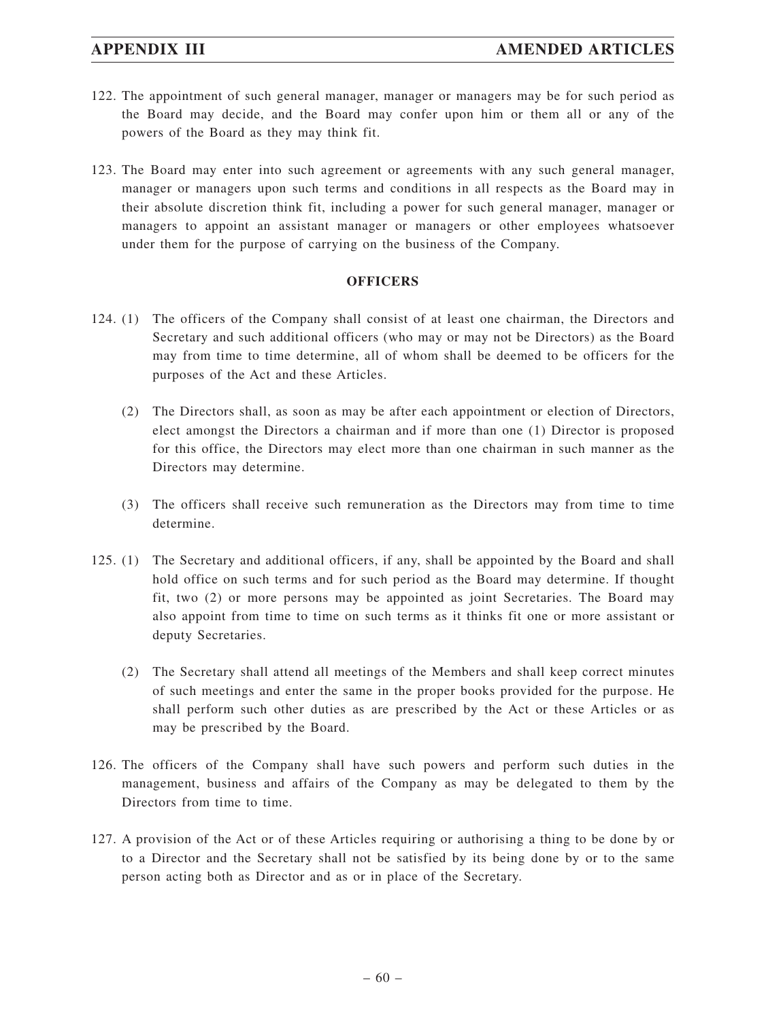- 122. The appointment of such general manager, manager or managers may be for such period as the Board may decide, and the Board may confer upon him or them all or any of the powers of the Board as they may think fit.
- 123. The Board may enter into such agreement or agreements with any such general manager, manager or managers upon such terms and conditions in all respects as the Board may in their absolute discretion think fit, including a power for such general manager, manager or managers to appoint an assistant manager or managers or other employees whatsoever under them for the purpose of carrying on the business of the Company.

### **OFFICERS**

- 124. (1) The officers of the Company shall consist of at least one chairman, the Directors and Secretary and such additional officers (who may or may not be Directors) as the Board may from time to time determine, all of whom shall be deemed to be officers for the purposes of the Act and these Articles.
	- (2) The Directors shall, as soon as may be after each appointment or election of Directors, elect amongst the Directors a chairman and if more than one (1) Director is proposed for this office, the Directors may elect more than one chairman in such manner as the Directors may determine.
	- (3) The officers shall receive such remuneration as the Directors may from time to time determine.
- 125. (1) The Secretary and additional officers, if any, shall be appointed by the Board and shall hold office on such terms and for such period as the Board may determine. If thought fit, two (2) or more persons may be appointed as joint Secretaries. The Board may also appoint from time to time on such terms as it thinks fit one or more assistant or deputy Secretaries.
	- (2) The Secretary shall attend all meetings of the Members and shall keep correct minutes of such meetings and enter the same in the proper books provided for the purpose. He shall perform such other duties as are prescribed by the Act or these Articles or as may be prescribed by the Board.
- 126. The officers of the Company shall have such powers and perform such duties in the management, business and affairs of the Company as may be delegated to them by the Directors from time to time.
- 127. A provision of the Act or of these Articles requiring or authorising a thing to be done by or to a Director and the Secretary shall not be satisfied by its being done by or to the same person acting both as Director and as or in place of the Secretary.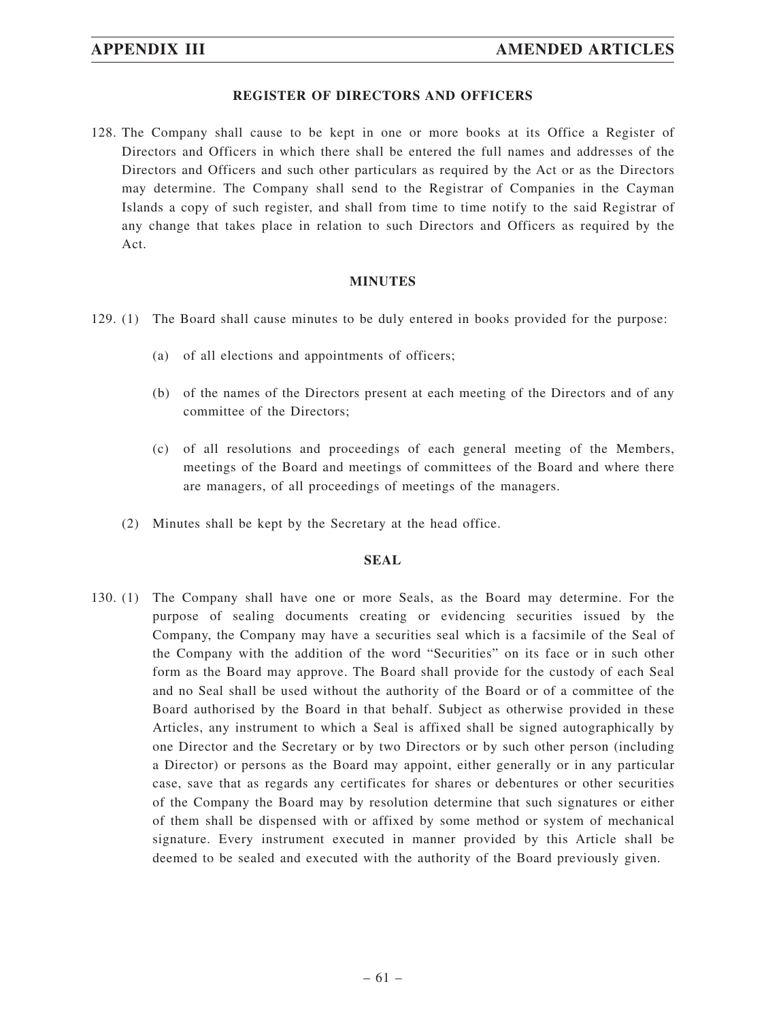### **REGISTER OF DIRECTORS AND OFFICERS**

128. The Company shall cause to be kept in one or more books at its Office a Register of Directors and Officers in which there shall be entered the full names and addresses of the Directors and Officers and such other particulars as required by the Act or as the Directors may determine. The Company shall send to the Registrar of Companies in the Cayman Islands a copy of such register, and shall from time to time notify to the said Registrar of any change that takes place in relation to such Directors and Officers as required by the Act.

### **MINUTES**

- 129. (1) The Board shall cause minutes to be duly entered in books provided for the purpose:
	- (a) of all elections and appointments of officers;
	- (b) of the names of the Directors present at each meeting of the Directors and of any committee of the Directors;
	- (c) of all resolutions and proceedings of each general meeting of the Members, meetings of the Board and meetings of committees of the Board and where there are managers, of all proceedings of meetings of the managers.
	- (2) Minutes shall be kept by the Secretary at the head office.

### **SEAL**

130. (1) The Company shall have one or more Seals, as the Board may determine. For the purpose of sealing documents creating or evidencing securities issued by the Company, the Company may have a securities seal which is a facsimile of the Seal of the Company with the addition of the word "Securities" on its face or in such other form as the Board may approve. The Board shall provide for the custody of each Seal and no Seal shall be used without the authority of the Board or of a committee of the Board authorised by the Board in that behalf. Subject as otherwise provided in these Articles, any instrument to which a Seal is affixed shall be signed autographically by one Director and the Secretary or by two Directors or by such other person (including a Director) or persons as the Board may appoint, either generally or in any particular case, save that as regards any certificates for shares or debentures or other securities of the Company the Board may by resolution determine that such signatures or either of them shall be dispensed with or affixed by some method or system of mechanical signature. Every instrument executed in manner provided by this Article shall be deemed to be sealed and executed with the authority of the Board previously given.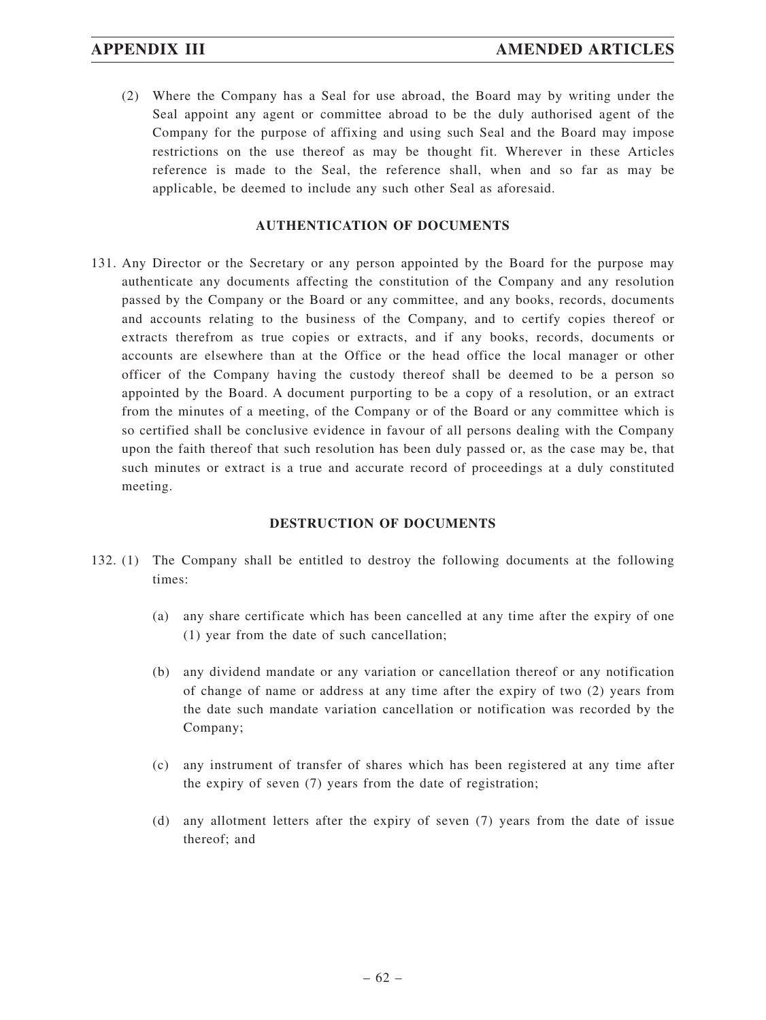(2) Where the Company has a Seal for use abroad, the Board may by writing under the Seal appoint any agent or committee abroad to be the duly authorised agent of the Company for the purpose of affixing and using such Seal and the Board may impose restrictions on the use thereof as may be thought fit. Wherever in these Articles reference is made to the Seal, the reference shall, when and so far as may be applicable, be deemed to include any such other Seal as aforesaid.

## **AUTHENTICATION OF DOCUMENTS**

131. Any Director or the Secretary or any person appointed by the Board for the purpose may authenticate any documents affecting the constitution of the Company and any resolution passed by the Company or the Board or any committee, and any books, records, documents and accounts relating to the business of the Company, and to certify copies thereof or extracts therefrom as true copies or extracts, and if any books, records, documents or accounts are elsewhere than at the Office or the head office the local manager or other officer of the Company having the custody thereof shall be deemed to be a person so appointed by the Board. A document purporting to be a copy of a resolution, or an extract from the minutes of a meeting, of the Company or of the Board or any committee which is so certified shall be conclusive evidence in favour of all persons dealing with the Company upon the faith thereof that such resolution has been duly passed or, as the case may be, that such minutes or extract is a true and accurate record of proceedings at a duly constituted meeting.

## **DESTRUCTION OF DOCUMENTS**

- 132. (1) The Company shall be entitled to destroy the following documents at the following times:
	- (a) any share certificate which has been cancelled at any time after the expiry of one (1) year from the date of such cancellation;
	- (b) any dividend mandate or any variation or cancellation thereof or any notification of change of name or address at any time after the expiry of two (2) years from the date such mandate variation cancellation or notification was recorded by the Company;
	- (c) any instrument of transfer of shares which has been registered at any time after the expiry of seven (7) years from the date of registration;
	- (d) any allotment letters after the expiry of seven (7) years from the date of issue thereof; and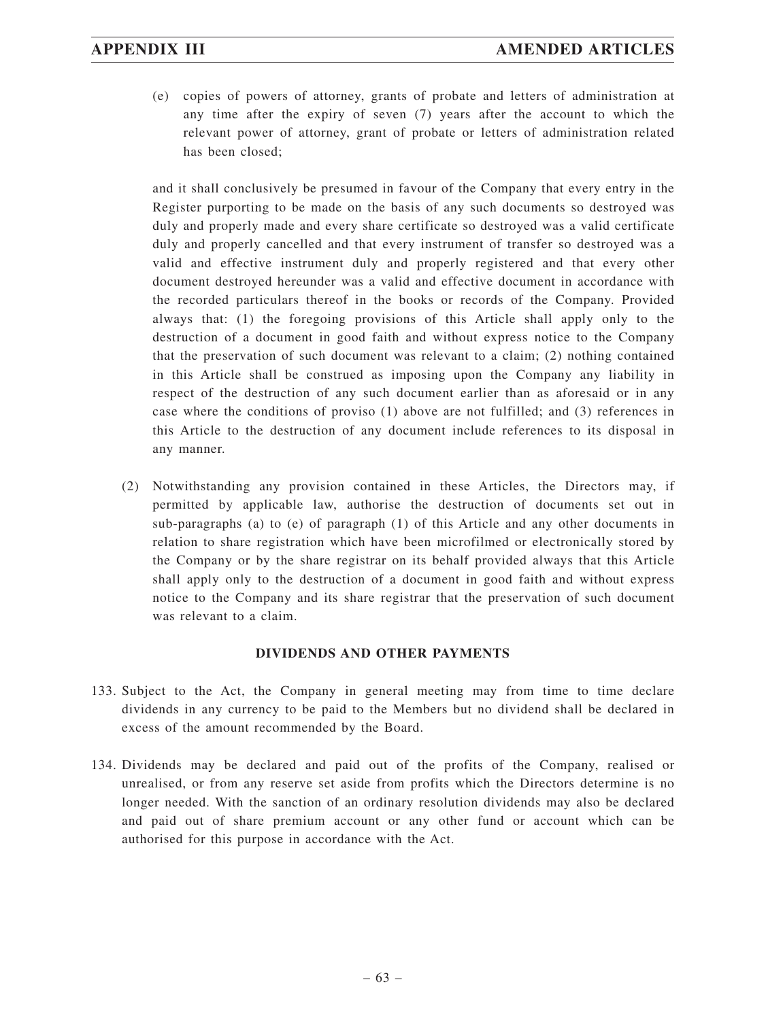(e) copies of powers of attorney, grants of probate and letters of administration at any time after the expiry of seven (7) years after the account to which the relevant power of attorney, grant of probate or letters of administration related has been closed;

and it shall conclusively be presumed in favour of the Company that every entry in the Register purporting to be made on the basis of any such documents so destroyed was duly and properly made and every share certificate so destroyed was a valid certificate duly and properly cancelled and that every instrument of transfer so destroyed was a valid and effective instrument duly and properly registered and that every other document destroyed hereunder was a valid and effective document in accordance with the recorded particulars thereof in the books or records of the Company. Provided always that: (1) the foregoing provisions of this Article shall apply only to the destruction of a document in good faith and without express notice to the Company that the preservation of such document was relevant to a claim; (2) nothing contained in this Article shall be construed as imposing upon the Company any liability in respect of the destruction of any such document earlier than as aforesaid or in any case where the conditions of proviso (1) above are not fulfilled; and (3) references in this Article to the destruction of any document include references to its disposal in any manner.

(2) Notwithstanding any provision contained in these Articles, the Directors may, if permitted by applicable law, authorise the destruction of documents set out in sub-paragraphs (a) to (e) of paragraph (1) of this Article and any other documents in relation to share registration which have been microfilmed or electronically stored by the Company or by the share registrar on its behalf provided always that this Article shall apply only to the destruction of a document in good faith and without express notice to the Company and its share registrar that the preservation of such document was relevant to a claim.

## **DIVIDENDS AND OTHER PAYMENTS**

- 133. Subject to the Act, the Company in general meeting may from time to time declare dividends in any currency to be paid to the Members but no dividend shall be declared in excess of the amount recommended by the Board.
- 134. Dividends may be declared and paid out of the profits of the Company, realised or unrealised, or from any reserve set aside from profits which the Directors determine is no longer needed. With the sanction of an ordinary resolution dividends may also be declared and paid out of share premium account or any other fund or account which can be authorised for this purpose in accordance with the Act.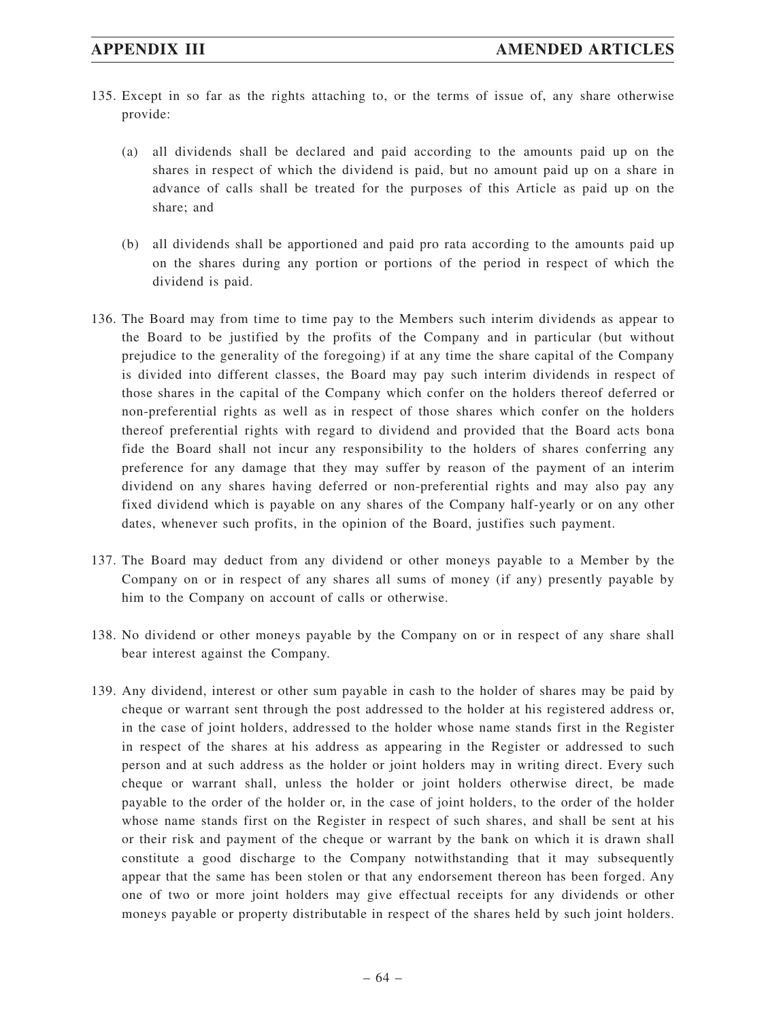- 135. Except in so far as the rights attaching to, or the terms of issue of, any share otherwise provide:
	- (a) all dividends shall be declared and paid according to the amounts paid up on the shares in respect of which the dividend is paid, but no amount paid up on a share in advance of calls shall be treated for the purposes of this Article as paid up on the share; and
	- (b) all dividends shall be apportioned and paid pro rata according to the amounts paid up on the shares during any portion or portions of the period in respect of which the dividend is paid.
- 136. The Board may from time to time pay to the Members such interim dividends as appear to the Board to be justified by the profits of the Company and in particular (but without prejudice to the generality of the foregoing) if at any time the share capital of the Company is divided into different classes, the Board may pay such interim dividends in respect of those shares in the capital of the Company which confer on the holders thereof deferred or non-preferential rights as well as in respect of those shares which confer on the holders thereof preferential rights with regard to dividend and provided that the Board acts bona fide the Board shall not incur any responsibility to the holders of shares conferring any preference for any damage that they may suffer by reason of the payment of an interim dividend on any shares having deferred or non-preferential rights and may also pay any fixed dividend which is payable on any shares of the Company half-yearly or on any other dates, whenever such profits, in the opinion of the Board, justifies such payment.
- 137. The Board may deduct from any dividend or other moneys payable to a Member by the Company on or in respect of any shares all sums of money (if any) presently payable by him to the Company on account of calls or otherwise.
- 138. No dividend or other moneys payable by the Company on or in respect of any share shall bear interest against the Company.
- 139. Any dividend, interest or other sum payable in cash to the holder of shares may be paid by cheque or warrant sent through the post addressed to the holder at his registered address or, in the case of joint holders, addressed to the holder whose name stands first in the Register in respect of the shares at his address as appearing in the Register or addressed to such person and at such address as the holder or joint holders may in writing direct. Every such cheque or warrant shall, unless the holder or joint holders otherwise direct, be made payable to the order of the holder or, in the case of joint holders, to the order of the holder whose name stands first on the Register in respect of such shares, and shall be sent at his or their risk and payment of the cheque or warrant by the bank on which it is drawn shall constitute a good discharge to the Company notwithstanding that it may subsequently appear that the same has been stolen or that any endorsement thereon has been forged. Any one of two or more joint holders may give effectual receipts for any dividends or other moneys payable or property distributable in respect of the shares held by such joint holders.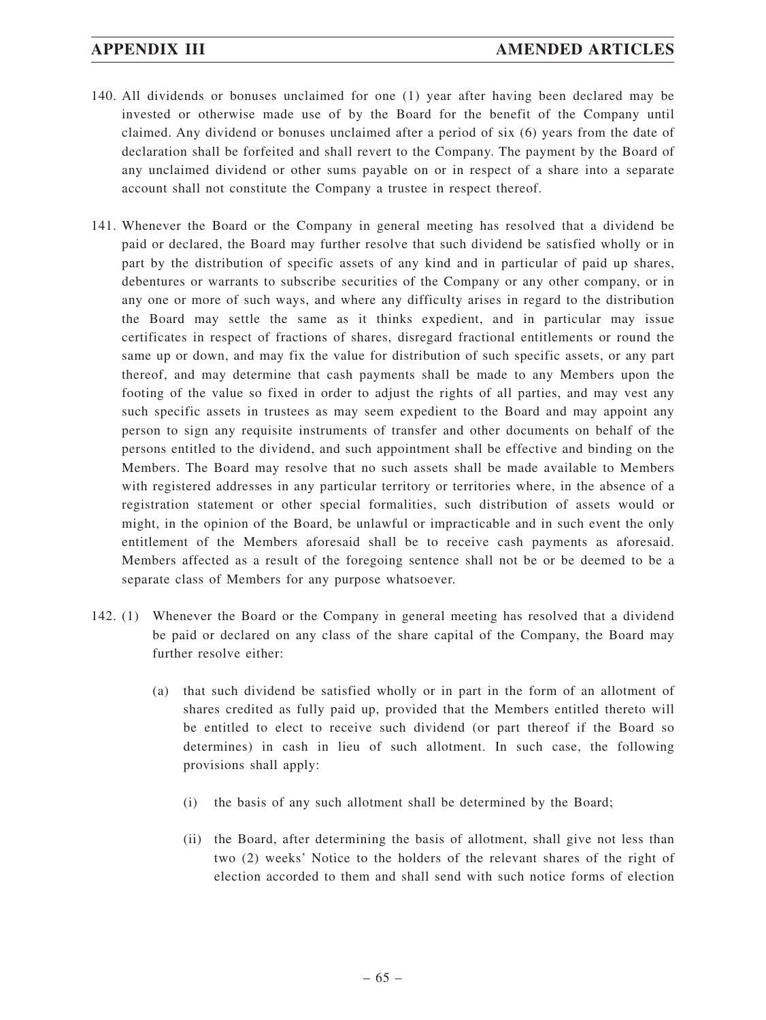- 140. All dividends or bonuses unclaimed for one (1) year after having been declared may be invested or otherwise made use of by the Board for the benefit of the Company until claimed. Any dividend or bonuses unclaimed after a period of six (6) years from the date of declaration shall be forfeited and shall revert to the Company. The payment by the Board of any unclaimed dividend or other sums payable on or in respect of a share into a separate account shall not constitute the Company a trustee in respect thereof.
- 141. Whenever the Board or the Company in general meeting has resolved that a dividend be paid or declared, the Board may further resolve that such dividend be satisfied wholly or in part by the distribution of specific assets of any kind and in particular of paid up shares, debentures or warrants to subscribe securities of the Company or any other company, or in any one or more of such ways, and where any difficulty arises in regard to the distribution the Board may settle the same as it thinks expedient, and in particular may issue certificates in respect of fractions of shares, disregard fractional entitlements or round the same up or down, and may fix the value for distribution of such specific assets, or any part thereof, and may determine that cash payments shall be made to any Members upon the footing of the value so fixed in order to adjust the rights of all parties, and may vest any such specific assets in trustees as may seem expedient to the Board and may appoint any person to sign any requisite instruments of transfer and other documents on behalf of the persons entitled to the dividend, and such appointment shall be effective and binding on the Members. The Board may resolve that no such assets shall be made available to Members with registered addresses in any particular territory or territories where, in the absence of a registration statement or other special formalities, such distribution of assets would or might, in the opinion of the Board, be unlawful or impracticable and in such event the only entitlement of the Members aforesaid shall be to receive cash payments as aforesaid. Members affected as a result of the foregoing sentence shall not be or be deemed to be a separate class of Members for any purpose whatsoever.
- 142. (1) Whenever the Board or the Company in general meeting has resolved that a dividend be paid or declared on any class of the share capital of the Company, the Board may further resolve either:
	- (a) that such dividend be satisfied wholly or in part in the form of an allotment of shares credited as fully paid up, provided that the Members entitled thereto will be entitled to elect to receive such dividend (or part thereof if the Board so determines) in cash in lieu of such allotment. In such case, the following provisions shall apply:
		- (i) the basis of any such allotment shall be determined by the Board;
		- (ii) the Board, after determining the basis of allotment, shall give not less than two (2) weeks' Notice to the holders of the relevant shares of the right of election accorded to them and shall send with such notice forms of election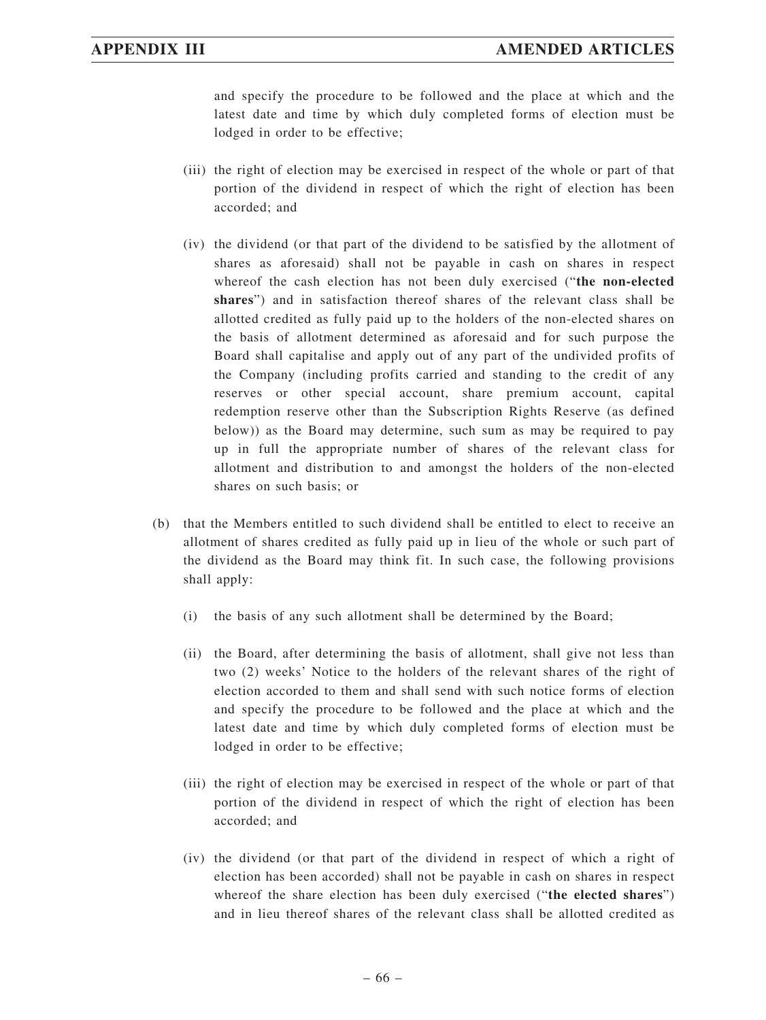and specify the procedure to be followed and the place at which and the latest date and time by which duly completed forms of election must be lodged in order to be effective;

- (iii) the right of election may be exercised in respect of the whole or part of that portion of the dividend in respect of which the right of election has been accorded; and
- (iv) the dividend (or that part of the dividend to be satisfied by the allotment of shares as aforesaid) shall not be payable in cash on shares in respect whereof the cash election has not been duly exercised ("**the non-elected shares**") and in satisfaction thereof shares of the relevant class shall be allotted credited as fully paid up to the holders of the non-elected shares on the basis of allotment determined as aforesaid and for such purpose the Board shall capitalise and apply out of any part of the undivided profits of the Company (including profits carried and standing to the credit of any reserves or other special account, share premium account, capital redemption reserve other than the Subscription Rights Reserve (as defined below)) as the Board may determine, such sum as may be required to pay up in full the appropriate number of shares of the relevant class for allotment and distribution to and amongst the holders of the non-elected shares on such basis; or
- (b) that the Members entitled to such dividend shall be entitled to elect to receive an allotment of shares credited as fully paid up in lieu of the whole or such part of the dividend as the Board may think fit. In such case, the following provisions shall apply:
	- (i) the basis of any such allotment shall be determined by the Board;
	- (ii) the Board, after determining the basis of allotment, shall give not less than two (2) weeks' Notice to the holders of the relevant shares of the right of election accorded to them and shall send with such notice forms of election and specify the procedure to be followed and the place at which and the latest date and time by which duly completed forms of election must be lodged in order to be effective;
	- (iii) the right of election may be exercised in respect of the whole or part of that portion of the dividend in respect of which the right of election has been accorded; and
	- (iv) the dividend (or that part of the dividend in respect of which a right of election has been accorded) shall not be payable in cash on shares in respect whereof the share election has been duly exercised ("**the elected shares**") and in lieu thereof shares of the relevant class shall be allotted credited as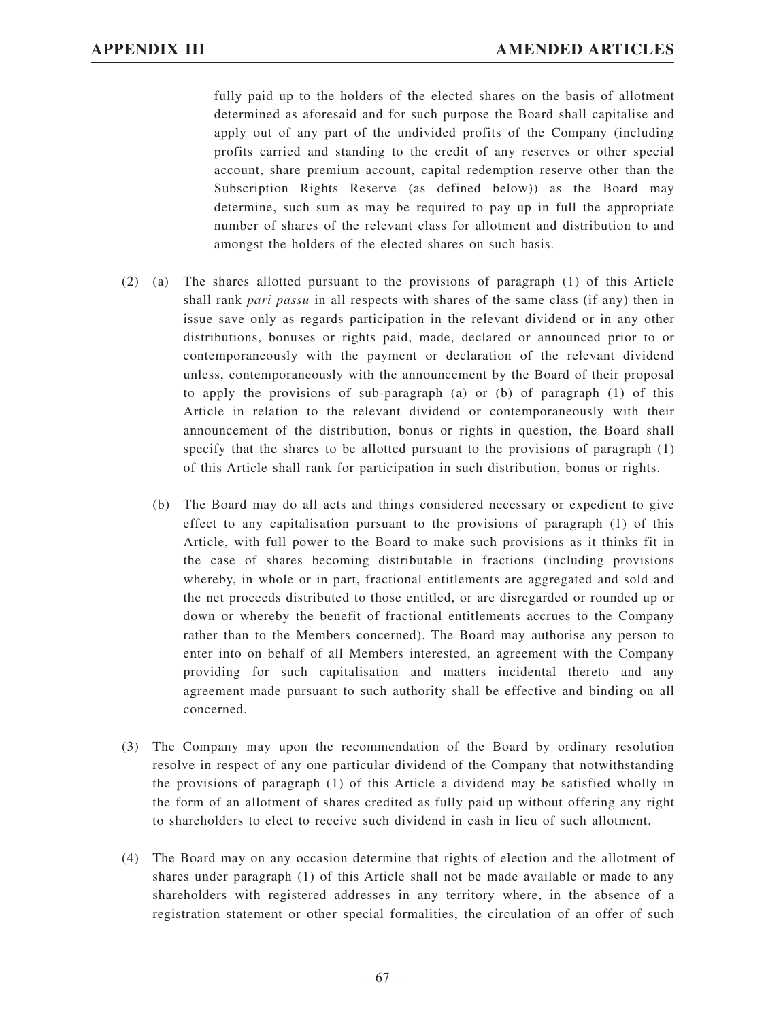fully paid up to the holders of the elected shares on the basis of allotment determined as aforesaid and for such purpose the Board shall capitalise and apply out of any part of the undivided profits of the Company (including profits carried and standing to the credit of any reserves or other special account, share premium account, capital redemption reserve other than the Subscription Rights Reserve (as defined below)) as the Board may determine, such sum as may be required to pay up in full the appropriate number of shares of the relevant class for allotment and distribution to and amongst the holders of the elected shares on such basis.

- (2) (a) The shares allotted pursuant to the provisions of paragraph (1) of this Article shall rank *pari passu* in all respects with shares of the same class (if any) then in issue save only as regards participation in the relevant dividend or in any other distributions, bonuses or rights paid, made, declared or announced prior to or contemporaneously with the payment or declaration of the relevant dividend unless, contemporaneously with the announcement by the Board of their proposal to apply the provisions of sub-paragraph (a) or (b) of paragraph (1) of this Article in relation to the relevant dividend or contemporaneously with their announcement of the distribution, bonus or rights in question, the Board shall specify that the shares to be allotted pursuant to the provisions of paragraph (1) of this Article shall rank for participation in such distribution, bonus or rights.
	- (b) The Board may do all acts and things considered necessary or expedient to give effect to any capitalisation pursuant to the provisions of paragraph (1) of this Article, with full power to the Board to make such provisions as it thinks fit in the case of shares becoming distributable in fractions (including provisions whereby, in whole or in part, fractional entitlements are aggregated and sold and the net proceeds distributed to those entitled, or are disregarded or rounded up or down or whereby the benefit of fractional entitlements accrues to the Company rather than to the Members concerned). The Board may authorise any person to enter into on behalf of all Members interested, an agreement with the Company providing for such capitalisation and matters incidental thereto and any agreement made pursuant to such authority shall be effective and binding on all concerned.
- (3) The Company may upon the recommendation of the Board by ordinary resolution resolve in respect of any one particular dividend of the Company that notwithstanding the provisions of paragraph (1) of this Article a dividend may be satisfied wholly in the form of an allotment of shares credited as fully paid up without offering any right to shareholders to elect to receive such dividend in cash in lieu of such allotment.
- (4) The Board may on any occasion determine that rights of election and the allotment of shares under paragraph (1) of this Article shall not be made available or made to any shareholders with registered addresses in any territory where, in the absence of a registration statement or other special formalities, the circulation of an offer of such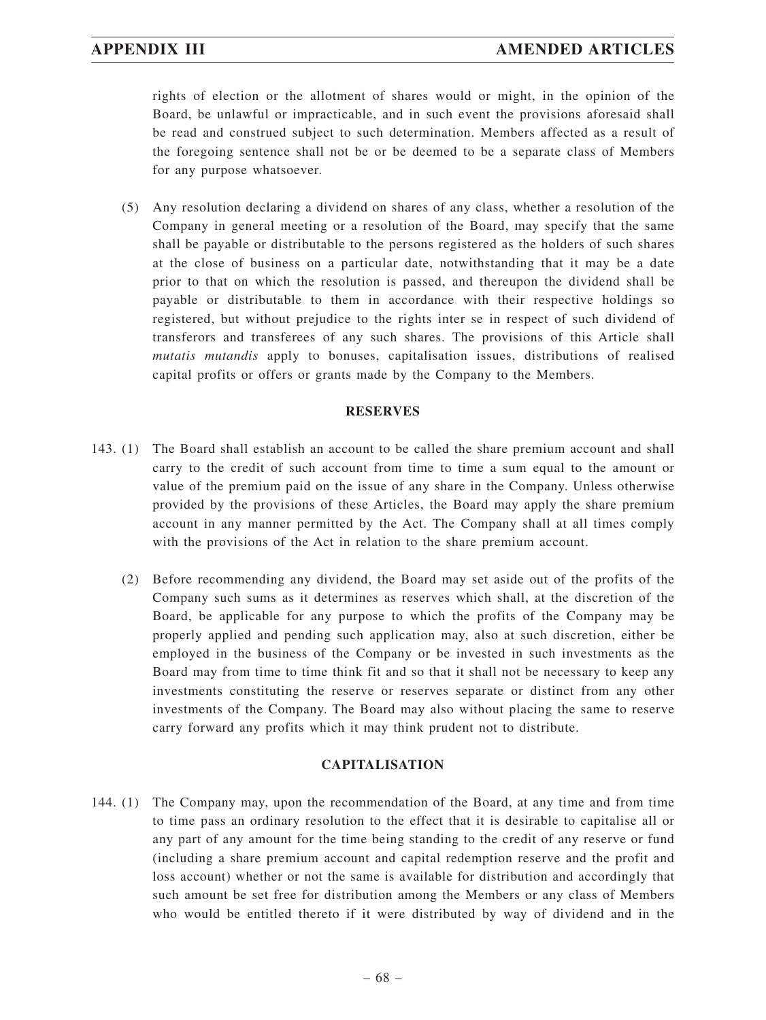rights of election or the allotment of shares would or might, in the opinion of the Board, be unlawful or impracticable, and in such event the provisions aforesaid shall be read and construed subject to such determination. Members affected as a result of the foregoing sentence shall not be or be deemed to be a separate class of Members for any purpose whatsoever.

(5) Any resolution declaring a dividend on shares of any class, whether a resolution of the Company in general meeting or a resolution of the Board, may specify that the same shall be payable or distributable to the persons registered as the holders of such shares at the close of business on a particular date, notwithstanding that it may be a date prior to that on which the resolution is passed, and thereupon the dividend shall be payable or distributable to them in accordance with their respective holdings so registered, but without prejudice to the rights inter se in respect of such dividend of transferors and transferees of any such shares. The provisions of this Article shall *mutatis mutandis* apply to bonuses, capitalisation issues, distributions of realised capital profits or offers or grants made by the Company to the Members.

### **RESERVES**

- 143. (1) The Board shall establish an account to be called the share premium account and shall carry to the credit of such account from time to time a sum equal to the amount or value of the premium paid on the issue of any share in the Company. Unless otherwise provided by the provisions of these Articles, the Board may apply the share premium account in any manner permitted by the Act. The Company shall at all times comply with the provisions of the Act in relation to the share premium account.
	- (2) Before recommending any dividend, the Board may set aside out of the profits of the Company such sums as it determines as reserves which shall, at the discretion of the Board, be applicable for any purpose to which the profits of the Company may be properly applied and pending such application may, also at such discretion, either be employed in the business of the Company or be invested in such investments as the Board may from time to time think fit and so that it shall not be necessary to keep any investments constituting the reserve or reserves separate or distinct from any other investments of the Company. The Board may also without placing the same to reserve carry forward any profits which it may think prudent not to distribute.

## **CAPITALISATION**

144. (1) The Company may, upon the recommendation of the Board, at any time and from time to time pass an ordinary resolution to the effect that it is desirable to capitalise all or any part of any amount for the time being standing to the credit of any reserve or fund (including a share premium account and capital redemption reserve and the profit and loss account) whether or not the same is available for distribution and accordingly that such amount be set free for distribution among the Members or any class of Members who would be entitled thereto if it were distributed by way of dividend and in the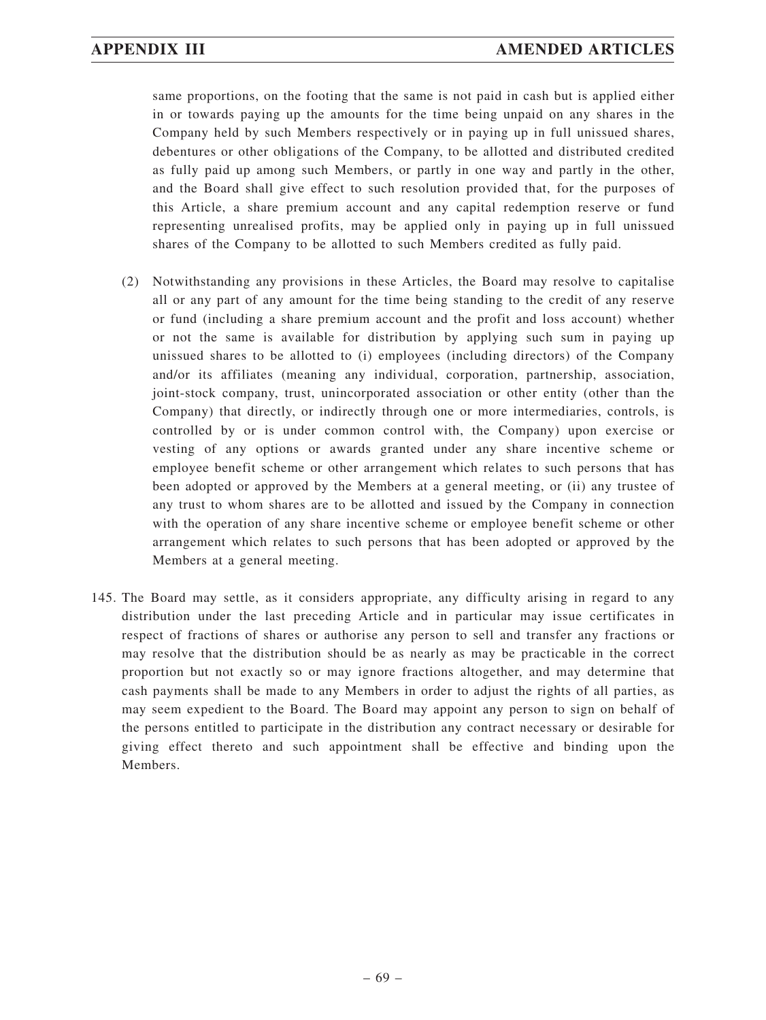same proportions, on the footing that the same is not paid in cash but is applied either in or towards paying up the amounts for the time being unpaid on any shares in the Company held by such Members respectively or in paying up in full unissued shares, debentures or other obligations of the Company, to be allotted and distributed credited as fully paid up among such Members, or partly in one way and partly in the other, and the Board shall give effect to such resolution provided that, for the purposes of this Article, a share premium account and any capital redemption reserve or fund representing unrealised profits, may be applied only in paying up in full unissued shares of the Company to be allotted to such Members credited as fully paid.

- (2) Notwithstanding any provisions in these Articles, the Board may resolve to capitalise all or any part of any amount for the time being standing to the credit of any reserve or fund (including a share premium account and the profit and loss account) whether or not the same is available for distribution by applying such sum in paying up unissued shares to be allotted to (i) employees (including directors) of the Company and/or its affiliates (meaning any individual, corporation, partnership, association, joint-stock company, trust, unincorporated association or other entity (other than the Company) that directly, or indirectly through one or more intermediaries, controls, is controlled by or is under common control with, the Company) upon exercise or vesting of any options or awards granted under any share incentive scheme or employee benefit scheme or other arrangement which relates to such persons that has been adopted or approved by the Members at a general meeting, or (ii) any trustee of any trust to whom shares are to be allotted and issued by the Company in connection with the operation of any share incentive scheme or employee benefit scheme or other arrangement which relates to such persons that has been adopted or approved by the Members at a general meeting.
- 145. The Board may settle, as it considers appropriate, any difficulty arising in regard to any distribution under the last preceding Article and in particular may issue certificates in respect of fractions of shares or authorise any person to sell and transfer any fractions or may resolve that the distribution should be as nearly as may be practicable in the correct proportion but not exactly so or may ignore fractions altogether, and may determine that cash payments shall be made to any Members in order to adjust the rights of all parties, as may seem expedient to the Board. The Board may appoint any person to sign on behalf of the persons entitled to participate in the distribution any contract necessary or desirable for giving effect thereto and such appointment shall be effective and binding upon the Members.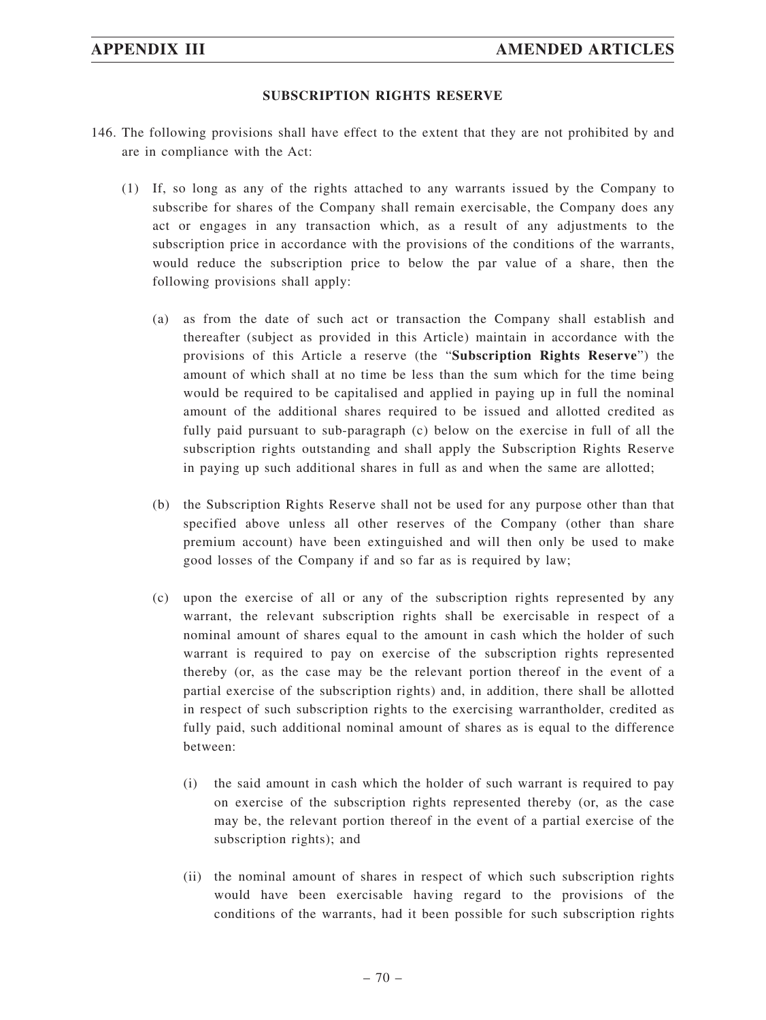### **SUBSCRIPTION RIGHTS RESERVE**

- 146. The following provisions shall have effect to the extent that they are not prohibited by and are in compliance with the Act:
	- (1) If, so long as any of the rights attached to any warrants issued by the Company to subscribe for shares of the Company shall remain exercisable, the Company does any act or engages in any transaction which, as a result of any adjustments to the subscription price in accordance with the provisions of the conditions of the warrants, would reduce the subscription price to below the par value of a share, then the following provisions shall apply:
		- (a) as from the date of such act or transaction the Company shall establish and thereafter (subject as provided in this Article) maintain in accordance with the provisions of this Article a reserve (the "**Subscription Rights Reserve**") the amount of which shall at no time be less than the sum which for the time being would be required to be capitalised and applied in paying up in full the nominal amount of the additional shares required to be issued and allotted credited as fully paid pursuant to sub-paragraph (c) below on the exercise in full of all the subscription rights outstanding and shall apply the Subscription Rights Reserve in paying up such additional shares in full as and when the same are allotted;
		- (b) the Subscription Rights Reserve shall not be used for any purpose other than that specified above unless all other reserves of the Company (other than share premium account) have been extinguished and will then only be used to make good losses of the Company if and so far as is required by law;
		- (c) upon the exercise of all or any of the subscription rights represented by any warrant, the relevant subscription rights shall be exercisable in respect of a nominal amount of shares equal to the amount in cash which the holder of such warrant is required to pay on exercise of the subscription rights represented thereby (or, as the case may be the relevant portion thereof in the event of a partial exercise of the subscription rights) and, in addition, there shall be allotted in respect of such subscription rights to the exercising warrantholder, credited as fully paid, such additional nominal amount of shares as is equal to the difference between:
			- (i) the said amount in cash which the holder of such warrant is required to pay on exercise of the subscription rights represented thereby (or, as the case may be, the relevant portion thereof in the event of a partial exercise of the subscription rights); and
			- (ii) the nominal amount of shares in respect of which such subscription rights would have been exercisable having regard to the provisions of the conditions of the warrants, had it been possible for such subscription rights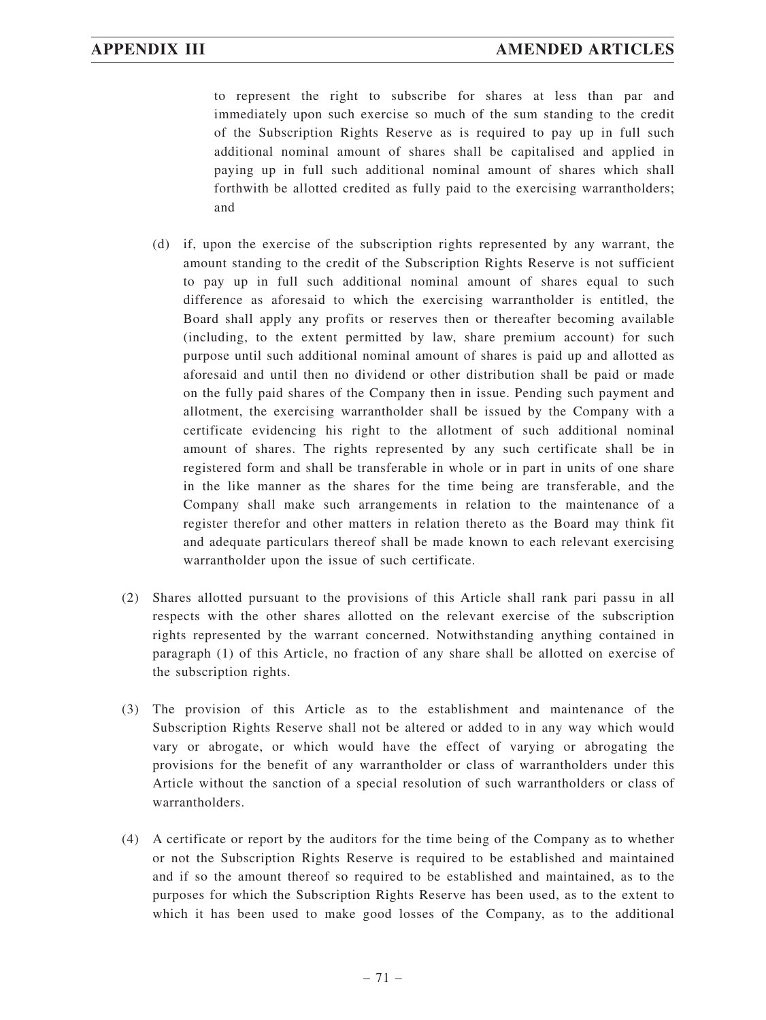to represent the right to subscribe for shares at less than par and immediately upon such exercise so much of the sum standing to the credit of the Subscription Rights Reserve as is required to pay up in full such additional nominal amount of shares shall be capitalised and applied in paying up in full such additional nominal amount of shares which shall forthwith be allotted credited as fully paid to the exercising warrantholders; and

- (d) if, upon the exercise of the subscription rights represented by any warrant, the amount standing to the credit of the Subscription Rights Reserve is not sufficient to pay up in full such additional nominal amount of shares equal to such difference as aforesaid to which the exercising warrantholder is entitled, the Board shall apply any profits or reserves then or thereafter becoming available (including, to the extent permitted by law, share premium account) for such purpose until such additional nominal amount of shares is paid up and allotted as aforesaid and until then no dividend or other distribution shall be paid or made on the fully paid shares of the Company then in issue. Pending such payment and allotment, the exercising warrantholder shall be issued by the Company with a certificate evidencing his right to the allotment of such additional nominal amount of shares. The rights represented by any such certificate shall be in registered form and shall be transferable in whole or in part in units of one share in the like manner as the shares for the time being are transferable, and the Company shall make such arrangements in relation to the maintenance of a register therefor and other matters in relation thereto as the Board may think fit and adequate particulars thereof shall be made known to each relevant exercising warrantholder upon the issue of such certificate.
- (2) Shares allotted pursuant to the provisions of this Article shall rank pari passu in all respects with the other shares allotted on the relevant exercise of the subscription rights represented by the warrant concerned. Notwithstanding anything contained in paragraph (1) of this Article, no fraction of any share shall be allotted on exercise of the subscription rights.
- (3) The provision of this Article as to the establishment and maintenance of the Subscription Rights Reserve shall not be altered or added to in any way which would vary or abrogate, or which would have the effect of varying or abrogating the provisions for the benefit of any warrantholder or class of warrantholders under this Article without the sanction of a special resolution of such warrantholders or class of warrantholders.
- (4) A certificate or report by the auditors for the time being of the Company as to whether or not the Subscription Rights Reserve is required to be established and maintained and if so the amount thereof so required to be established and maintained, as to the purposes for which the Subscription Rights Reserve has been used, as to the extent to which it has been used to make good losses of the Company, as to the additional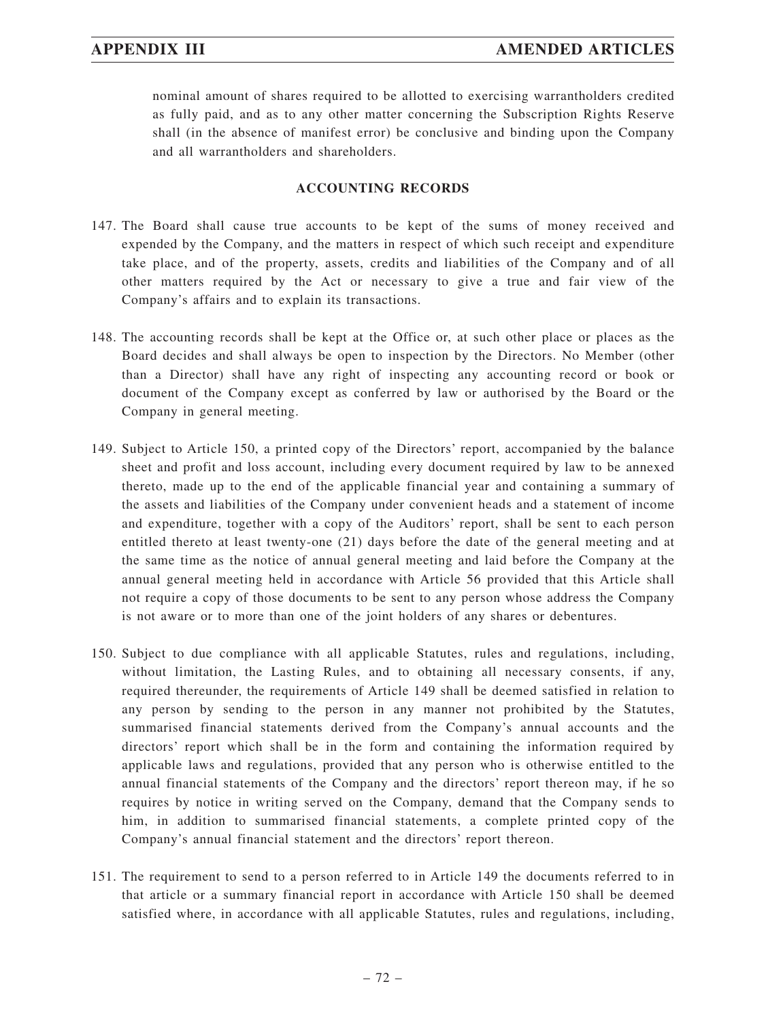nominal amount of shares required to be allotted to exercising warrantholders credited as fully paid, and as to any other matter concerning the Subscription Rights Reserve shall (in the absence of manifest error) be conclusive and binding upon the Company and all warrantholders and shareholders.

### **ACCOUNTING RECORDS**

- 147. The Board shall cause true accounts to be kept of the sums of money received and expended by the Company, and the matters in respect of which such receipt and expenditure take place, and of the property, assets, credits and liabilities of the Company and of all other matters required by the Act or necessary to give a true and fair view of the Company's affairs and to explain its transactions.
- 148. The accounting records shall be kept at the Office or, at such other place or places as the Board decides and shall always be open to inspection by the Directors. No Member (other than a Director) shall have any right of inspecting any accounting record or book or document of the Company except as conferred by law or authorised by the Board or the Company in general meeting.
- 149. Subject to Article 150, a printed copy of the Directors' report, accompanied by the balance sheet and profit and loss account, including every document required by law to be annexed thereto, made up to the end of the applicable financial year and containing a summary of the assets and liabilities of the Company under convenient heads and a statement of income and expenditure, together with a copy of the Auditors' report, shall be sent to each person entitled thereto at least twenty-one (21) days before the date of the general meeting and at the same time as the notice of annual general meeting and laid before the Company at the annual general meeting held in accordance with Article 56 provided that this Article shall not require a copy of those documents to be sent to any person whose address the Company is not aware or to more than one of the joint holders of any shares or debentures.
- 150. Subject to due compliance with all applicable Statutes, rules and regulations, including, without limitation, the Lasting Rules, and to obtaining all necessary consents, if any, required thereunder, the requirements of Article 149 shall be deemed satisfied in relation to any person by sending to the person in any manner not prohibited by the Statutes, summarised financial statements derived from the Company's annual accounts and the directors' report which shall be in the form and containing the information required by applicable laws and regulations, provided that any person who is otherwise entitled to the annual financial statements of the Company and the directors' report thereon may, if he so requires by notice in writing served on the Company, demand that the Company sends to him, in addition to summarised financial statements, a complete printed copy of the Company's annual financial statement and the directors' report thereon.
- 151. The requirement to send to a person referred to in Article 149 the documents referred to in that article or a summary financial report in accordance with Article 150 shall be deemed satisfied where, in accordance with all applicable Statutes, rules and regulations, including,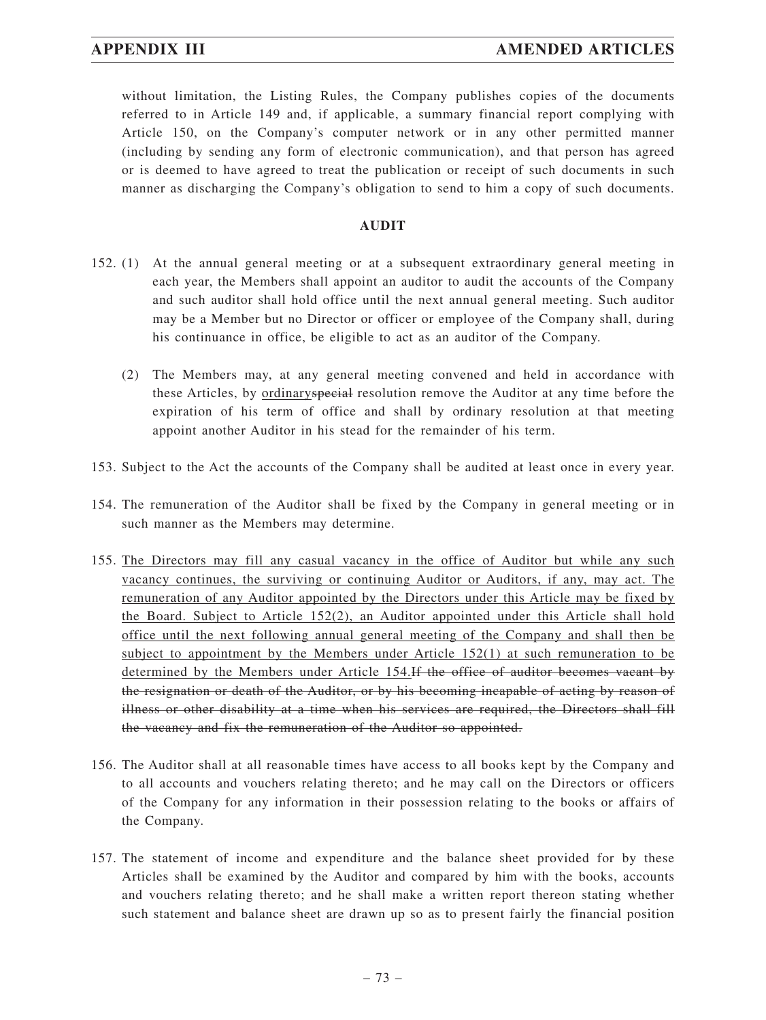# **APPENDIX III AMENDED ARTICLES**

without limitation, the Listing Rules, the Company publishes copies of the documents referred to in Article 149 and, if applicable, a summary financial report complying with Article 150, on the Company's computer network or in any other permitted manner (including by sending any form of electronic communication), and that person has agreed or is deemed to have agreed to treat the publication or receipt of such documents in such manner as discharging the Company's obligation to send to him a copy of such documents.

#### **AUDIT**

- 152. (1) At the annual general meeting or at a subsequent extraordinary general meeting in each year, the Members shall appoint an auditor to audit the accounts of the Company and such auditor shall hold office until the next annual general meeting. Such auditor may be a Member but no Director or officer or employee of the Company shall, during his continuance in office, be eligible to act as an auditor of the Company.
	- (2) The Members may, at any general meeting convened and held in accordance with these Articles, by ordinaryspecial resolution remove the Auditor at any time before the expiration of his term of office and shall by ordinary resolution at that meeting appoint another Auditor in his stead for the remainder of his term.
- 153. Subject to the Act the accounts of the Company shall be audited at least once in every year.
- 154. The remuneration of the Auditor shall be fixed by the Company in general meeting or in such manner as the Members may determine.
- 155. The Directors may fill any casual vacancy in the office of Auditor but while any such vacancy continues, the surviving or continuing Auditor or Auditors, if any, may act. The remuneration of any Auditor appointed by the Directors under this Article may be fixed by the Board. Subject to Article 152(2), an Auditor appointed under this Article shall hold office until the next following annual general meeting of the Company and shall then be subject to appointment by the Members under Article 152(1) at such remuneration to be determined by the Members under Article 154.If the office of auditor becomes vacant by the resignation or death of the Auditor, or by his becoming incapable of acting by reason of illness or other disability at a time when his services are required, the Directors shall fill the vacancy and fix the remuneration of the Auditor so appointed.
- 156. The Auditor shall at all reasonable times have access to all books kept by the Company and to all accounts and vouchers relating thereto; and he may call on the Directors or officers of the Company for any information in their possession relating to the books or affairs of the Company.
- 157. The statement of income and expenditure and the balance sheet provided for by these Articles shall be examined by the Auditor and compared by him with the books, accounts and vouchers relating thereto; and he shall make a written report thereon stating whether such statement and balance sheet are drawn up so as to present fairly the financial position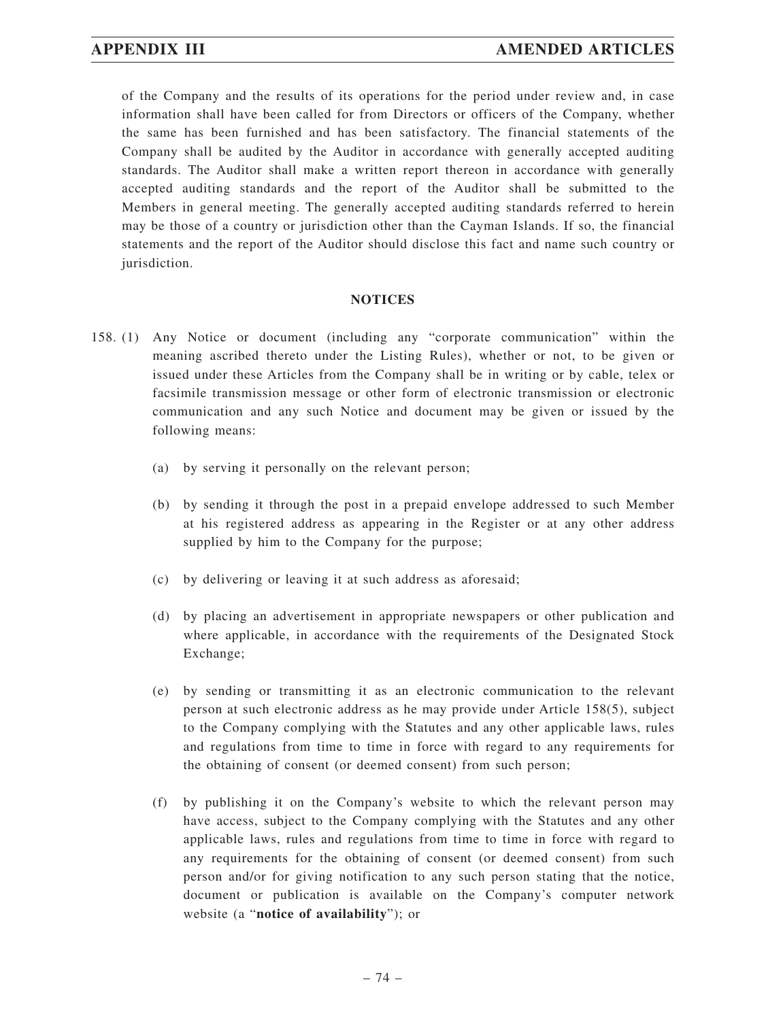of the Company and the results of its operations for the period under review and, in case information shall have been called for from Directors or officers of the Company, whether the same has been furnished and has been satisfactory. The financial statements of the Company shall be audited by the Auditor in accordance with generally accepted auditing standards. The Auditor shall make a written report thereon in accordance with generally accepted auditing standards and the report of the Auditor shall be submitted to the Members in general meeting. The generally accepted auditing standards referred to herein may be those of a country or jurisdiction other than the Cayman Islands. If so, the financial statements and the report of the Auditor should disclose this fact and name such country or jurisdiction.

#### **NOTICES**

- 158. (1) Any Notice or document (including any "corporate communication" within the meaning ascribed thereto under the Listing Rules), whether or not, to be given or issued under these Articles from the Company shall be in writing or by cable, telex or facsimile transmission message or other form of electronic transmission or electronic communication and any such Notice and document may be given or issued by the following means:
	- (a) by serving it personally on the relevant person;
	- (b) by sending it through the post in a prepaid envelope addressed to such Member at his registered address as appearing in the Register or at any other address supplied by him to the Company for the purpose;
	- (c) by delivering or leaving it at such address as aforesaid;
	- (d) by placing an advertisement in appropriate newspapers or other publication and where applicable, in accordance with the requirements of the Designated Stock Exchange;
	- (e) by sending or transmitting it as an electronic communication to the relevant person at such electronic address as he may provide under Article 158(5), subject to the Company complying with the Statutes and any other applicable laws, rules and regulations from time to time in force with regard to any requirements for the obtaining of consent (or deemed consent) from such person;
	- (f) by publishing it on the Company's website to which the relevant person may have access, subject to the Company complying with the Statutes and any other applicable laws, rules and regulations from time to time in force with regard to any requirements for the obtaining of consent (or deemed consent) from such person and/or for giving notification to any such person stating that the notice, document or publication is available on the Company's computer network website (a "**notice of availability**"); or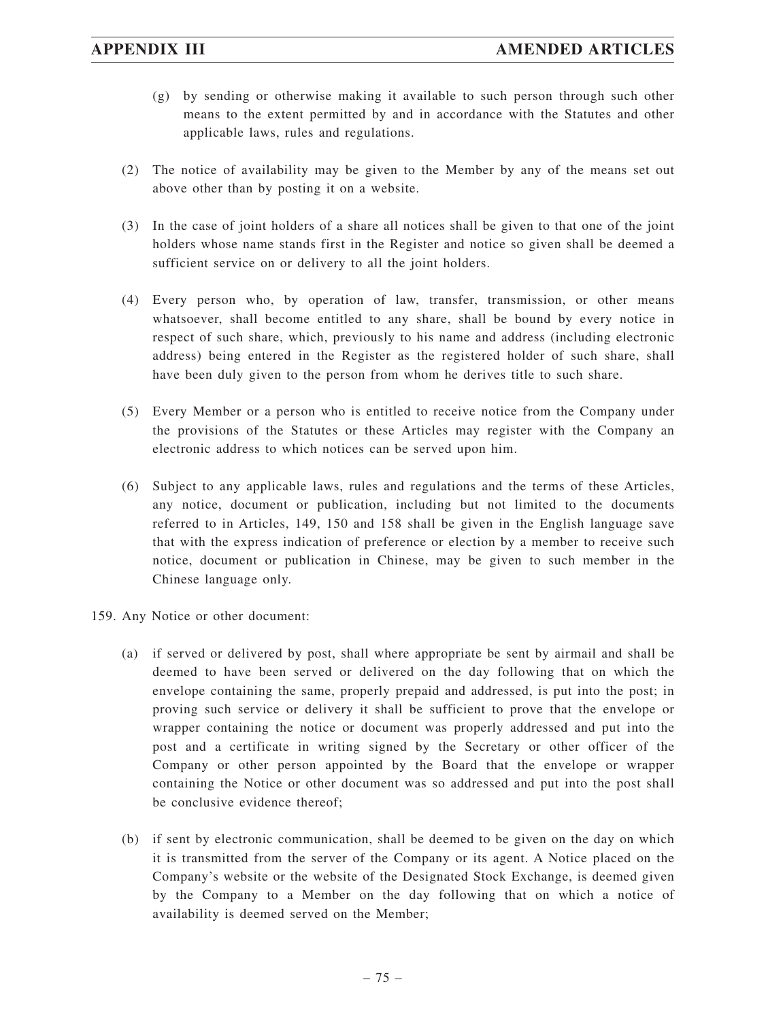- (g) by sending or otherwise making it available to such person through such other means to the extent permitted by and in accordance with the Statutes and other applicable laws, rules and regulations.
- (2) The notice of availability may be given to the Member by any of the means set out above other than by posting it on a website.
- (3) In the case of joint holders of a share all notices shall be given to that one of the joint holders whose name stands first in the Register and notice so given shall be deemed a sufficient service on or delivery to all the joint holders.
- (4) Every person who, by operation of law, transfer, transmission, or other means whatsoever, shall become entitled to any share, shall be bound by every notice in respect of such share, which, previously to his name and address (including electronic address) being entered in the Register as the registered holder of such share, shall have been duly given to the person from whom he derives title to such share.
- (5) Every Member or a person who is entitled to receive notice from the Company under the provisions of the Statutes or these Articles may register with the Company an electronic address to which notices can be served upon him.
- (6) Subject to any applicable laws, rules and regulations and the terms of these Articles, any notice, document or publication, including but not limited to the documents referred to in Articles, 149, 150 and 158 shall be given in the English language save that with the express indication of preference or election by a member to receive such notice, document or publication in Chinese, may be given to such member in the Chinese language only.
- 159. Any Notice or other document:
	- (a) if served or delivered by post, shall where appropriate be sent by airmail and shall be deemed to have been served or delivered on the day following that on which the envelope containing the same, properly prepaid and addressed, is put into the post; in proving such service or delivery it shall be sufficient to prove that the envelope or wrapper containing the notice or document was properly addressed and put into the post and a certificate in writing signed by the Secretary or other officer of the Company or other person appointed by the Board that the envelope or wrapper containing the Notice or other document was so addressed and put into the post shall be conclusive evidence thereof;
	- (b) if sent by electronic communication, shall be deemed to be given on the day on which it is transmitted from the server of the Company or its agent. A Notice placed on the Company's website or the website of the Designated Stock Exchange, is deemed given by the Company to a Member on the day following that on which a notice of availability is deemed served on the Member;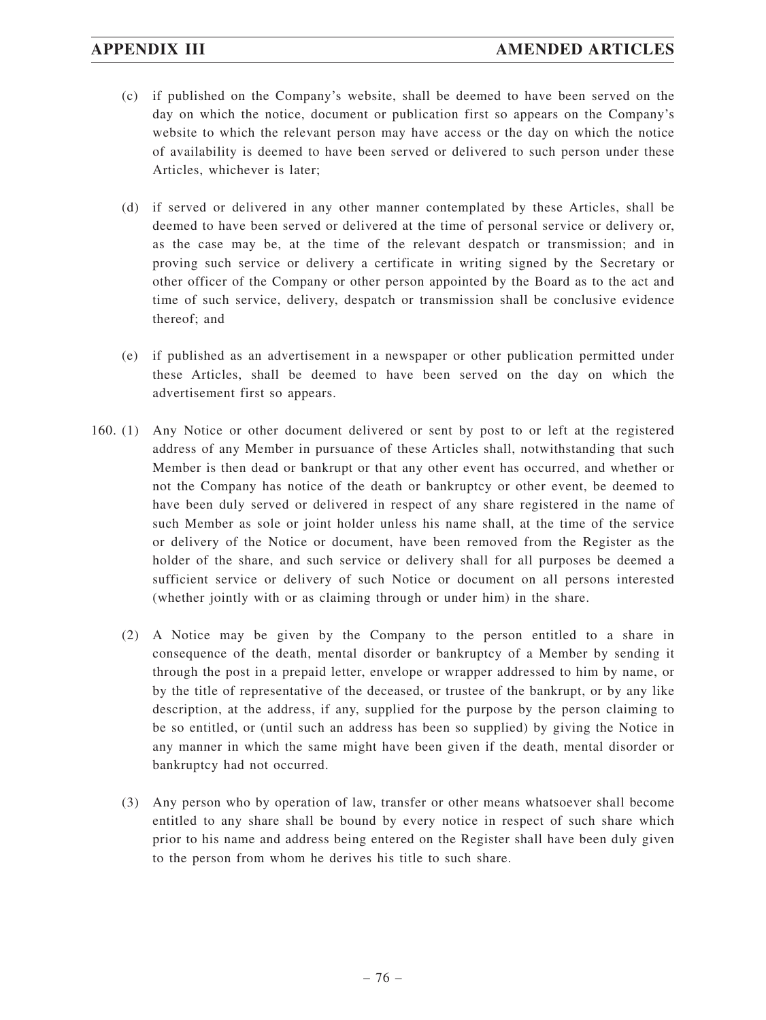- (c) if published on the Company's website, shall be deemed to have been served on the day on which the notice, document or publication first so appears on the Company's website to which the relevant person may have access or the day on which the notice of availability is deemed to have been served or delivered to such person under these Articles, whichever is later;
- (d) if served or delivered in any other manner contemplated by these Articles, shall be deemed to have been served or delivered at the time of personal service or delivery or, as the case may be, at the time of the relevant despatch or transmission; and in proving such service or delivery a certificate in writing signed by the Secretary or other officer of the Company or other person appointed by the Board as to the act and time of such service, delivery, despatch or transmission shall be conclusive evidence thereof; and
- (e) if published as an advertisement in a newspaper or other publication permitted under these Articles, shall be deemed to have been served on the day on which the advertisement first so appears.
- 160. (1) Any Notice or other document delivered or sent by post to or left at the registered address of any Member in pursuance of these Articles shall, notwithstanding that such Member is then dead or bankrupt or that any other event has occurred, and whether or not the Company has notice of the death or bankruptcy or other event, be deemed to have been duly served or delivered in respect of any share registered in the name of such Member as sole or joint holder unless his name shall, at the time of the service or delivery of the Notice or document, have been removed from the Register as the holder of the share, and such service or delivery shall for all purposes be deemed a sufficient service or delivery of such Notice or document on all persons interested (whether jointly with or as claiming through or under him) in the share.
	- (2) A Notice may be given by the Company to the person entitled to a share in consequence of the death, mental disorder or bankruptcy of a Member by sending it through the post in a prepaid letter, envelope or wrapper addressed to him by name, or by the title of representative of the deceased, or trustee of the bankrupt, or by any like description, at the address, if any, supplied for the purpose by the person claiming to be so entitled, or (until such an address has been so supplied) by giving the Notice in any manner in which the same might have been given if the death, mental disorder or bankruptcy had not occurred.
	- (3) Any person who by operation of law, transfer or other means whatsoever shall become entitled to any share shall be bound by every notice in respect of such share which prior to his name and address being entered on the Register shall have been duly given to the person from whom he derives his title to such share.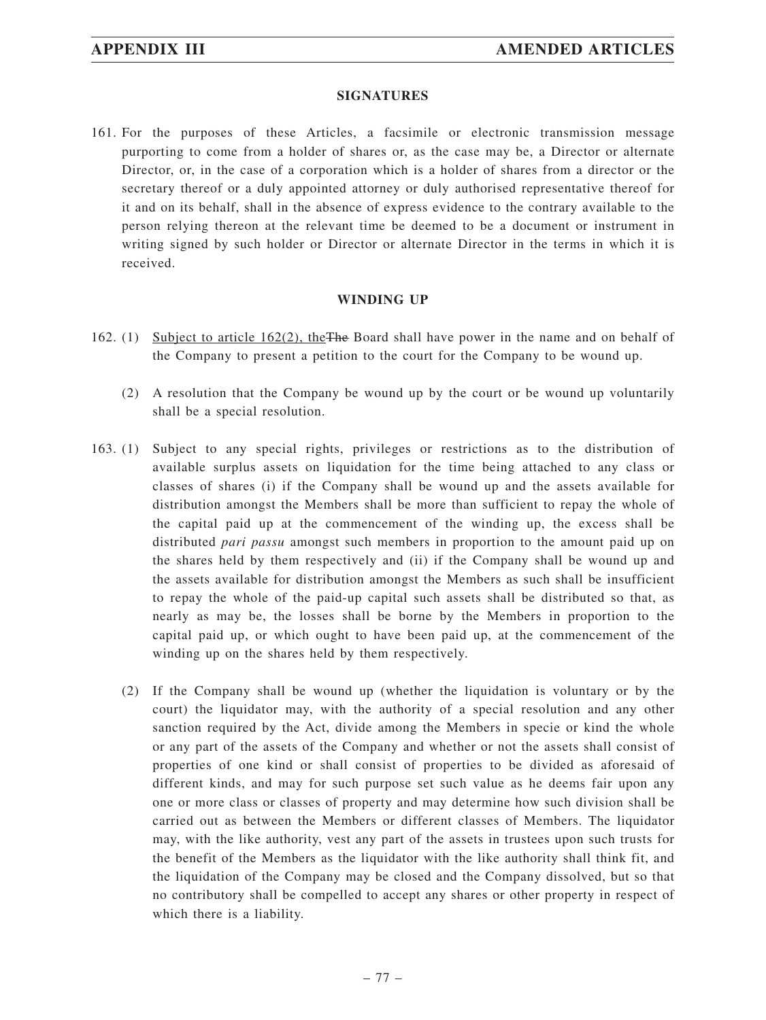#### **SIGNATURES**

161. For the purposes of these Articles, a facsimile or electronic transmission message purporting to come from a holder of shares or, as the case may be, a Director or alternate Director, or, in the case of a corporation which is a holder of shares from a director or the secretary thereof or a duly appointed attorney or duly authorised representative thereof for it and on its behalf, shall in the absence of express evidence to the contrary available to the person relying thereon at the relevant time be deemed to be a document or instrument in writing signed by such holder or Director or alternate Director in the terms in which it is received.

#### **WINDING UP**

- 162. (1) Subject to article 162(2), theThe Board shall have power in the name and on behalf of the Company to present a petition to the court for the Company to be wound up.
	- (2) A resolution that the Company be wound up by the court or be wound up voluntarily shall be a special resolution.
- 163. (1) Subject to any special rights, privileges or restrictions as to the distribution of available surplus assets on liquidation for the time being attached to any class or classes of shares (i) if the Company shall be wound up and the assets available for distribution amongst the Members shall be more than sufficient to repay the whole of the capital paid up at the commencement of the winding up, the excess shall be distributed *pari passu* amongst such members in proportion to the amount paid up on the shares held by them respectively and (ii) if the Company shall be wound up and the assets available for distribution amongst the Members as such shall be insufficient to repay the whole of the paid-up capital such assets shall be distributed so that, as nearly as may be, the losses shall be borne by the Members in proportion to the capital paid up, or which ought to have been paid up, at the commencement of the winding up on the shares held by them respectively.
	- (2) If the Company shall be wound up (whether the liquidation is voluntary or by the court) the liquidator may, with the authority of a special resolution and any other sanction required by the Act, divide among the Members in specie or kind the whole or any part of the assets of the Company and whether or not the assets shall consist of properties of one kind or shall consist of properties to be divided as aforesaid of different kinds, and may for such purpose set such value as he deems fair upon any one or more class or classes of property and may determine how such division shall be carried out as between the Members or different classes of Members. The liquidator may, with the like authority, vest any part of the assets in trustees upon such trusts for the benefit of the Members as the liquidator with the like authority shall think fit, and the liquidation of the Company may be closed and the Company dissolved, but so that no contributory shall be compelled to accept any shares or other property in respect of which there is a liability.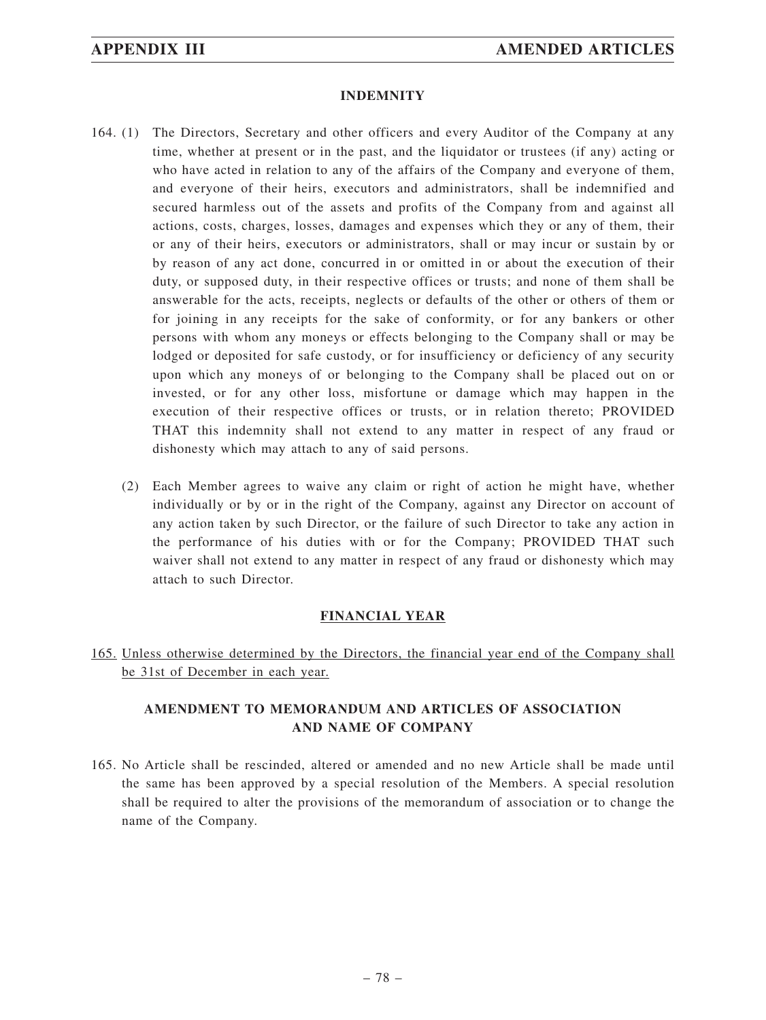#### **INDEMNITY**

- 164. (1) The Directors, Secretary and other officers and every Auditor of the Company at any time, whether at present or in the past, and the liquidator or trustees (if any) acting or who have acted in relation to any of the affairs of the Company and everyone of them, and everyone of their heirs, executors and administrators, shall be indemnified and secured harmless out of the assets and profits of the Company from and against all actions, costs, charges, losses, damages and expenses which they or any of them, their or any of their heirs, executors or administrators, shall or may incur or sustain by or by reason of any act done, concurred in or omitted in or about the execution of their duty, or supposed duty, in their respective offices or trusts; and none of them shall be answerable for the acts, receipts, neglects or defaults of the other or others of them or for joining in any receipts for the sake of conformity, or for any bankers or other persons with whom any moneys or effects belonging to the Company shall or may be lodged or deposited for safe custody, or for insufficiency or deficiency of any security upon which any moneys of or belonging to the Company shall be placed out on or invested, or for any other loss, misfortune or damage which may happen in the execution of their respective offices or trusts, or in relation thereto; PROVIDED THAT this indemnity shall not extend to any matter in respect of any fraud or dishonesty which may attach to any of said persons.
	- (2) Each Member agrees to waive any claim or right of action he might have, whether individually or by or in the right of the Company, against any Director on account of any action taken by such Director, or the failure of such Director to take any action in the performance of his duties with or for the Company; PROVIDED THAT such waiver shall not extend to any matter in respect of any fraud or dishonesty which may attach to such Director.

### **FINANCIAL YEAR**

165. Unless otherwise determined by the Directors, the financial year end of the Company shall be 31st of December in each year.

# **AMENDMENT TO MEMORANDUM AND ARTICLES OF ASSOCIATION AND NAME OF COMPANY**

165. No Article shall be rescinded, altered or amended and no new Article shall be made until the same has been approved by a special resolution of the Members. A special resolution shall be required to alter the provisions of the memorandum of association or to change the name of the Company.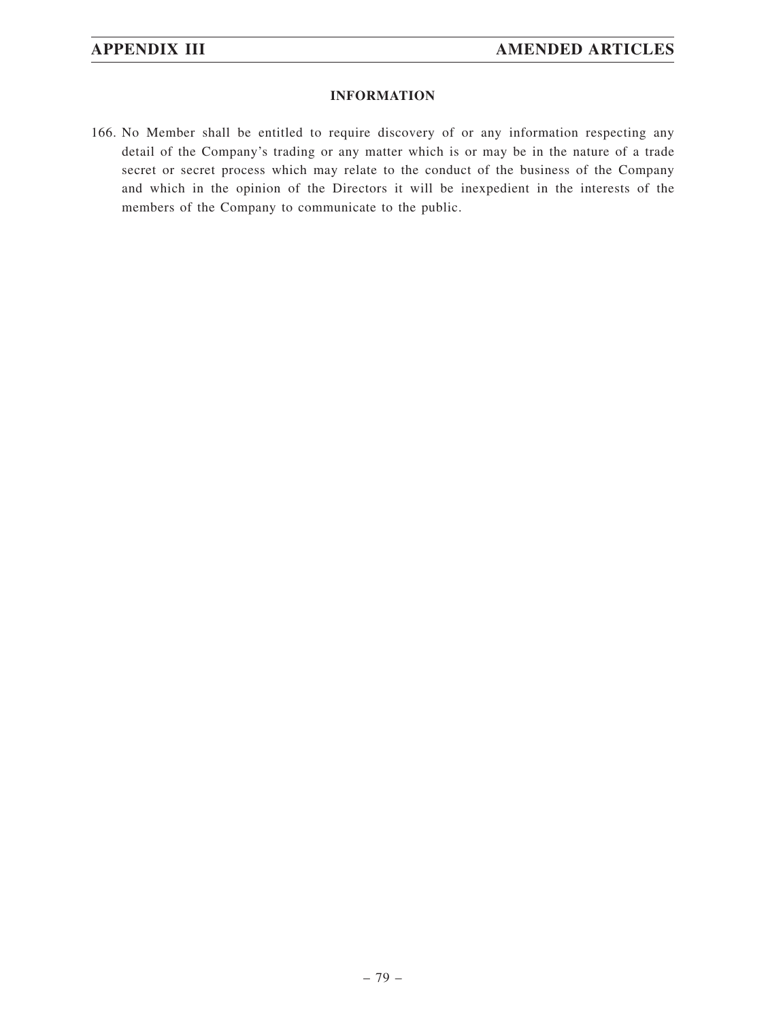### **INFORMATION**

166. No Member shall be entitled to require discovery of or any information respecting any detail of the Company's trading or any matter which is or may be in the nature of a trade secret or secret process which may relate to the conduct of the business of the Company and which in the opinion of the Directors it will be inexpedient in the interests of the members of the Company to communicate to the public.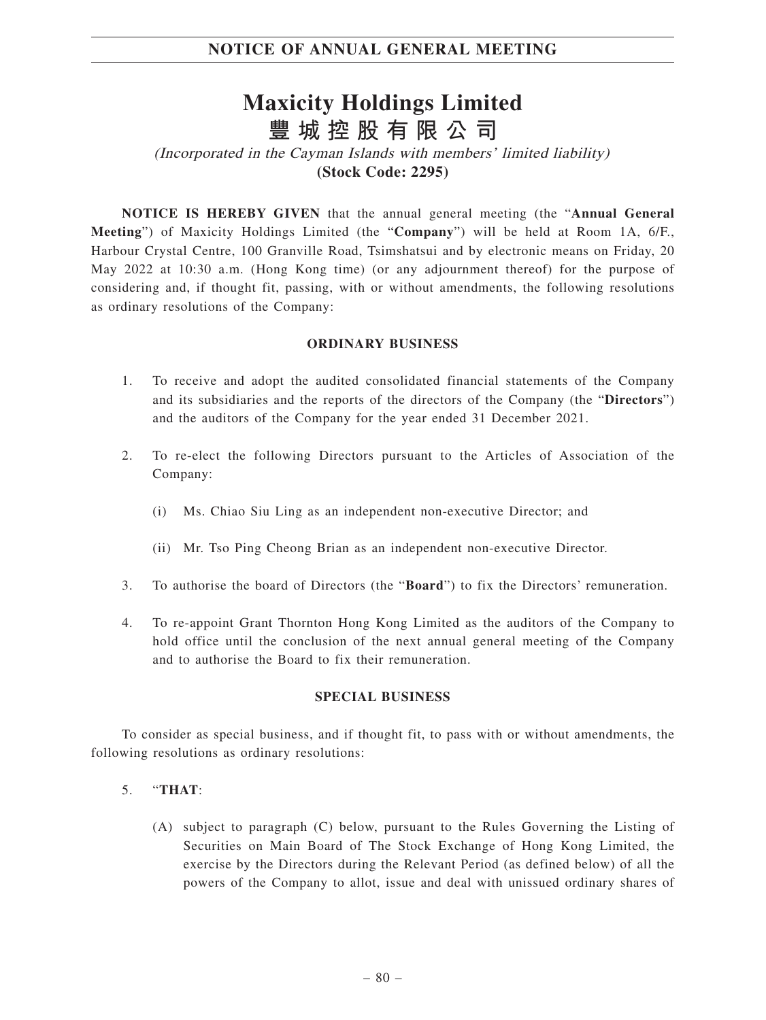# **Maxicity Holdings Limited 豐城控股有限公司**

(Incorporated in the Cayman Islands with members' limited liability) **(Stock Code: 2295)**

**NOTICE IS HEREBY GIVEN** that the annual general meeting (the "**Annual General Meeting**") of Maxicity Holdings Limited (the "**Company**") will be held at Room 1A, 6/F., Harbour Crystal Centre, 100 Granville Road, Tsimshatsui and by electronic means on Friday, 20 May 2022 at 10:30 a.m. (Hong Kong time) (or any adjournment thereof) for the purpose of considering and, if thought fit, passing, with or without amendments, the following resolutions as ordinary resolutions of the Company:

### **ORDINARY BUSINESS**

- 1. To receive and adopt the audited consolidated financial statements of the Company and its subsidiaries and the reports of the directors of the Company (the "**Directors**") and the auditors of the Company for the year ended 31 December 2021.
- 2. To re-elect the following Directors pursuant to the Articles of Association of the Company:
	- (i) Ms. Chiao Siu Ling as an independent non-executive Director; and
	- (ii) Mr. Tso Ping Cheong Brian as an independent non-executive Director.
- 3. To authorise the board of Directors (the "**Board**") to fix the Directors' remuneration.
- 4. To re-appoint Grant Thornton Hong Kong Limited as the auditors of the Company to hold office until the conclusion of the next annual general meeting of the Company and to authorise the Board to fix their remuneration.

# **SPECIAL BUSINESS**

To consider as special business, and if thought fit, to pass with or without amendments, the following resolutions as ordinary resolutions:

#### 5. "**THAT**:

(A) subject to paragraph (C) below, pursuant to the Rules Governing the Listing of Securities on Main Board of The Stock Exchange of Hong Kong Limited, the exercise by the Directors during the Relevant Period (as defined below) of all the powers of the Company to allot, issue and deal with unissued ordinary shares of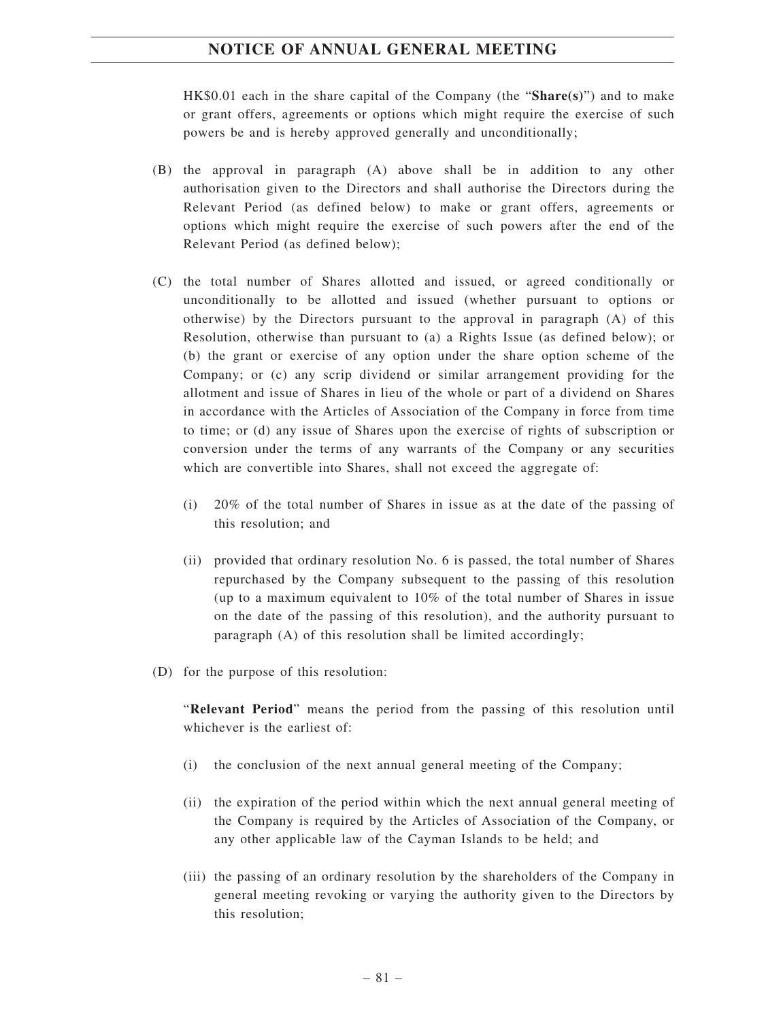HK\$0.01 each in the share capital of the Company (the "**Share(s)**") and to make or grant offers, agreements or options which might require the exercise of such powers be and is hereby approved generally and unconditionally;

- (B) the approval in paragraph (A) above shall be in addition to any other authorisation given to the Directors and shall authorise the Directors during the Relevant Period (as defined below) to make or grant offers, agreements or options which might require the exercise of such powers after the end of the Relevant Period (as defined below);
- (C) the total number of Shares allotted and issued, or agreed conditionally or unconditionally to be allotted and issued (whether pursuant to options or otherwise) by the Directors pursuant to the approval in paragraph (A) of this Resolution, otherwise than pursuant to (a) a Rights Issue (as defined below); or (b) the grant or exercise of any option under the share option scheme of the Company; or (c) any scrip dividend or similar arrangement providing for the allotment and issue of Shares in lieu of the whole or part of a dividend on Shares in accordance with the Articles of Association of the Company in force from time to time; or (d) any issue of Shares upon the exercise of rights of subscription or conversion under the terms of any warrants of the Company or any securities which are convertible into Shares, shall not exceed the aggregate of:
	- (i) 20% of the total number of Shares in issue as at the date of the passing of this resolution; and
	- (ii) provided that ordinary resolution No. 6 is passed, the total number of Shares repurchased by the Company subsequent to the passing of this resolution (up to a maximum equivalent to 10% of the total number of Shares in issue on the date of the passing of this resolution), and the authority pursuant to paragraph (A) of this resolution shall be limited accordingly;
- (D) for the purpose of this resolution:

"**Relevant Period**" means the period from the passing of this resolution until whichever is the earliest of:

- (i) the conclusion of the next annual general meeting of the Company;
- (ii) the expiration of the period within which the next annual general meeting of the Company is required by the Articles of Association of the Company, or any other applicable law of the Cayman Islands to be held; and
- (iii) the passing of an ordinary resolution by the shareholders of the Company in general meeting revoking or varying the authority given to the Directors by this resolution;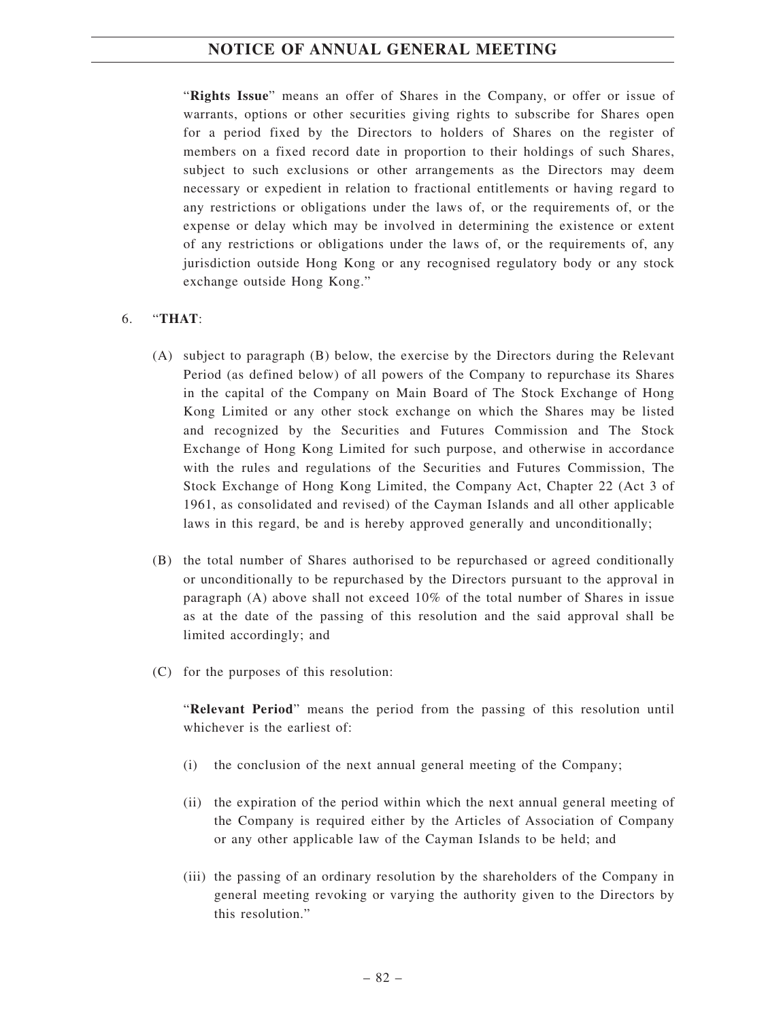"**Rights Issue**" means an offer of Shares in the Company, or offer or issue of warrants, options or other securities giving rights to subscribe for Shares open for a period fixed by the Directors to holders of Shares on the register of members on a fixed record date in proportion to their holdings of such Shares, subject to such exclusions or other arrangements as the Directors may deem necessary or expedient in relation to fractional entitlements or having regard to any restrictions or obligations under the laws of, or the requirements of, or the expense or delay which may be involved in determining the existence or extent of any restrictions or obligations under the laws of, or the requirements of, any jurisdiction outside Hong Kong or any recognised regulatory body or any stock exchange outside Hong Kong."

### 6. "**THAT**:

- (A) subject to paragraph (B) below, the exercise by the Directors during the Relevant Period (as defined below) of all powers of the Company to repurchase its Shares in the capital of the Company on Main Board of The Stock Exchange of Hong Kong Limited or any other stock exchange on which the Shares may be listed and recognized by the Securities and Futures Commission and The Stock Exchange of Hong Kong Limited for such purpose, and otherwise in accordance with the rules and regulations of the Securities and Futures Commission, The Stock Exchange of Hong Kong Limited, the Company Act, Chapter 22 (Act 3 of 1961, as consolidated and revised) of the Cayman Islands and all other applicable laws in this regard, be and is hereby approved generally and unconditionally;
- (B) the total number of Shares authorised to be repurchased or agreed conditionally or unconditionally to be repurchased by the Directors pursuant to the approval in paragraph (A) above shall not exceed 10% of the total number of Shares in issue as at the date of the passing of this resolution and the said approval shall be limited accordingly; and
- (C) for the purposes of this resolution:

"**Relevant Period**" means the period from the passing of this resolution until whichever is the earliest of:

- (i) the conclusion of the next annual general meeting of the Company;
- (ii) the expiration of the period within which the next annual general meeting of the Company is required either by the Articles of Association of Company or any other applicable law of the Cayman Islands to be held; and
- (iii) the passing of an ordinary resolution by the shareholders of the Company in general meeting revoking or varying the authority given to the Directors by this resolution."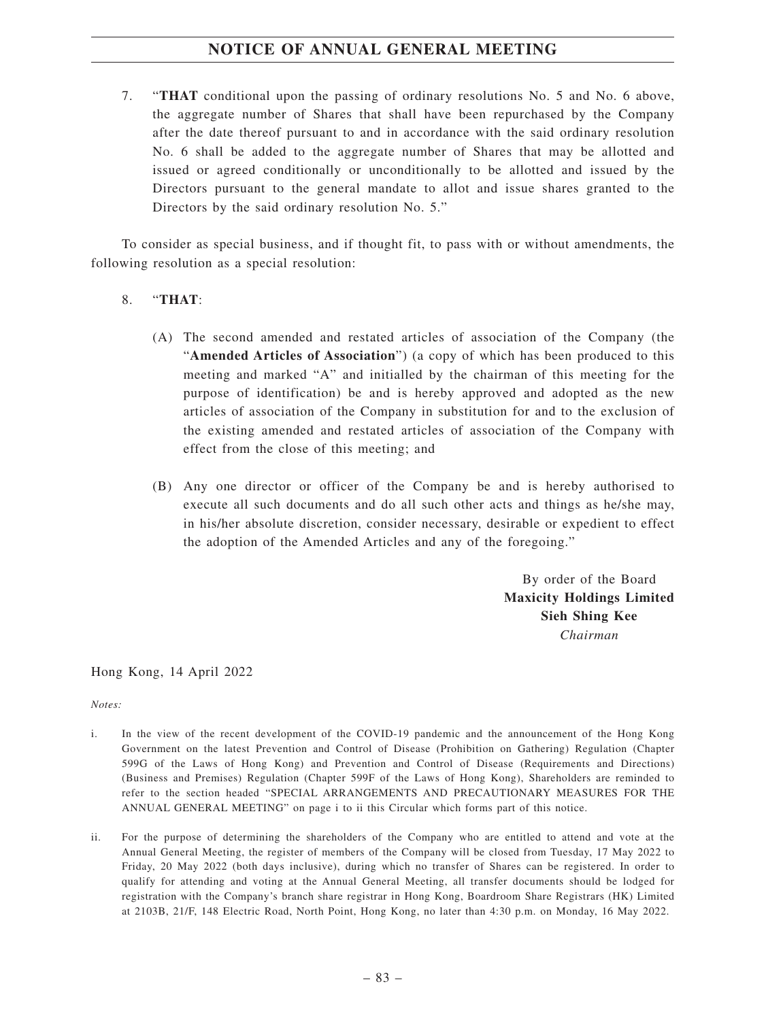7. "**THAT** conditional upon the passing of ordinary resolutions No. 5 and No. 6 above, the aggregate number of Shares that shall have been repurchased by the Company after the date thereof pursuant to and in accordance with the said ordinary resolution No. 6 shall be added to the aggregate number of Shares that may be allotted and issued or agreed conditionally or unconditionally to be allotted and issued by the Directors pursuant to the general mandate to allot and issue shares granted to the Directors by the said ordinary resolution No. 5."

To consider as special business, and if thought fit, to pass with or without amendments, the following resolution as a special resolution:

- 8. "**THAT**:
	- (A) The second amended and restated articles of association of the Company (the "**Amended Articles of Association**") (a copy of which has been produced to this meeting and marked "A" and initialled by the chairman of this meeting for the purpose of identification) be and is hereby approved and adopted as the new articles of association of the Company in substitution for and to the exclusion of the existing amended and restated articles of association of the Company with effect from the close of this meeting; and
	- (B) Any one director or officer of the Company be and is hereby authorised to execute all such documents and do all such other acts and things as he/she may, in his/her absolute discretion, consider necessary, desirable or expedient to effect the adoption of the Amended Articles and any of the foregoing."

By order of the Board **Maxicity Holdings Limited Sieh Shing Kee** *Chairman*

Hong Kong, 14 April 2022

*Notes:*

- i. In the view of the recent development of the COVID-19 pandemic and the announcement of the Hong Kong Government on the latest Prevention and Control of Disease (Prohibition on Gathering) Regulation (Chapter 599G of the Laws of Hong Kong) and Prevention and Control of Disease (Requirements and Directions) (Business and Premises) Regulation (Chapter 599F of the Laws of Hong Kong), Shareholders are reminded to refer to the section headed "SPECIAL ARRANGEMENTS AND PRECAUTIONARY MEASURES FOR THE ANNUAL GENERAL MEETING" on page i to ii this Circular which forms part of this notice.
- ii. For the purpose of determining the shareholders of the Company who are entitled to attend and vote at the Annual General Meeting, the register of members of the Company will be closed from Tuesday, 17 May 2022 to Friday, 20 May 2022 (both days inclusive), during which no transfer of Shares can be registered. In order to qualify for attending and voting at the Annual General Meeting, all transfer documents should be lodged for registration with the Company's branch share registrar in Hong Kong, Boardroom Share Registrars (HK) Limited at 2103B, 21/F, 148 Electric Road, North Point, Hong Kong, no later than 4:30 p.m. on Monday, 16 May 2022.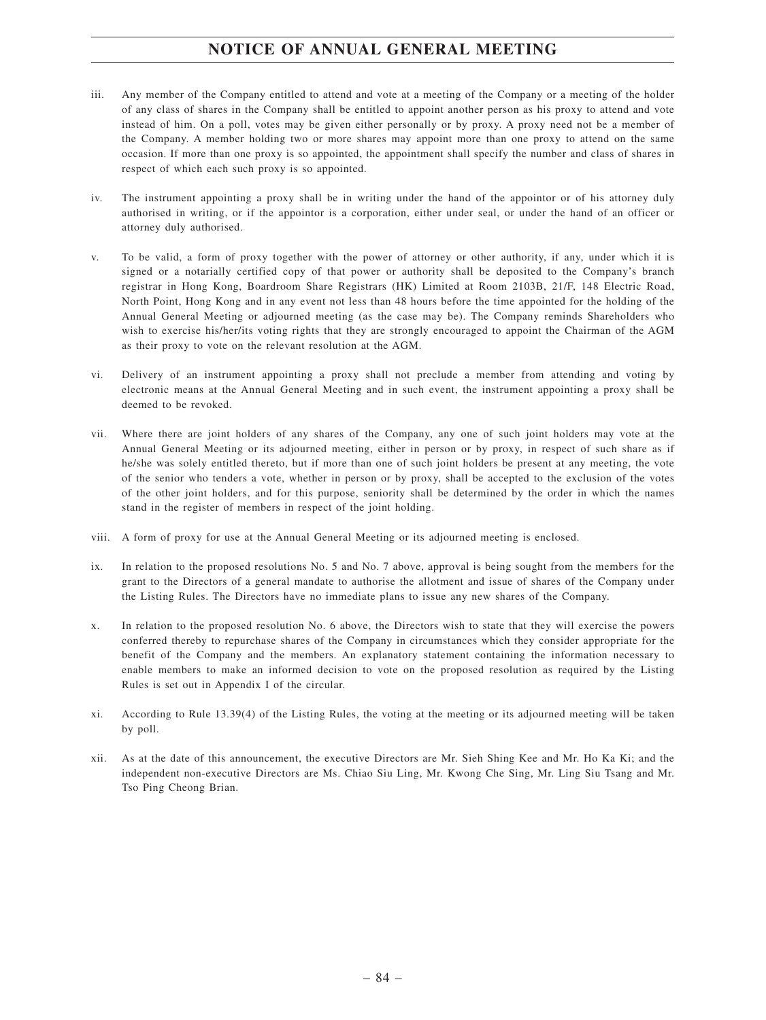- iii. Any member of the Company entitled to attend and vote at a meeting of the Company or a meeting of the holder of any class of shares in the Company shall be entitled to appoint another person as his proxy to attend and vote instead of him. On a poll, votes may be given either personally or by proxy. A proxy need not be a member of the Company. A member holding two or more shares may appoint more than one proxy to attend on the same occasion. If more than one proxy is so appointed, the appointment shall specify the number and class of shares in respect of which each such proxy is so appointed.
- iv. The instrument appointing a proxy shall be in writing under the hand of the appointor or of his attorney duly authorised in writing, or if the appointor is a corporation, either under seal, or under the hand of an officer or attorney duly authorised.
- v. To be valid, a form of proxy together with the power of attorney or other authority, if any, under which it is signed or a notarially certified copy of that power or authority shall be deposited to the Company's branch registrar in Hong Kong, Boardroom Share Registrars (HK) Limited at Room 2103B, 21/F, 148 Electric Road, North Point, Hong Kong and in any event not less than 48 hours before the time appointed for the holding of the Annual General Meeting or adjourned meeting (as the case may be). The Company reminds Shareholders who wish to exercise his/her/its voting rights that they are strongly encouraged to appoint the Chairman of the AGM as their proxy to vote on the relevant resolution at the AGM.
- vi. Delivery of an instrument appointing a proxy shall not preclude a member from attending and voting by electronic means at the Annual General Meeting and in such event, the instrument appointing a proxy shall be deemed to be revoked.
- vii. Where there are joint holders of any shares of the Company, any one of such joint holders may vote at the Annual General Meeting or its adjourned meeting, either in person or by proxy, in respect of such share as if he/she was solely entitled thereto, but if more than one of such joint holders be present at any meeting, the vote of the senior who tenders a vote, whether in person or by proxy, shall be accepted to the exclusion of the votes of the other joint holders, and for this purpose, seniority shall be determined by the order in which the names stand in the register of members in respect of the joint holding.
- viii. A form of proxy for use at the Annual General Meeting or its adjourned meeting is enclosed.
- ix. In relation to the proposed resolutions No. 5 and No. 7 above, approval is being sought from the members for the grant to the Directors of a general mandate to authorise the allotment and issue of shares of the Company under the Listing Rules. The Directors have no immediate plans to issue any new shares of the Company.
- x. In relation to the proposed resolution No. 6 above, the Directors wish to state that they will exercise the powers conferred thereby to repurchase shares of the Company in circumstances which they consider appropriate for the benefit of the Company and the members. An explanatory statement containing the information necessary to enable members to make an informed decision to vote on the proposed resolution as required by the Listing Rules is set out in Appendix I of the circular.
- xi. According to Rule 13.39(4) of the Listing Rules, the voting at the meeting or its adjourned meeting will be taken by poll.
- xii. As at the date of this announcement, the executive Directors are Mr. Sieh Shing Kee and Mr. Ho Ka Ki; and the independent non-executive Directors are Ms. Chiao Siu Ling, Mr. Kwong Che Sing, Mr. Ling Siu Tsang and Mr. Tso Ping Cheong Brian.